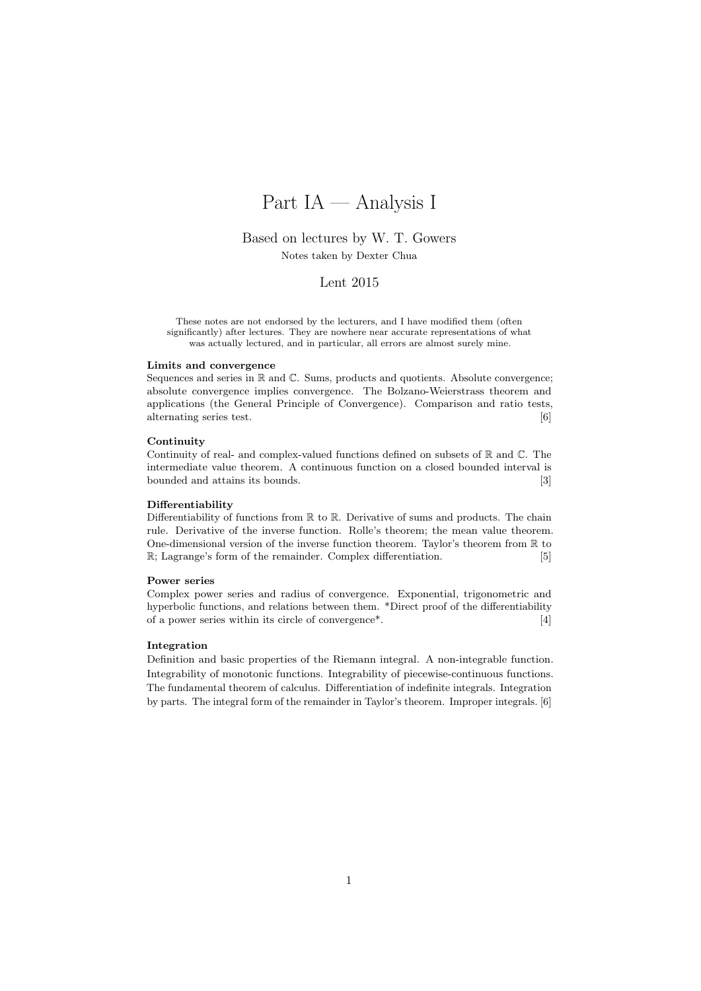# Part IA — Analysis I

# Based on lectures by W. T. Gowers

Notes taken by Dexter Chua

# Lent 2015

These notes are not endorsed by the lecturers, and I have modified them (often significantly) after lectures. They are nowhere near accurate representations of what was actually lectured, and in particular, all errors are almost surely mine.

#### Limits and convergence

Sequences and series in R and C. Sums, products and quotients. Absolute convergence; absolute convergence implies convergence. The Bolzano-Weierstrass theorem and applications (the General Principle of Convergence). Comparison and ratio tests, alternating series test. [6]

#### **Continuity**

Continuity of real- and complex-valued functions defined on subsets of  $\mathbb R$  and  $\mathbb C$ . The intermediate value theorem. A continuous function on a closed bounded interval is bounded and attains its bounds. [3]

#### Differentiability

Differentiability of functions from  $\mathbb R$  to  $\mathbb R$ . Derivative of sums and products. The chain rule. Derivative of the inverse function. Rolle's theorem; the mean value theorem. One-dimensional version of the inverse function theorem. Taylor's theorem from  $\mathbb R$  to R; Lagrange's form of the remainder. Complex differentiation. [5]

#### Power series

Complex power series and radius of convergence. Exponential, trigonometric and hyperbolic functions, and relations between them. \*Direct proof of the differentiability of a power series within its circle of convergence\*. [4]

#### Integration

Definition and basic properties of the Riemann integral. A non-integrable function. Integrability of monotonic functions. Integrability of piecewise-continuous functions. The fundamental theorem of calculus. Differentiation of indefinite integrals. Integration by parts. The integral form of the remainder in Taylor's theorem. Improper integrals. [6]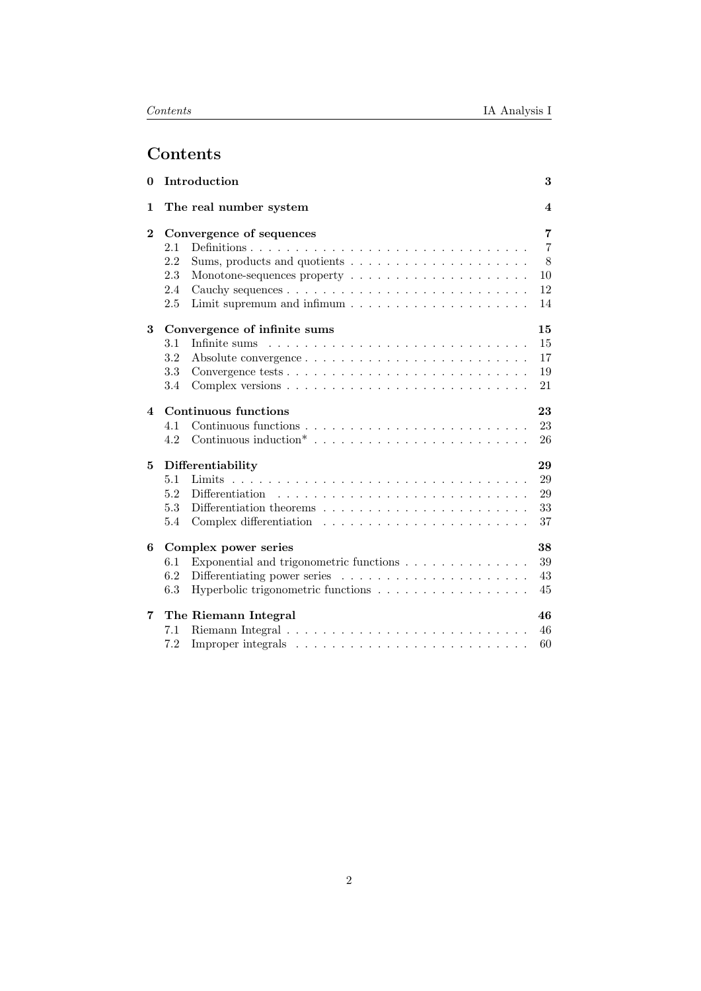# Contents

| $\mathbf{0}$ | Introduction                       |                                                                       |                |  |  |  |  |
|--------------|------------------------------------|-----------------------------------------------------------------------|----------------|--|--|--|--|
| 1            | The real number system             |                                                                       |                |  |  |  |  |
| $\bf{2}$     |                                    | Convergence of sequences                                              | 7              |  |  |  |  |
|              | 2.1                                |                                                                       | $\overline{7}$ |  |  |  |  |
|              | 2.2                                |                                                                       | 8              |  |  |  |  |
|              | 2.3                                |                                                                       | 10             |  |  |  |  |
|              | 2.4                                |                                                                       | 12             |  |  |  |  |
|              | 2.5                                |                                                                       | 14             |  |  |  |  |
| 3            | 15<br>Convergence of infinite sums |                                                                       |                |  |  |  |  |
|              | 3.1                                |                                                                       | 15             |  |  |  |  |
|              | 3.2                                |                                                                       | 17             |  |  |  |  |
|              | 3.3                                |                                                                       | 19             |  |  |  |  |
|              | 3.4                                |                                                                       | 21             |  |  |  |  |
| 4            | Continuous functions<br>23         |                                                                       |                |  |  |  |  |
|              | 4.1                                |                                                                       | 23             |  |  |  |  |
|              | 4.2                                |                                                                       | 26             |  |  |  |  |
| 5            | 29<br>Differentiability            |                                                                       |                |  |  |  |  |
|              | 5.1                                |                                                                       | 29             |  |  |  |  |
|              | 5.2                                |                                                                       | 29             |  |  |  |  |
|              | 5.3                                |                                                                       | 33             |  |  |  |  |
|              | 5.4                                |                                                                       | 37             |  |  |  |  |
| 6            | 38<br>Complex power series         |                                                                       |                |  |  |  |  |
|              | 6.1                                | Exponential and trigonometric functions $\ldots \ldots \ldots \ldots$ | 39             |  |  |  |  |
|              | 6.2                                |                                                                       | 43             |  |  |  |  |
|              | 6.3                                | Hyperbolic trigonometric functions                                    | 45             |  |  |  |  |
| 7            |                                    | The Riemann Integral                                                  | 46             |  |  |  |  |
|              | 7.1                                |                                                                       | 46             |  |  |  |  |
|              | 7.2                                |                                                                       | 60             |  |  |  |  |
|              |                                    |                                                                       |                |  |  |  |  |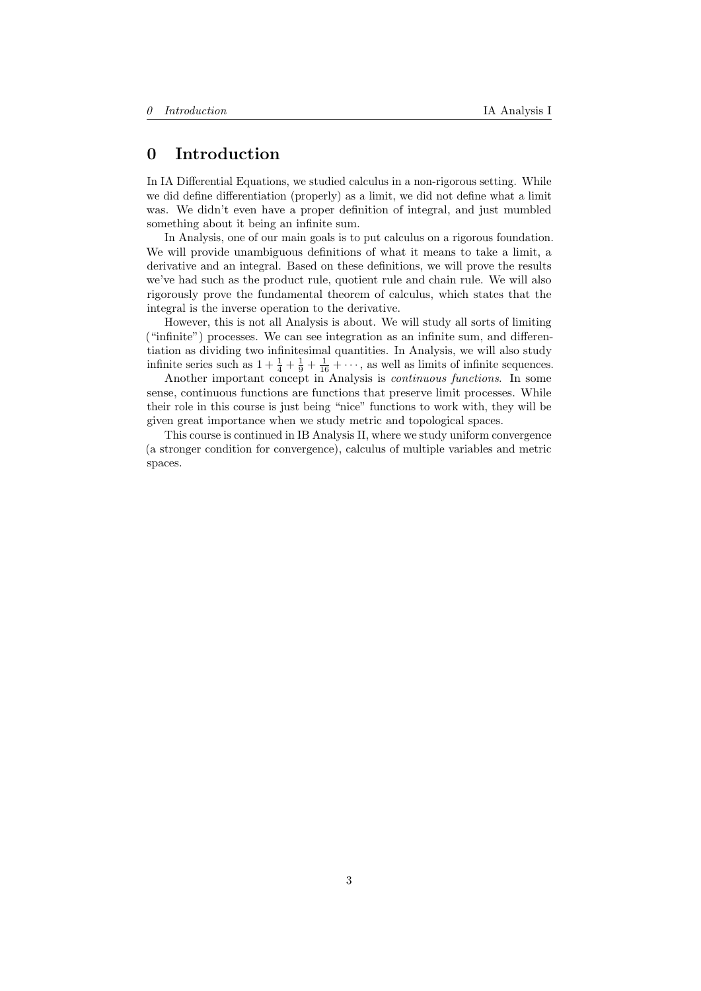# <span id="page-2-0"></span>0 Introduction

In IA Differential Equations, we studied calculus in a non-rigorous setting. While we did define differentiation (properly) as a limit, we did not define what a limit was. We didn't even have a proper definition of integral, and just mumbled something about it being an infinite sum.

In Analysis, one of our main goals is to put calculus on a rigorous foundation. We will provide unambiguous definitions of what it means to take a limit, a derivative and an integral. Based on these definitions, we will prove the results we've had such as the product rule, quotient rule and chain rule. We will also rigorously prove the fundamental theorem of calculus, which states that the integral is the inverse operation to the derivative.

However, this is not all Analysis is about. We will study all sorts of limiting ("infinite") processes. We can see integration as an infinite sum, and differentiation as dividing two infinitesimal quantities. In Analysis, we will also study infinite series such as  $1 + \frac{1}{4} + \frac{1}{9} + \frac{1}{16} + \cdots$ , as well as limits of infinite sequences.

Another important concept in Analysis is continuous functions. In some sense, continuous functions are functions that preserve limit processes. While their role in this course is just being "nice" functions to work with, they will be given great importance when we study metric and topological spaces.

This course is continued in IB Analysis II, where we study uniform convergence (a stronger condition for convergence), calculus of multiple variables and metric spaces.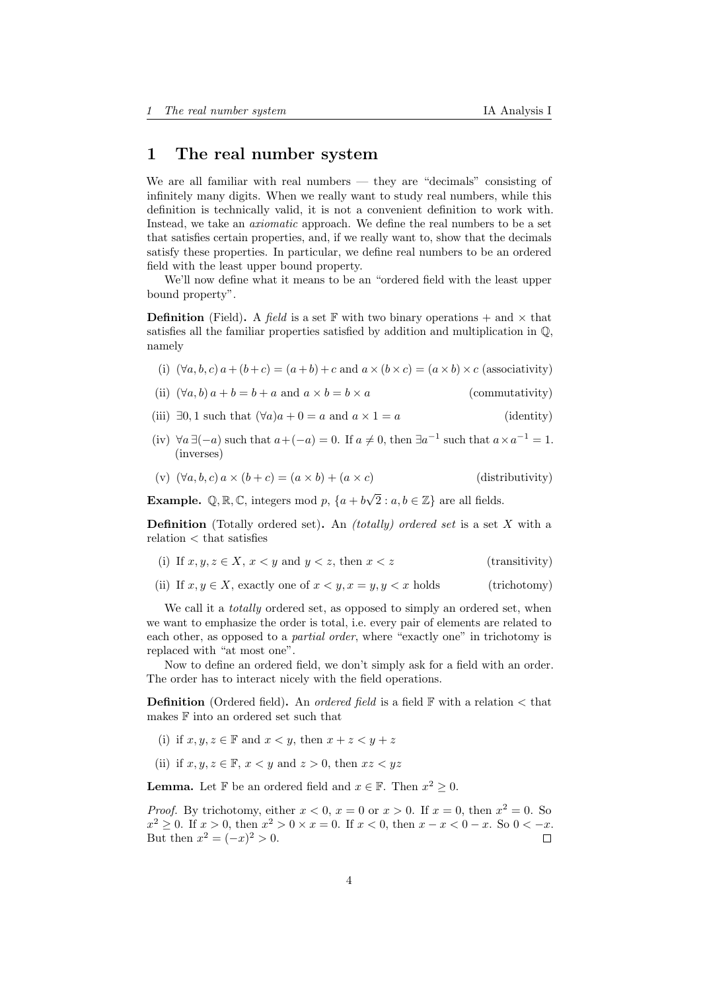# <span id="page-3-0"></span>1 The real number system

We are all familiar with real numbers — they are "decimals" consisting of infinitely many digits. When we really want to study real numbers, while this definition is technically valid, it is not a convenient definition to work with. Instead, we take an axiomatic approach. We define the real numbers to be a set that satisfies certain properties, and, if we really want to, show that the decimals satisfy these properties. In particular, we define real numbers to be an ordered field with the least upper bound property.

We'll now define what it means to be an "ordered field with the least upper bound property".

**Definition** (Field). A field is a set F with two binary operations + and  $\times$  that satisfies all the familiar properties satisfied by addition and multiplication in Q, namely

- (i)  $(\forall a, b, c) a + (b+c) = (a+b) + c$  and  $a \times (b \times c) = (a \times b) \times c$  (associativity)
- (ii)  $(\forall a, b) a + b = b + a$  and  $a \times b = b \times a$  (commutativity)
- (iii)  $\exists 0, 1$  such that  $(\forall a)a + 0 = a$  and  $a \times 1 = a$  (identity)
- (iv)  $\forall a \exists (-a)$  such that  $a + (-a) = 0$ . If  $a \neq 0$ , then  $\exists a^{-1}$  such that  $a \times a^{-1} = 1$ . (inverses)
- (v)  $(\forall a, b, c) a \times (b + c) = (a \times b) + (a \times c)$  (distributivity)

**Example.**  $\mathbb{Q}, \mathbb{R}, \mathbb{C}$ , integers mod p,  $\{a + b\sqrt{2} : a, b \in \mathbb{Z}\}\$ are all fields.

**Definition** (Totally ordered set). An *(totally) ordered set* is a set  $X$  with a relation < that satisfies

- (i) If  $x, y, z \in X$ ,  $x < y$  and  $y < z$ , then  $x < z$  (transitivity)
- (ii) If  $x, y \in X$ , exactly one of  $x \le y, x = y, y \le x$  holds (trichotomy)

We call it a *totally* ordered set, as opposed to simply an ordered set, when we want to emphasize the order is total, i.e. every pair of elements are related to each other, as opposed to a partial order, where "exactly one" in trichotomy is replaced with "at most one".

Now to define an ordered field, we don't simply ask for a field with an order. The order has to interact nicely with the field operations.

**Definition** (Ordered field). An *ordered field* is a field  $\mathbb{F}$  with a relation  $\lt$  that makes F into an ordered set such that

- (i) if  $x, y, z \in \mathbb{F}$  and  $x < y$ , then  $x + z < y + z$
- (ii) if  $x, y, z \in \mathbb{F}$ ,  $x < y$  and  $z > 0$ , then  $xz < yz$

**Lemma.** Let  $\mathbb{F}$  be an ordered field and  $x \in \mathbb{F}$ . Then  $x^2 \geq 0$ .

*Proof.* By trichotomy, either  $x < 0$ ,  $x = 0$  or  $x > 0$ . If  $x = 0$ , then  $x^2 = 0$ . So  $x^2 \geq 0$ . If  $x > 0$ , then  $x^2 > 0 \times x = 0$ . If  $x < 0$ , then  $x - x < 0 - x$ . So  $0 < -x$ . But then  $x^2 = (-x)^2 > 0$ .  $\Box$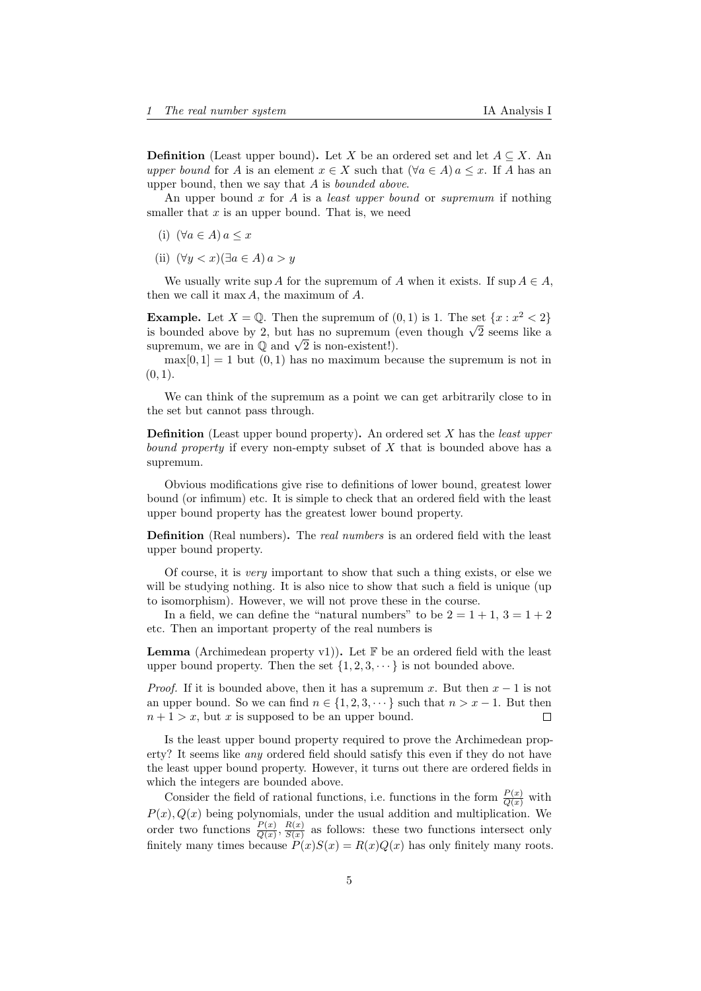**Definition** (Least upper bound). Let X be an ordered set and let  $A \subseteq X$ . An upper bound for A is an element  $x \in X$  such that  $(\forall a \in A)$   $a \leq x$ . If A has an upper bound, then we say that  $A$  is *bounded above*.

An upper bound x for A is a *least upper bound* or *supremum* if nothing smaller that  $x$  is an upper bound. That is, we need

- (i)  $(\forall a \in A) a \leq x$
- (ii)  $(\forall y < x)(\exists a \in A) a > y$

We usually write sup A for the supremum of A when it exists. If sup  $A \in A$ , then we call it max  $A$ , the maximum of  $A$ .

**Example.** Let  $X = \mathbb{Q}$ . Then the supremum of  $(0,1)$  is 1. The set  $\{x : x^2 < 2\}$ **Example.** Let  $\Lambda = \mathbb{Q}$ . Then the supremum of  $(0,1)$  is 1. The set  $\{x : x^2 \leq 2\}$  is bounded above by 2, but has no supremum (even though  $\sqrt{2}$  seems like a is bounded above by 2, but has no supremum (supremum, we are in  $\mathbb Q$  and  $\sqrt{2}$  is non-existent!).

 $max[0, 1] = 1$  but  $(0, 1)$  has no maximum because the supremum is not in  $(0, 1)$ .

We can think of the supremum as a point we can get arbitrarily close to in the set but cannot pass through.

**Definition** (Least upper bound property). An ordered set  $X$  has the *least upper* bound property if every non-empty subset of X that is bounded above has a supremum.

Obvious modifications give rise to definitions of lower bound, greatest lower bound (or infimum) etc. It is simple to check that an ordered field with the least upper bound property has the greatest lower bound property.

Definition (Real numbers). The real numbers is an ordered field with the least upper bound property.

Of course, it is very important to show that such a thing exists, or else we will be studying nothing. It is also nice to show that such a field is unique (up to isomorphism). However, we will not prove these in the course.

In a field, we can define the "natural numbers" to be  $2 = 1 + 1$ ,  $3 = 1 + 2$ etc. Then an important property of the real numbers is

**Lemma** (Archimedean property v1)). Let  $\mathbb{F}$  be an ordered field with the least upper bound property. Then the set  $\{1, 2, 3, \dots\}$  is not bounded above.

*Proof.* If it is bounded above, then it has a supremum x. But then  $x - 1$  is not an upper bound. So we can find  $n \in \{1, 2, 3, \dots\}$  such that  $n > x - 1$ . But then  $n+1 > x$ , but x is supposed to be an upper bound.  $\Box$ 

Is the least upper bound property required to prove the Archimedean property? It seems like any ordered field should satisfy this even if they do not have the least upper bound property. However, it turns out there are ordered fields in which the integers are bounded above.

Consider the field of rational functions, i.e. functions in the form  $\frac{P(x)}{Q(x)}$  with  $P(x)$ ,  $Q(x)$  being polynomials, under the usual addition and multiplication. We order two functions  $\frac{P(x)}{Q(x)}, \frac{R(x)}{S(x)}$  $\frac{R(x)}{S(x)}$  as follows: these two functions intersect only finitely many times because  $P(x)S(x) = R(x)Q(x)$  has only finitely many roots.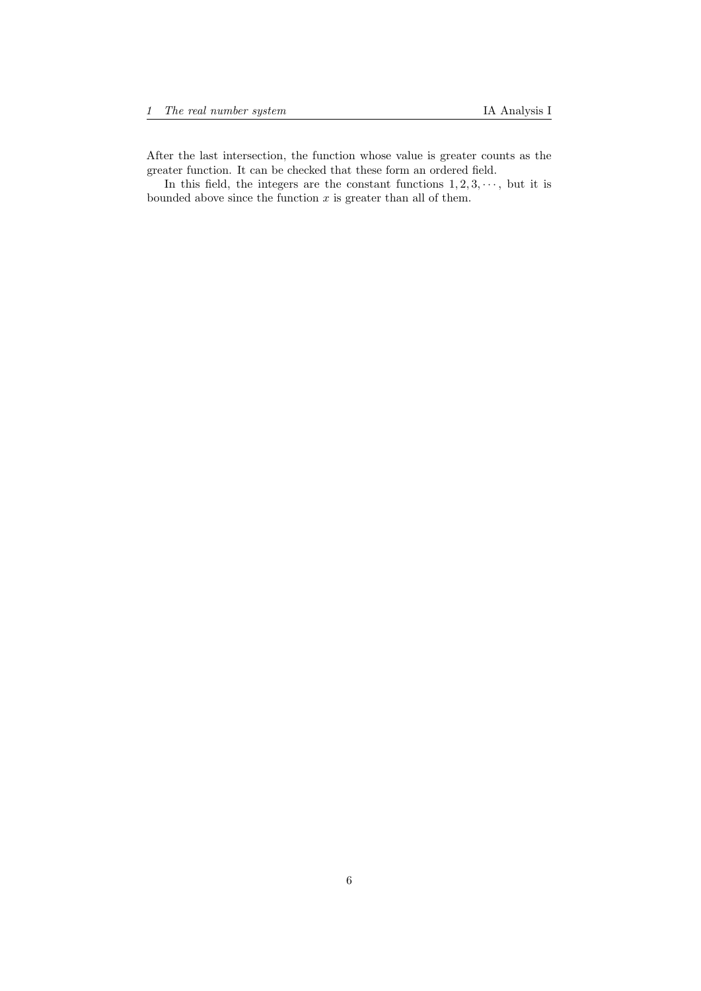After the last intersection, the function whose value is greater counts as the greater function. It can be checked that these form an ordered field.

In this field, the integers are the constant functions  $1, 2, 3, \dots$ , but it is bounded above since the function  $x$  is greater than all of them.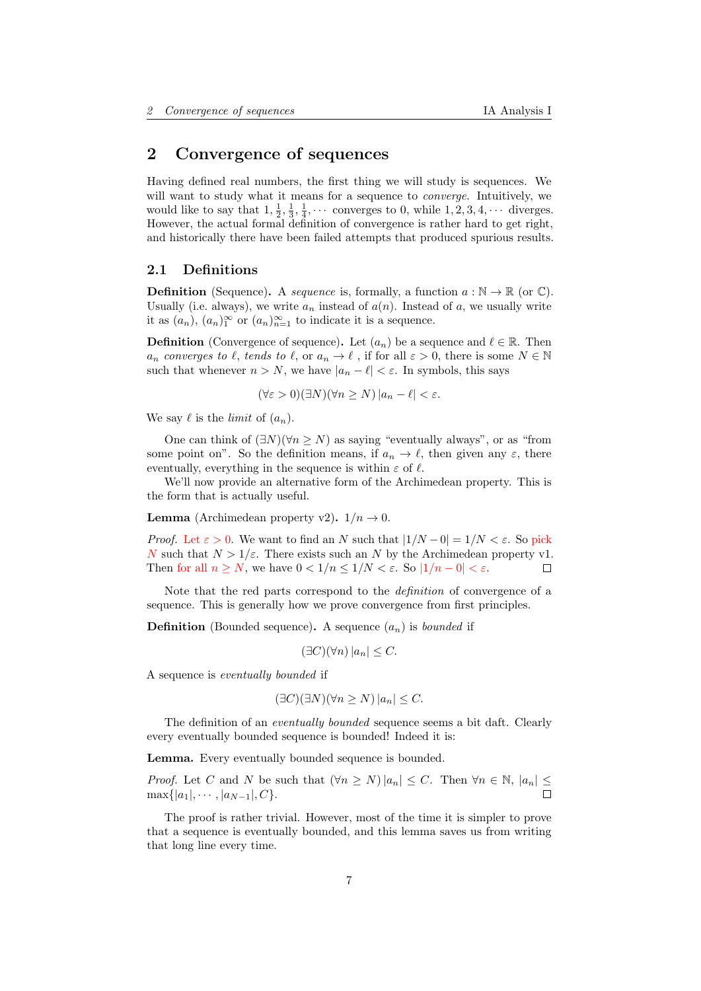# <span id="page-6-0"></span>2 Convergence of sequences

Having defined real numbers, the first thing we will study is sequences. We will want to study what it means for a sequence to converge. Intuitively, we would like to say that  $1, \frac{1}{2}, \frac{1}{3}, \frac{1}{4}, \cdots$  converges to 0, while  $1, 2, 3, 4, \cdots$  diverges. However, the actual formal definition of convergence is rather hard to get right, and historically there have been failed attempts that produced spurious results.

### <span id="page-6-1"></span>2.1 Definitions

**Definition** (Sequence). A sequence is, formally, a function  $a : \mathbb{N} \to \mathbb{R}$  (or  $\mathbb{C}$ ). Usually (i.e. always), we write  $a_n$  instead of  $a(n)$ . Instead of a, we usually write it as  $(a_n)$ ,  $(a_n)_1^{\infty}$  or  $(a_n)_{n=1}^{\infty}$  to indicate it is a sequence.

**Definition** (Convergence of sequence). Let  $(a_n)$  be a sequence and  $\ell \in \mathbb{R}$ . Then  $a_n$  converges to  $\ell$ , tends to  $\ell$ , or  $a_n \to \ell$ , if for all  $\varepsilon > 0$ , there is some  $N \in \mathbb{N}$ such that whenever  $n > N$ , we have  $|a_n - \ell| < \varepsilon$ . In symbols, this says

$$
(\forall \varepsilon > 0)(\exists N)(\forall n \ge N) |a_n - \ell| < \varepsilon.
$$

We say  $\ell$  is the *limit* of  $(a_n)$ .

One can think of  $(\exists N)(\forall n \geq N)$  as saying "eventually always", or as "from some point on". So the definition means, if  $a_n \to \ell$ , then given any  $\varepsilon$ , there eventually, everything in the sequence is within  $\varepsilon$  of  $\ell$ .

We'll now provide an alternative form of the Archimedean property. This is the form that is actually useful.

**Lemma** (Archimedean property v2).  $1/n \rightarrow 0$ .

*Proof.* Let  $\varepsilon > 0$ . We want to find an N such that  $|1/N - 0| = 1/N < \varepsilon$ . So pick N such that  $N > 1/\varepsilon$ . There exists such an N by the Archimedean property v1. Then for all  $n \geq N$ , we have  $0 < 1/n \leq 1/N < \varepsilon$ . So  $|1/n - 0| < \varepsilon$ .

Note that the red parts correspond to the *definition* of convergence of a sequence. This is generally how we prove convergence from first principles.

**Definition** (Bounded sequence). A sequence  $(a_n)$  is *bounded* if

$$
(\exists C)(\forall n)|a_n| \leq C.
$$

A sequence is eventually bounded if

$$
(\exists C)(\exists N)(\forall n \ge N) |a_n| \le C.
$$

The definition of an *eventually bounded* sequence seems a bit daft. Clearly every eventually bounded sequence is bounded! Indeed it is:

Lemma. Every eventually bounded sequence is bounded.

*Proof.* Let C and N be such that  $(\forall n \ge N) |a_n| \le C$ . Then  $\forall n \in \mathbb{N}, |a_n| \le \square$  $\max\{|a_1|, \cdots, |a_{N-1}|, C\}.$ 

The proof is rather trivial. However, most of the time it is simpler to prove that a sequence is eventually bounded, and this lemma saves us from writing that long line every time.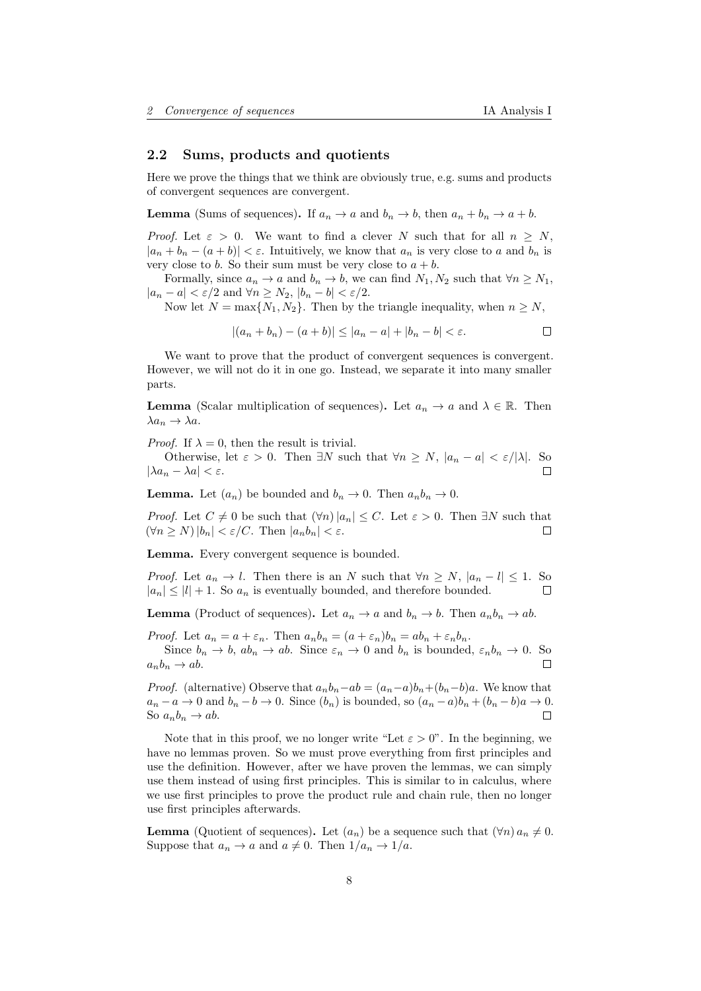### <span id="page-7-0"></span>2.2 Sums, products and quotients

Here we prove the things that we think are obviously true, e.g. sums and products of convergent sequences are convergent.

**Lemma** (Sums of sequences). If  $a_n \to a$  and  $b_n \to b$ , then  $a_n + b_n \to a + b$ .

Proof. Let  $\varepsilon > 0$ . We want to find a clever N such that for all  $n \geq N$ ,  $|a_n + b_n - (a + b)| < \varepsilon$ . Intuitively, we know that  $a_n$  is very close to a and  $b_n$  is very close to b. So their sum must be very close to  $a + b$ .

Formally, since  $a_n \to a$  and  $b_n \to b$ , we can find  $N_1, N_2$  such that  $\forall n \ge N_1$ ,  $|a_n - a| < \varepsilon/2$  and  $\forall n \ge N_2$ ,  $|b_n - b| < \varepsilon/2$ .

Now let  $N = \max\{N_1, N_2\}$ . Then by the triangle inequality, when  $n \geq N$ ,

$$
|(a_n + b_n) - (a + b)| \le |a_n - a| + |b_n - b| < \varepsilon.
$$

We want to prove that the product of convergent sequences is convergent. However, we will not do it in one go. Instead, we separate it into many smaller parts.

**Lemma** (Scalar multiplication of sequences). Let  $a_n \to a$  and  $\lambda \in \mathbb{R}$ . Then  $\lambda a_n \to \lambda a$ .

*Proof.* If  $\lambda = 0$ , then the result is trivial.

Otherwise, let  $\varepsilon > 0$ . Then  $\exists N$  such that  $\forall n \ge N$ ,  $|a_n - a| < \varepsilon / |\lambda|$ . So  $|\lambda a_n - \lambda a| < \varepsilon$ .  $\Box$ 

**Lemma.** Let  $(a_n)$  be bounded and  $b_n \to 0$ . Then  $a_n b_n \to 0$ .

*Proof.* Let  $C \neq 0$  be such that  $(\forall n)|a_n| \leq C$ . Let  $\varepsilon > 0$ . Then  $\exists N$  such that  $(\forall n \geq N) |b_n| < \varepsilon/C$ . Then  $|a_n b_n| < \varepsilon$ .  $\Box$ 

Lemma. Every convergent sequence is bounded.

*Proof.* Let  $a_n \to l$ . Then there is an N such that  $\forall n > N$ ,  $|a_n - l| < 1$ . So  $|a_n| \leq |l| + 1$ . So  $a_n$  is eventually bounded, and therefore bounded.  $\Box$ 

**Lemma** (Product of sequences). Let  $a_n \to a$  and  $b_n \to b$ . Then  $a_n b_n \to ab$ .

*Proof.* Let  $a_n = a + \varepsilon_n$ . Then  $a_n b_n = (a + \varepsilon_n) b_n = ab_n + \varepsilon_n b_n$ .

Since  $b_n \to b$ ,  $ab_n \to ab$ . Since  $\varepsilon_n \to 0$  and  $b_n$  is bounded,  $\varepsilon_n b_n \to 0$ . So  $a_n b_n \rightarrow ab.$  $\Box$ 

*Proof.* (alternative) Observe that  $a_n b_n - a b = (a_n - a) b_n + (b_n - b) a$ . We know that  $a_n - a \to 0$  and  $b_n - b \to 0$ . Since  $(b_n)$  is bounded, so  $(a_n - a)b_n + (b_n - b)a \to 0$ . So  $a_n b_n \to ab$ .  $\Box$ 

Note that in this proof, we no longer write "Let  $\varepsilon > 0$ ". In the beginning, we have no lemmas proven. So we must prove everything from first principles and use the definition. However, after we have proven the lemmas, we can simply use them instead of using first principles. This is similar to in calculus, where we use first principles to prove the product rule and chain rule, then no longer use first principles afterwards.

**Lemma** (Quotient of sequences). Let  $(a_n)$  be a sequence such that  $(\forall n) a_n \neq 0$ . Suppose that  $a_n \to a$  and  $a \neq 0$ . Then  $1/a_n \to 1/a$ .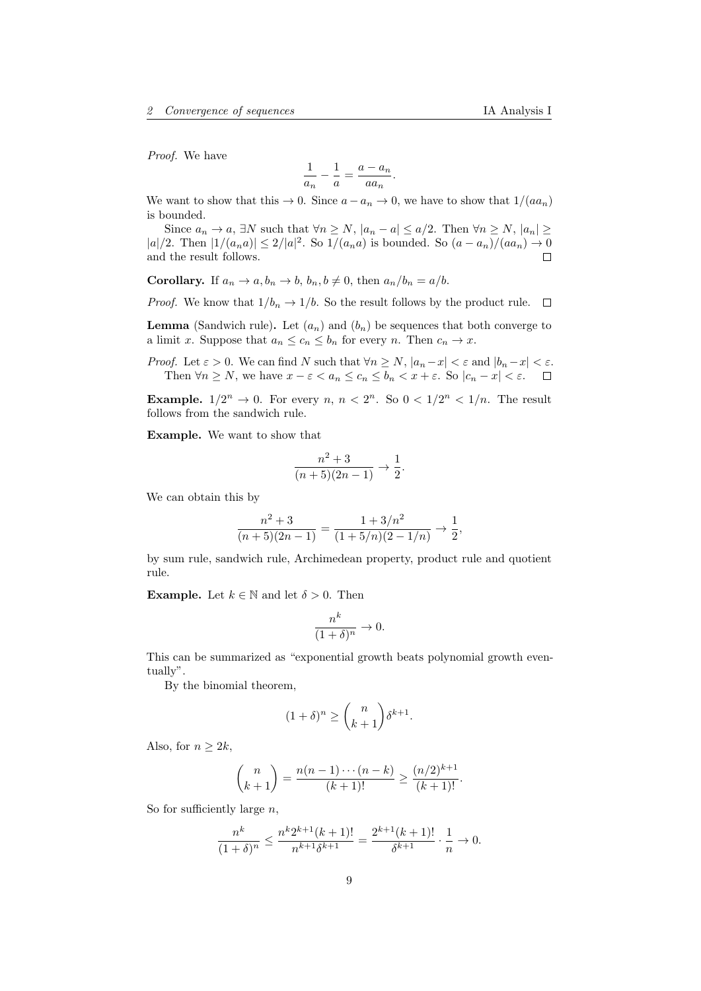Proof. We have

$$
\frac{1}{a_n} - \frac{1}{a} = \frac{a - a_n}{a a_n}.
$$

We want to show that this  $\rightarrow 0$ . Since  $a - a_n \rightarrow 0$ , we have to show that  $1/(aa_n)$ is bounded.

Since  $a_n \to a$ ,  $\exists N$  such that  $\forall n \ge N$ ,  $|a_n - a| \le a/2$ . Then  $\forall n \ge N$ ,  $|a_n| \ge a$ |a|/2. Then  $|1/(a_n a)| \leq 2/|a|^2$ . So  $1/(a_n a)$  is bounded. So  $(a - a_n)/(aa_n) \to 0$ and the result follows.  $\Box$ 

**Corollary.** If  $a_n \to a, b_n \to b, b_n, b \neq 0$ , then  $a_n/b_n = a/b$ .

*Proof.* We know that  $1/b_n \to 1/b$ . So the result follows by the product rule.  $\Box$ 

**Lemma** (Sandwich rule). Let  $(a_n)$  and  $(b_n)$  be sequences that both converge to a limit x. Suppose that  $a_n \leq c_n \leq b_n$  for every n. Then  $c_n \to x$ .

*Proof.* Let  $\varepsilon > 0$ . We can find N such that  $\forall n \ge N$ ,  $|a_n - x| < \varepsilon$  and  $|b_n - x| < \varepsilon$ . Then  $\forall n \geq N$ , we have  $x - \varepsilon < a_n \leq c_n \leq b_n < x + \varepsilon$ . So  $|c_n - x| < \varepsilon$ .

**Example.**  $1/2^n \to 0$ . For every n,  $n < 2^n$ . So  $0 < 1/2^n < 1/n$ . The result follows from the sandwich rule.

Example. We want to show that

$$
\frac{n^2+3}{(n+5)(2n-1)} \to \frac{1}{2}.
$$

We can obtain this by

$$
\frac{n^2+3}{(n+5)(2n-1)} = \frac{1+3/n^2}{(1+5/n)(2-1/n)} \to \frac{1}{2},
$$

by sum rule, sandwich rule, Archimedean property, product rule and quotient rule.

**Example.** Let  $k \in \mathbb{N}$  and let  $\delta > 0$ . Then

$$
\frac{n^k}{(1+\delta)^n} \to 0.
$$

This can be summarized as "exponential growth beats polynomial growth eventually".

By the binomial theorem,

$$
(1+\delta)^n \ge \binom{n}{k+1} \delta^{k+1}.
$$

Also, for  $n > 2k$ ,

$$
\binom{n}{k+1} = \frac{n(n-1)\cdots(n-k)}{(k+1)!} \ge \frac{(n/2)^{k+1}}{(k+1)!}.
$$

So for sufficiently large  $n$ ,

$$
\frac{n^k}{(1+\delta)^n} \le \frac{n^k 2^{k+1} (k+1)!}{n^{k+1} \delta^{k+1}} = \frac{2^{k+1} (k+1)!}{\delta^{k+1}} \cdot \frac{1}{n} \to 0.
$$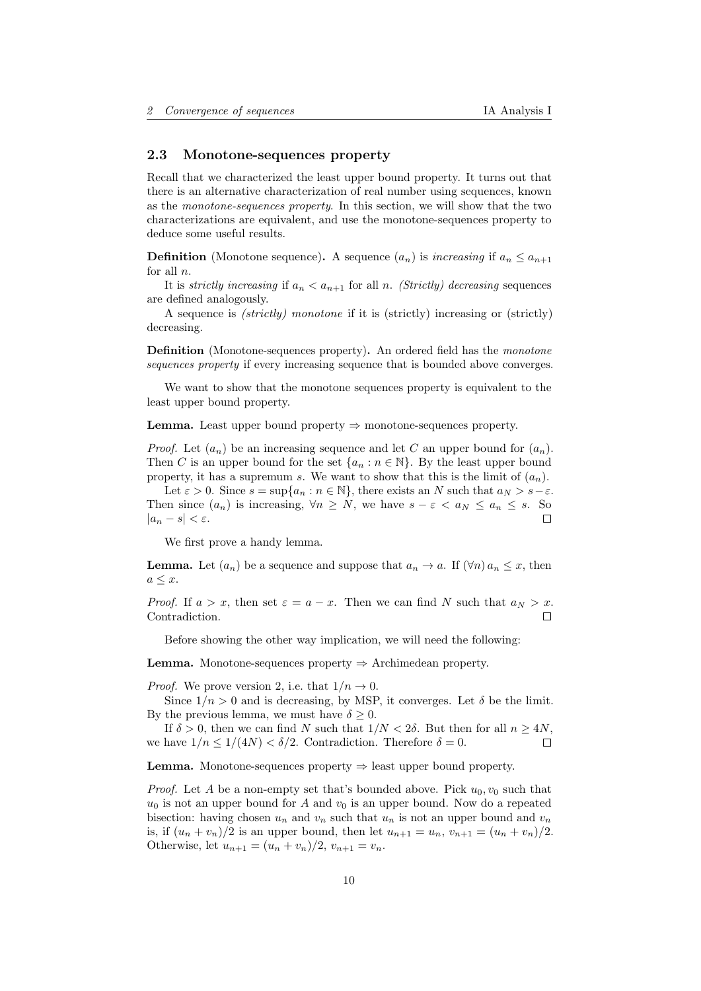### <span id="page-9-0"></span>2.3 Monotone-sequences property

Recall that we characterized the least upper bound property. It turns out that there is an alternative characterization of real number using sequences, known as the monotone-sequences property. In this section, we will show that the two characterizations are equivalent, and use the monotone-sequences property to deduce some useful results.

**Definition** (Monotone sequence). A sequence  $(a_n)$  is *increasing* if  $a_n \leq a_{n+1}$ for all n.

It is *strictly increasing* if  $a_n < a_{n+1}$  for all *n. (Strictly) decreasing* sequences are defined analogously.

A sequence is (strictly) monotone if it is (strictly) increasing or (strictly) decreasing.

**Definition** (Monotone-sequences property). An ordered field has the *monotone* sequences property if every increasing sequence that is bounded above converges.

We want to show that the monotone sequences property is equivalent to the least upper bound property.

**Lemma.** Least upper bound property  $\Rightarrow$  monotone-sequences property.

*Proof.* Let  $(a_n)$  be an increasing sequence and let C an upper bound for  $(a_n)$ . Then C is an upper bound for the set  $\{a_n : n \in \mathbb{N}\}\$ . By the least upper bound property, it has a supremum s. We want to show that this is the limit of  $(a_n)$ .

Let  $\varepsilon > 0$ . Since  $s = \sup\{a_n : n \in \mathbb{N}\}\$ , there exists an N such that  $a_N > s - \varepsilon$ . Then since  $(a_n)$  is increasing,  $\forall n \geq N$ , we have  $s - \varepsilon < a_N \leq a_n \leq s$ . So  $|a_n - s| < \varepsilon$ .  $\Box$ 

We first prove a handy lemma.

**Lemma.** Let  $(a_n)$  be a sequence and suppose that  $a_n \to a$ . If  $(\forall n) a_n \leq x$ , then  $a \leq x$ .

*Proof.* If  $a > x$ , then set  $\varepsilon = a - x$ . Then we can find N such that  $a_N > x$ . Contradiction. П

Before showing the other way implication, we will need the following:

**Lemma.** Monotone-sequences property  $\Rightarrow$  Archimedean property.

*Proof.* We prove version 2, i.e. that  $1/n \rightarrow 0$ .

Since  $1/n > 0$  and is decreasing, by MSP, it converges. Let  $\delta$  be the limit. By the previous lemma, we must have  $\delta \geq 0$ .

If  $\delta > 0$ , then we can find N such that  $1/N < 2\delta$ . But then for all  $n > 4N$ , we have  $1/n \leq 1/(4N) \leq \delta/2$ . Contradiction. Therefore  $\delta = 0$ .  $\Box$ 

**Lemma.** Monotone-sequences property  $\Rightarrow$  least upper bound property.

*Proof.* Let A be a non-empty set that's bounded above. Pick  $u_0, v_0$  such that  $u_0$  is not an upper bound for A and  $v_0$  is an upper bound. Now do a repeated bisection: having chosen  $u_n$  and  $v_n$  such that  $u_n$  is not an upper bound and  $v_n$ is, if  $(u_n + v_n)/2$  is an upper bound, then let  $u_{n+1} = u_n$ ,  $v_{n+1} = (u_n + v_n)/2$ . Otherwise, let  $u_{n+1} = (u_n + v_n)/2, v_{n+1} = v_n$ .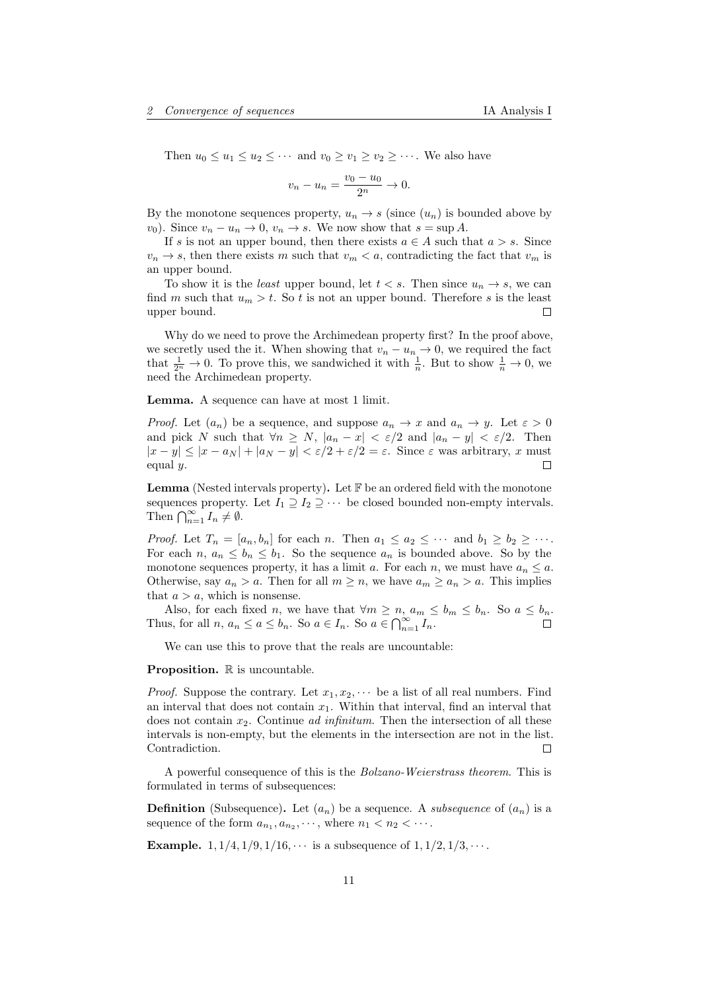Then  $u_0 \le u_1 \le u_2 \le \cdots$  and  $v_0 \ge v_1 \ge v_2 \ge \cdots$ . We also have

$$
v_n - u_n = \frac{v_0 - u_0}{2^n} \to 0.
$$

By the monotone sequences property,  $u_n \to s$  (since  $(u_n)$ ) is bounded above by  $v_0$ ). Since  $v_n - u_n \to 0$ ,  $v_n \to s$ . We now show that  $s = \sup A$ .

If s is not an upper bound, then there exists  $a \in A$  such that  $a > s$ . Since  $v_n \to s$ , then there exists m such that  $v_m < a$ , contradicting the fact that  $v_m$  is an upper bound.

To show it is the *least* upper bound, let  $t < s$ . Then since  $u_n \to s$ , we can find m such that  $u_m > t$ . So t is not an upper bound. Therefore s is the least upper bound. П

Why do we need to prove the Archimedean property first? In the proof above, we secretly used the it. When showing that  $v_n - u_n \to 0$ , we required the fact that  $\frac{1}{2^n} \to 0$ . To prove this, we sandwiched it with  $\frac{1}{n}$ . But to show  $\frac{1}{n} \to 0$ , we need the Archimedean property.

Lemma. A sequence can have at most 1 limit.

*Proof.* Let  $(a_n)$  be a sequence, and suppose  $a_n \to x$  and  $a_n \to y$ . Let  $\varepsilon > 0$ and pick N such that  $\forall n \geq N$ ,  $|a_n - x| < \varepsilon/2$  and  $|a_n - y| < \varepsilon/2$ . Then  $|x - y| \le |x - a_N| + |a_N - y| < \varepsilon/2 + \varepsilon/2 = \varepsilon$ . Since  $\varepsilon$  was arbitrary, x must equal  $y$ .

**Lemma** (Nested intervals property). Let  $\mathbb{F}$  be an ordered field with the monotone sequences property. Let  $I_1 \supseteq I_2 \supseteq \cdots$  be closed bounded non-empty intervals. Then  $\bigcap_{n=1}^{\infty} I_n \neq \emptyset$ .

*Proof.* Let  $T_n = [a_n, b_n]$  for each n. Then  $a_1 \le a_2 \le \cdots$  and  $b_1 \ge b_2 \ge \cdots$ . For each n,  $a_n \leq b_n \leq b_1$ . So the sequence  $a_n$  is bounded above. So by the monotone sequences property, it has a limit a. For each n, we must have  $a_n \leq a$ . Otherwise, say  $a_n > a$ . Then for all  $m \ge n$ , we have  $a_m \ge a_n > a$ . This implies that  $a > a$ , which is nonsense.

Also, for each fixed n, we have that  $\forall m \ge n$ ,  $a_m \le b_m$ . So  $a \le b_n$ . Thus, for all  $n, a_n \le a \le b_n$ . So  $a \in I_n$ . So  $a \in \bigcap_{n=1}^{\infty} I_n$ .

We can use this to prove that the reals are uncountable:

**Proposition.**  $\mathbb R$  is uncountable.

*Proof.* Suppose the contrary. Let  $x_1, x_2, \cdots$  be a list of all real numbers. Find an interval that does not contain  $x_1$ . Within that interval, find an interval that does not contain  $x_2$ . Continue *ad infinitum*. Then the intersection of all these intervals is non-empty, but the elements in the intersection are not in the list. Contradiction.  $\Box$ 

A powerful consequence of this is the Bolzano-Weierstrass theorem. This is formulated in terms of subsequences:

**Definition** (Subsequence). Let  $(a_n)$  be a sequence. A *subsequence* of  $(a_n)$  is a sequence of the form  $a_{n_1}, a_{n_2}, \dots$ , where  $n_1 < n_2 < \dots$ .

**Example.** 1,  $1/4$ ,  $1/9$ ,  $1/16$ ,  $\cdots$  is a subsequence of  $1$ ,  $1/2$ ,  $1/3$ ,  $\cdots$ .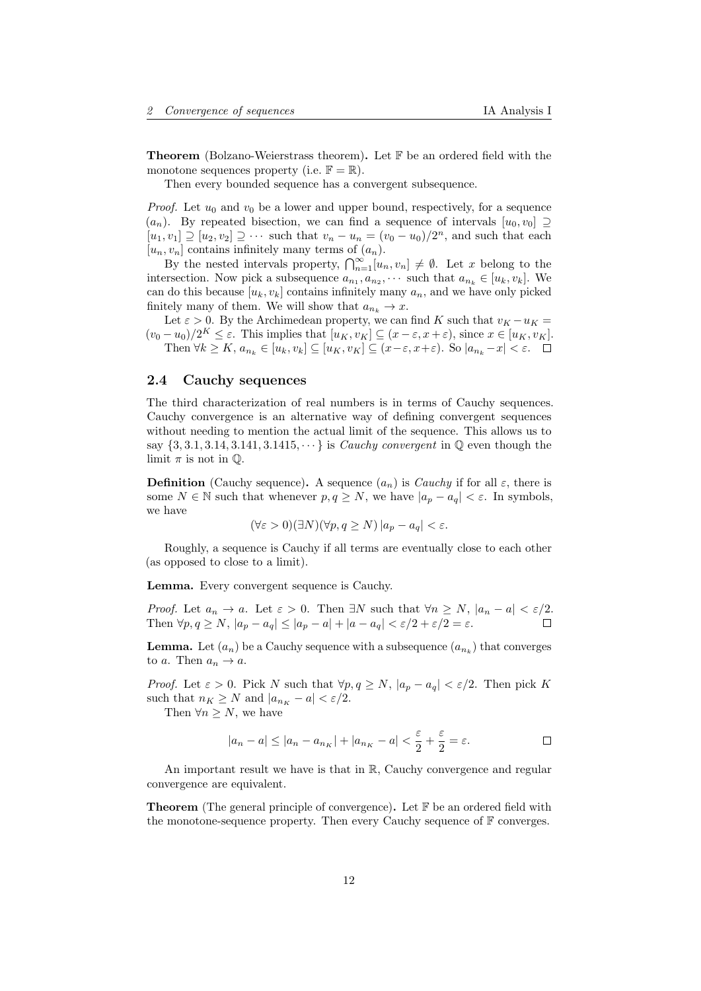**Theorem** (Bolzano-Weierstrass theorem). Let  $\mathbb{F}$  be an ordered field with the monotone sequences property (i.e.  $\mathbb{F} = \mathbb{R}$ ).

Then every bounded sequence has a convergent subsequence.

*Proof.* Let  $u_0$  and  $v_0$  be a lower and upper bound, respectively, for a sequence  $(a_n)$ . By repeated bisection, we can find a sequence of intervals  $[u_0, v_0] \supseteq$  $[u_1, v_1] \supseteq [u_2, v_2] \supseteq \cdots$  such that  $v_n - u_n = (v_0 - u_0)/2^n$ , and such that each  $[u_n, v_n]$  contains infinitely many terms of  $(a_n)$ .

By the nested intervals property,  $\bigcap_{n=1}^{\infty} [u_n, v_n] \neq \emptyset$ . Let x belong to the intersection. Now pick a subsequence  $a_{n_1}, a_{n_2}, \cdots$  such that  $a_{n_k} \in [u_k, v_k]$ . We can do this because  $[u_k, v_k]$  contains infinitely many  $a_n$ , and we have only picked finitely many of them. We will show that  $a_{n_k} \to x$ .

Let  $\varepsilon > 0$ . By the Archimedean property, we can find K such that  $v_K - u_K =$  $(v_0 - u_0)/2^K \leq \varepsilon$ . This implies that  $[u_K, v_K] \subseteq (x - \varepsilon, x + \varepsilon)$ , since  $x \in [u_K, v_K]$ . Then  $\forall k \geq K$ ,  $a_{n_k} \in [u_k, v_k] \subseteq [u_K, v_K] \subseteq (x - \varepsilon, x + \varepsilon)$ . So  $|a_{n_k} - x| < \varepsilon$ .  $\Box$ 

# <span id="page-11-0"></span>2.4 Cauchy sequences

The third characterization of real numbers is in terms of Cauchy sequences. Cauchy convergence is an alternative way of defining convergent sequences without needing to mention the actual limit of the sequence. This allows us to say  $\{3, 3.1, 3.14, 3.141, 3.1415, \cdots\}$  is *Cauchy convergent* in  $\mathbb{Q}$  even though the limit  $\pi$  is not in  $\mathbb{Q}$ .

**Definition** (Cauchy sequence). A sequence  $(a_n)$  is *Cauchy* if for all  $\varepsilon$ , there is some  $N \in \mathbb{N}$  such that whenever  $p, q \geq N$ , we have  $|a_p - a_q| < \varepsilon$ . In symbols, we have

$$
(\forall \varepsilon > 0)(\exists N)(\forall p, q \ge N) |a_p - a_q| < \varepsilon.
$$

Roughly, a sequence is Cauchy if all terms are eventually close to each other (as opposed to close to a limit).

Lemma. Every convergent sequence is Cauchy.

*Proof.* Let  $a_n \to a$ . Let  $\varepsilon > 0$ . Then  $\exists N$  such that  $\forall n \ge N$ ,  $|a_n - a| < \varepsilon/2$ . Then  $\forall p, q \ge N$ ,  $|a_p - a_q| \le |a_p - a| + |a - a_q| < \varepsilon/2 + \varepsilon/2 = \varepsilon$ .

**Lemma.** Let  $(a_n)$  be a Cauchy sequence with a subsequence  $(a_{n_k})$  that converges to a. Then  $a_n \to a$ .

*Proof.* Let  $\varepsilon > 0$ . Pick N such that  $\forall p, q \ge N$ ,  $|a_p - a_q| < \varepsilon/2$ . Then pick K such that  $n_K \geq N$  and  $|a_{n_K} - a| < \varepsilon/2$ .

Then  $\forall n \geq N$ , we have

$$
|a_n - a| \le |a_n - a_{n_K}| + |a_{n_K} - a| < \frac{\varepsilon}{2} + \frac{\varepsilon}{2} = \varepsilon.
$$

An important result we have is that in R, Cauchy convergence and regular convergence are equivalent.

**Theorem** (The general principle of convergence). Let  $\mathbb{F}$  be an ordered field with the monotone-sequence property. Then every Cauchy sequence of  $\mathbb F$  converges.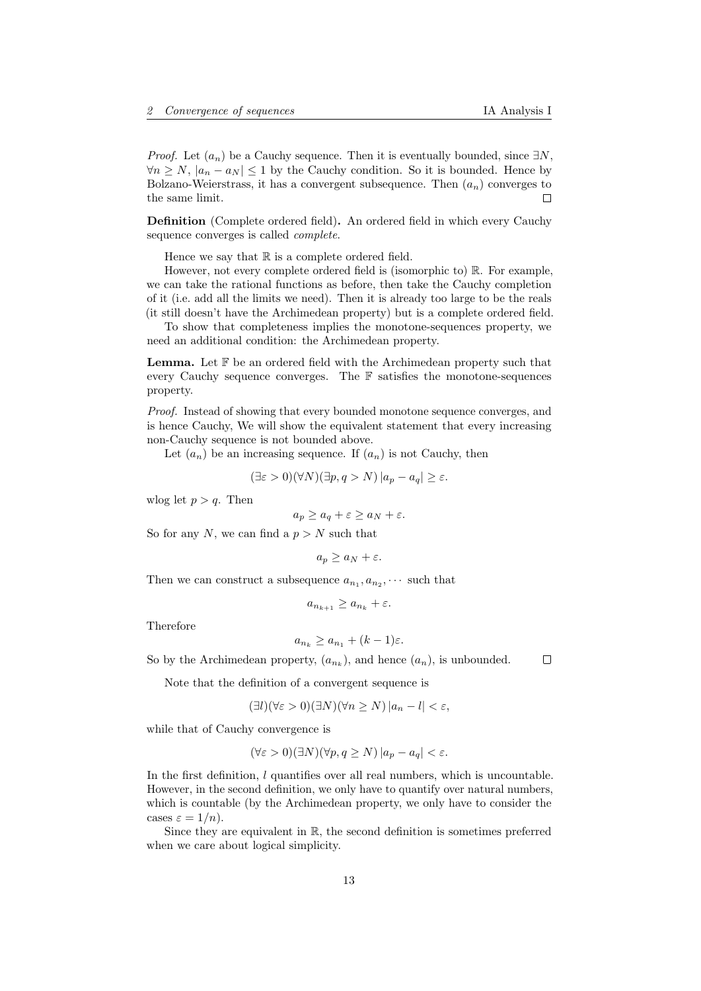*Proof.* Let  $(a_n)$  be a Cauchy sequence. Then it is eventually bounded, since  $\exists N$ ,  $\forall n \geq N, |a_n - a_N| \leq 1$  by the Cauchy condition. So it is bounded. Hence by Bolzano-Weierstrass, it has a convergent subsequence. Then  $(a_n)$  converges to the same limit.

Definition (Complete ordered field). An ordered field in which every Cauchy sequence converges is called complete.

Hence we say that  $\mathbb R$  is a complete ordered field.

However, not every complete ordered field is (isomorphic to) R. For example, we can take the rational functions as before, then take the Cauchy completion of it (i.e. add all the limits we need). Then it is already too large to be the reals (it still doesn't have the Archimedean property) but is a complete ordered field.

To show that completeness implies the monotone-sequences property, we need an additional condition: the Archimedean property.

Lemma. Let F be an ordered field with the Archimedean property such that every Cauchy sequence converges. The  $\mathbb F$  satisfies the monotone-sequences property.

Proof. Instead of showing that every bounded monotone sequence converges, and is hence Cauchy, We will show the equivalent statement that every increasing non-Cauchy sequence is not bounded above.

Let  $(a_n)$  be an increasing sequence. If  $(a_n)$  is not Cauchy, then

$$
(\exists \varepsilon > 0)(\forall N)(\exists p, q > N) |a_p - a_q| \ge \varepsilon.
$$

wlog let  $p > q$ . Then

$$
a_p \ge a_q + \varepsilon \ge a_N + \varepsilon.
$$

So for any N, we can find a  $p > N$  such that

$$
a_p \ge a_N + \varepsilon.
$$

Then we can construct a subsequence  $a_{n_1}, a_{n_2}, \cdots$  such that

$$
a_{n_{k+1}} \ge a_{n_k} + \varepsilon.
$$

Therefore

$$
a_{n_k} \ge a_{n_1} + (k-1)\varepsilon.
$$

So by the Archimedean property,  $(a_{n_k})$ , and hence  $(a_n)$ , is unbounded.

Note that the definition of a convergent sequence is

$$
(\exists l)(\forall \varepsilon > 0)(\exists N)(\forall n \ge N) |a_n - l| < \varepsilon,
$$

while that of Cauchy convergence is

$$
(\forall \varepsilon > 0)(\exists N)(\forall p, q \ge N) |a_p - a_q| < \varepsilon.
$$

In the first definition,  $l$  quantifies over all real numbers, which is uncountable. However, in the second definition, we only have to quantify over natural numbers, which is countable (by the Archimedean property, we only have to consider the cases  $\varepsilon = 1/n$ .

Since they are equivalent in  $\mathbb{R}$ , the second definition is sometimes preferred when we care about logical simplicity.

□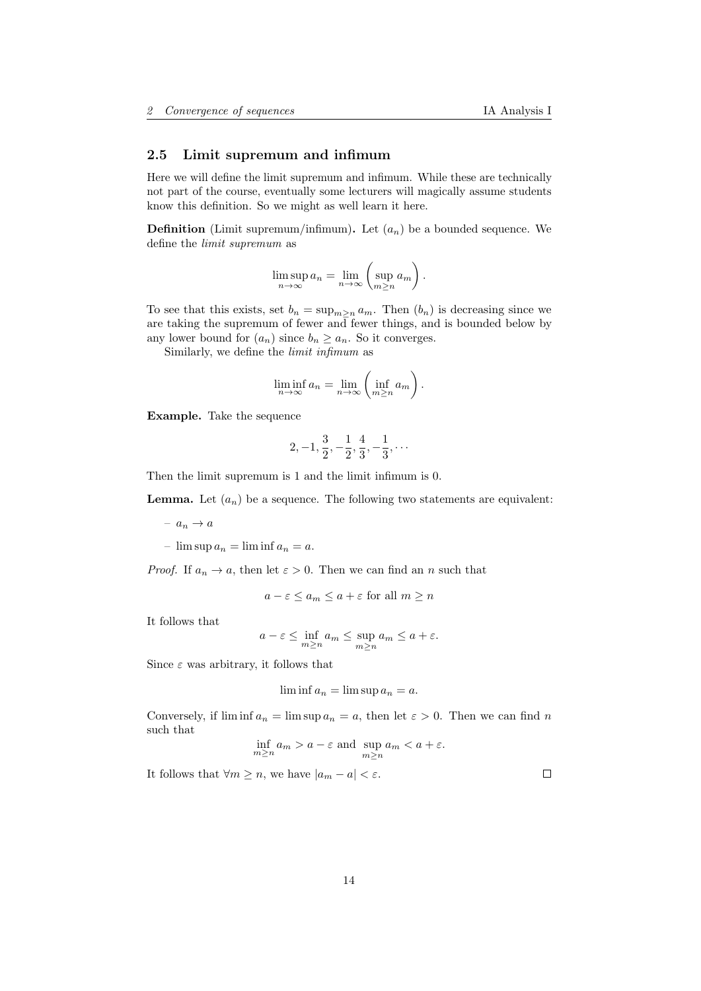# <span id="page-13-0"></span>2.5 Limit supremum and infimum

Here we will define the limit supremum and infimum. While these are technically not part of the course, eventually some lecturers will magically assume students know this definition. So we might as well learn it here.

**Definition** (Limit supremum/infimum). Let  $(a_n)$  be a bounded sequence. We define the limit supremum as

$$
\limsup_{n \to \infty} a_n = \lim_{n \to \infty} \left( \sup_{m \ge n} a_m \right).
$$

To see that this exists, set  $b_n = \sup_{m \geq n} a_m$ . Then  $(b_n)$  is decreasing since we are taking the supremum of fewer and fewer things, and is bounded below by any lower bound for  $(a_n)$  since  $b_n \geq a_n$ . So it converges.

Similarly, we define the limit infimum as

$$
\liminf_{n \to \infty} a_n = \lim_{n \to \infty} \left( \inf_{m \ge n} a_m \right).
$$

Example. Take the sequence

$$
2, -1, \frac{3}{2}, -\frac{1}{2}, \frac{4}{3}, -\frac{1}{3}, \cdots
$$

Then the limit supremum is 1 and the limit infimum is 0.

**Lemma.** Let  $(a_n)$  be a sequence. The following two statements are equivalent:

 $- a_n \rightarrow a$ 

–  $\limsup a_n = \liminf a_n = a$ .

*Proof.* If  $a_n \to a$ , then let  $\varepsilon > 0$ . Then we can find an n such that

$$
a - \varepsilon \le a_m \le a + \varepsilon
$$
 for all  $m \ge n$ 

It follows that

$$
a - \varepsilon \le \inf_{m \ge n} a_m \le \sup_{m \ge n} a_m \le a + \varepsilon.
$$

Since  $\varepsilon$  was arbitrary, it follows that

$$
\liminf a_n = \limsup a_n = a.
$$

Conversely, if  $\liminf a_n = \limsup a_n = a$ , then let  $\varepsilon > 0$ . Then we can find n such that

$$
\inf_{m\geq n} a_m > a-\varepsilon \text{ and } \sup_{m\geq n} a_m < a+\varepsilon.
$$

It follows that  $\forall m \geq n$ , we have  $|a_m - a| < \varepsilon$ .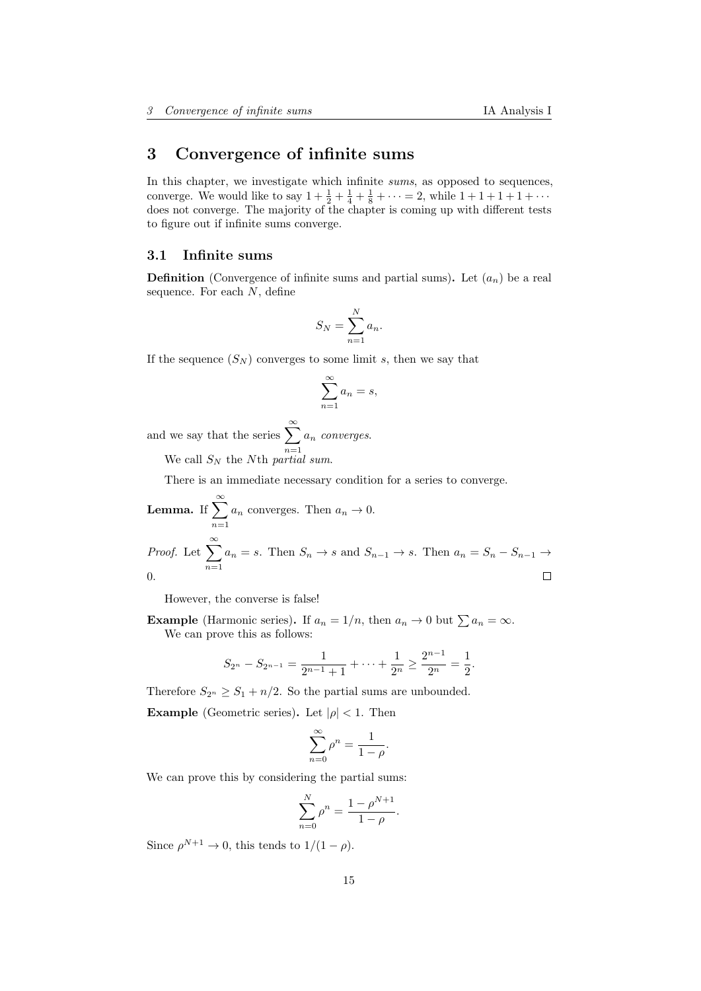# <span id="page-14-0"></span>3 Convergence of infinite sums

In this chapter, we investigate which infinite sums, as opposed to sequences, converge. We would like to say  $1 + \frac{1}{2} + \frac{1}{4} + \frac{1}{8} + \cdots = 2$ , while  $1 + 1 + 1 + 1 + \cdots$ does not converge. The majority of the chapter is coming up with different tests to figure out if infinite sums converge.

# <span id="page-14-1"></span>3.1 Infinite sums

**Definition** (Convergence of infinite sums and partial sums). Let  $(a_n)$  be a real sequence. For each  $N$ , define

$$
S_N = \sum_{n=1}^N a_n.
$$

If the sequence  $(S_N)$  converges to some limit s, then we say that

$$
\sum_{n=1}^{\infty} a_n = s,
$$

and we say that the series  $\sum_{n=1}^{\infty}$  $n=1$  $a_n$  converges.

We call  $S_N$  the Nth partial sum.

There is an immediate necessary condition for a series to converge.

**Lemma.** If 
$$
\sum_{n=1}^{\infty} a_n
$$
 converges. Then  $a_n \to 0$ .  
\n*Proof.* Let  $\sum_{n=1}^{\infty} a_n = s$ . Then  $S_n \to s$  and  $S_{n-1} \to s$ . Then  $a_n = S_n - S_{n-1} \to 0$ .

However, the converse is false!

**Example** (Harmonic series). If  $a_n = 1/n$ , then  $a_n \to 0$  but  $\sum a_n = \infty$ . We can prove this as follows:

$$
S_{2^{n}} - S_{2^{n-1}} = \frac{1}{2^{n-1}+1} + \dots + \frac{1}{2^{n}} \ge \frac{2^{n-1}}{2^{n}} = \frac{1}{2}.
$$

Therefore  $S_{2^n} \geq S_1 + n/2$ . So the partial sums are unbounded.

**Example** (Geometric series). Let  $|\rho| < 1$ . Then

$$
\sum_{n=0}^{\infty} \rho^n = \frac{1}{1-\rho}
$$

.

We can prove this by considering the partial sums:

$$
\sum_{n=0}^{N} \rho^{n} = \frac{1 - \rho^{N+1}}{1 - \rho}.
$$

Since  $\rho^{N+1} \to 0$ , this tends to  $1/(1-\rho)$ .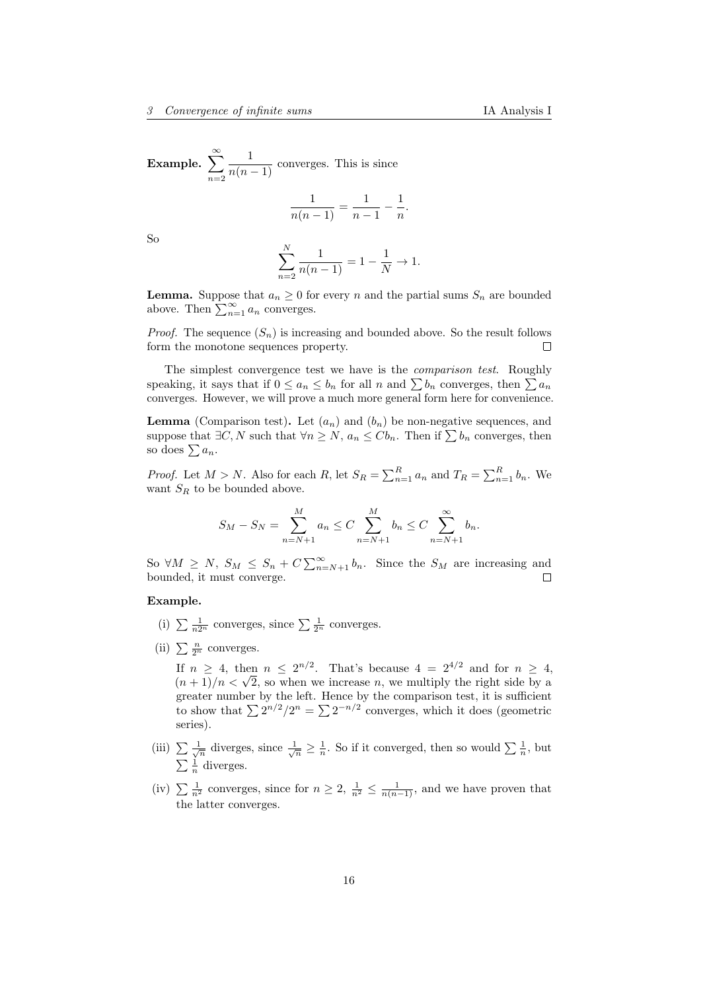Example.  $\sum_{n=1}^{\infty}$  $n=2$  $\frac{1}{n(n-1)}$  converges. This is since

$$
\frac{1}{n(n-1)} = \frac{1}{n-1} - \frac{1}{n}.
$$

So

$$
\sum_{n=2}^{N} \frac{1}{n(n-1)} = 1 - \frac{1}{N} \to 1.
$$

**Lemma.** Suppose that  $a_n \geq 0$  for every n and the partial sums  $S_n$  are bounded above. Then  $\sum_{n=1}^{\infty} a_n$  converges.

*Proof.* The sequence  $(S_n)$  is increasing and bounded above. So the result follows form the monotone sequences property.  $\Box$ 

The simplest convergence test we have is the comparison test. Roughly speaking, it says that if  $0 \le a_n \le b_n$  for all n and  $\sum b_n$  converges, then  $\sum a_n$ converges. However, we will prove a much more general form here for convenience.

**Lemma** (Comparison test). Let  $(a_n)$  and  $(b_n)$  be non-negative sequences, and suppose that  $\exists C, N$  such that  $\forall n \geq N$ ,  $a_n \leq C b_n$ . Then if  $\sum b_n$  converges, then so does  $\sum a_n$ .

*Proof.* Let  $M > N$ . Also for each  $R$ , let  $S_R = \sum_{n=1}^R a_n$  and  $T_R = \sum_{n=1}^R b_n$ . We want  $S_R$  to be bounded above.

$$
S_M - S_N = \sum_{n=N+1}^{M} a_n \le C \sum_{n=N+1}^{M} b_n \le C \sum_{n=N+1}^{\infty} b_n.
$$

So  $\forall M \geq N$ ,  $S_M \leq S_n + C \sum_{n=N+1}^{\infty} b_n$ . Since the  $S_M$  are increasing and bounded, it must converge. П

# Example.

- (i)  $\sum \frac{1}{n2^n}$  converges, since  $\sum \frac{1}{2^n}$  converges.
- (ii)  $\sum \frac{n}{2^n}$  converges.

If  $n \geq 4$ , then  $n \leq 2^{n/2}$ . That's because  $4 = 2^{4/2}$  and for  $n \geq 4$ , If  $n \geq 4$ , then  $n \leq 2^{n-2}$ . That's because  $4 = 2^{n-2}$  and for  $n \geq 4$ ,  $(n+1)/n < \sqrt{2}$ , so when we increase n, we multiply the right side by a greater number by the left. Hence by the comparison test, it is sufficient to show that  $\sum 2^{n/2}/2^n = \sum 2^{-n/2}$  converges, which it does (geometric series).

- (iii)  $\sum \frac{1}{\sqrt{n}}$  diverges, since  $\frac{1}{\sqrt{n}} \geq \frac{1}{n}$ . So if it converged, then so would  $\sum \frac{1}{n}$ , but  $\sum \frac{1}{n}$  diverges.
- (iv)  $\sum \frac{1}{n^2}$  converges, since for  $n \geq 2$ ,  $\frac{1}{n^2} \leq \frac{1}{n(n-1)}$ , and we have proven that the latter converges.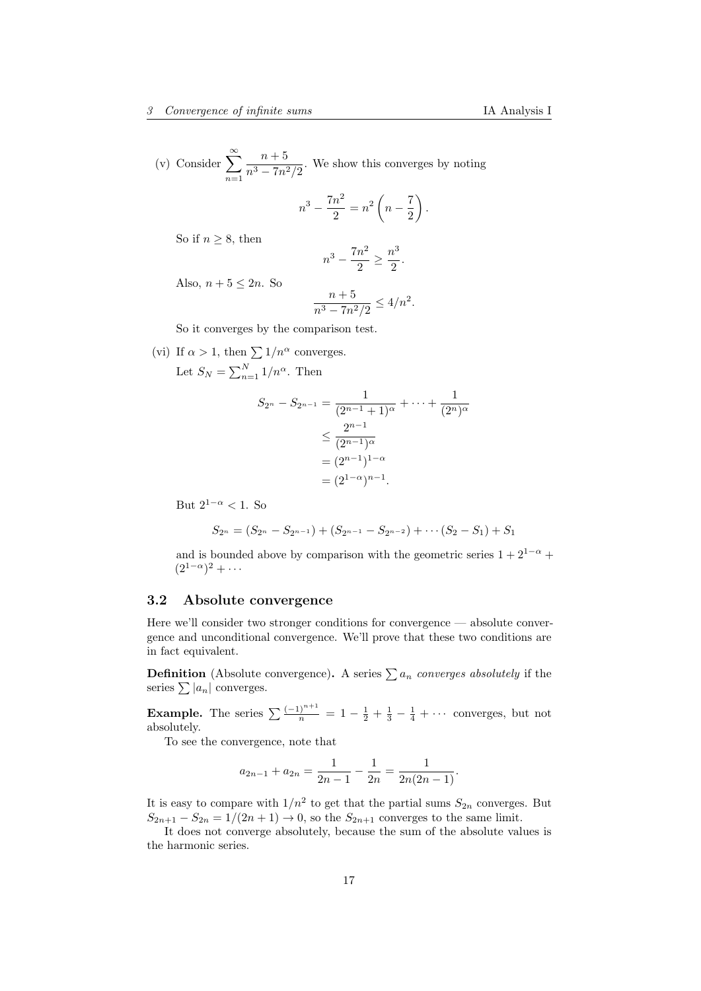(v) Consider  $\sum_{n=1}^{\infty}$  $n=1$  $n+5$  $\frac{n+3}{n^3-7n^2/2}$ . We show this converges by noting

$$
n^3 - \frac{7n^2}{2} = n^2 \left( n - \frac{7}{2} \right).
$$

So if  $n \geq 8$ , then

$$
n^3 - \frac{7n^2}{2} \ge \frac{n^3}{2}.
$$

Also,  $n+5 \leq 2n$ . So

$$
\frac{n+5}{n^3 - 7n^2/2} \le 4/n^2.
$$

So it converges by the comparison test.

(vi) If  $\alpha > 1$ , then  $\sum 1/n^{\alpha}$  converges. Let  $S_N = \sum_{n=1}^N 1/n^{\alpha}$ . Then

$$
S_{2^n} - S_{2^{n-1}} = \frac{1}{(2^{n-1}+1)^{\alpha}} + \dots + \frac{1}{(2^n)^{\alpha}}
$$
  
\n
$$
\leq \frac{2^{n-1}}{(2^{n-1})^{\alpha}}
$$
  
\n
$$
= (2^{n-1})^{1-\alpha}
$$
  
\n
$$
= (2^{1-\alpha})^{n-1}.
$$

But  $2^{1-\alpha} < 1$ . So

$$
S_{2^n} = (S_{2^n} - S_{2^{n-1}}) + (S_{2^{n-1}} - S_{2^{n-2}}) + \cdots + (S_2 - S_1) + S_1
$$

and is bounded above by comparison with the geometric series  $1 + 2^{1-\alpha}$  +  $(2^{1-\alpha})^2 + \cdots$ 

# <span id="page-16-0"></span>3.2 Absolute convergence

Here we'll consider two stronger conditions for convergence — absolute convergence and unconditional convergence. We'll prove that these two conditions are in fact equivalent.

**Definition** (Absolute convergence). A series  $\sum a_n$  converges absolutely if the series  $\sum |a_n|$  converges.

**Example.** The series  $\sum_{n=1}^{\infty} \frac{(-1)^{n+1}}{n} = 1 - \frac{1}{2} + \frac{1}{3} - \frac{1}{4} + \cdots$  converges, but not absolutely.

To see the convergence, note that

$$
a_{2n-1} + a_{2n} = \frac{1}{2n-1} - \frac{1}{2n} = \frac{1}{2n(2n-1)}.
$$

It is easy to compare with  $1/n^2$  to get that the partial sums  $S_{2n}$  converges. But  $S_{2n+1} - S_{2n} = 1/(2n+1) \rightarrow 0$ , so the  $S_{2n+1}$  converges to the same limit.

It does not converge absolutely, because the sum of the absolute values is the harmonic series.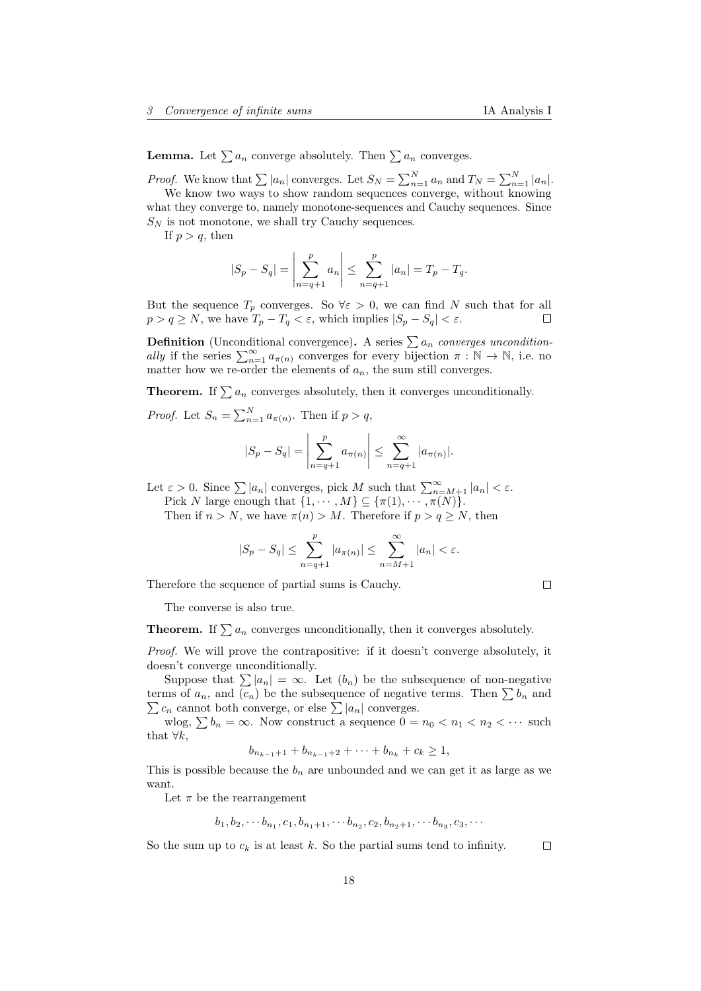**Lemma.** Let  $\sum a_n$  converge absolutely. Then  $\sum a_n$  converges.

*Proof.* We know that  $\sum |a_n|$  converges. Let  $S_N = \sum_{n=1}^N a_n$  and  $T_N = \sum_{n=1}^N |a_n|$ .

We know two ways to show random sequences converge, without knowing what they converge to, namely monotone-sequences and Cauchy sequences. Since  $S_N$  is not monotone, we shall try Cauchy sequences.

If  $p > q$ , then

$$
|S_p - S_q| = \left| \sum_{n=q+1}^p a_n \right| \le \sum_{n=q+1}^p |a_n| = T_p - T_q.
$$

But the sequence  $T_p$  converges. So  $\forall \varepsilon > 0$ , we can find N such that for all  $p > q \ge N$ , we have  $T_p - T_q < \varepsilon$ , which implies  $|S_p - S_q| < \varepsilon$ .  $\Box$ 

**Definition** (Unconditional convergence). A series  $\sum a_n$  converges unconditionally if the series  $\sum_{n=1}^{\infty} a_{\pi(n)}$  converges for every bijection  $\pi : \mathbb{N} \to \mathbb{N}$ , i.e. no matter how we re-order the elements of  $a_n$ , the sum still converges.

**Theorem.** If  $\sum a_n$  converges absolutely, then it converges unconditionally.

*Proof.* Let  $S_n = \sum_{n=1}^N a_{\pi(n)}$ . Then if  $p > q$ ,

$$
|S_p - S_q| = \left| \sum_{n=q+1}^p a_{\pi(n)} \right| \le \sum_{n=q+1}^\infty |a_{\pi(n)}|.
$$

Let  $\varepsilon > 0$ . Since  $\sum |a_n|$  converges, pick M such that  $\sum_{n=M+1}^{\infty} |a_n| < \varepsilon$ .

Pick N large enough that  $\{1, \dots, M\} \subseteq \{\pi(1), \dots, \pi(N)\}.$ 

Then if  $n > N$ , we have  $\pi(n) > M$ . Therefore if  $p > q \ge N$ , then

$$
|S_p - S_q| \le \sum_{n=q+1}^p |a_{\pi(n)}| \le \sum_{n=M+1}^\infty |a_n| < \varepsilon.
$$

Therefore the sequence of partial sums is Cauchy.

 $\Box$ 

The converse is also true.

**Theorem.** If  $\sum a_n$  converges unconditionally, then it converges absolutely.

Proof. We will prove the contrapositive: if it doesn't converge absolutely, it doesn't converge unconditionally.

Suppose that  $\sum |a_n| = \infty$ . Let  $(b_n)$  be the subsequence of non-negative terms of  $a_n$ , and  $(c_n)$  be the subsequence of negative terms. Then  $\sum b_n$  and  $\sum c_n$  cannot both converge, or else  $\sum |a_n|$  converges.

wlog,  $\sum b_n = \infty$ . Now construct a sequence  $0 = n_0 < n_1 < n_2 < \cdots$  such that  $\forall k$ ,

$$
b_{n_{k-1}+1} + b_{n_{k-1}+2} + \cdots + b_{n_k} + c_k \ge 1,
$$

This is possible because the  $b_n$  are unbounded and we can get it as large as we want.

Let  $\pi$  be the rearrangement

$$
b_1, b_2, \cdots b_{n_1}, c_1, b_{n_1+1}, \cdots b_{n_2}, c_2, b_{n_2+1}, \cdots b_{n_3}, c_3, \cdots
$$

So the sum up to  $c_k$  is at least k. So the partial sums tend to infinity.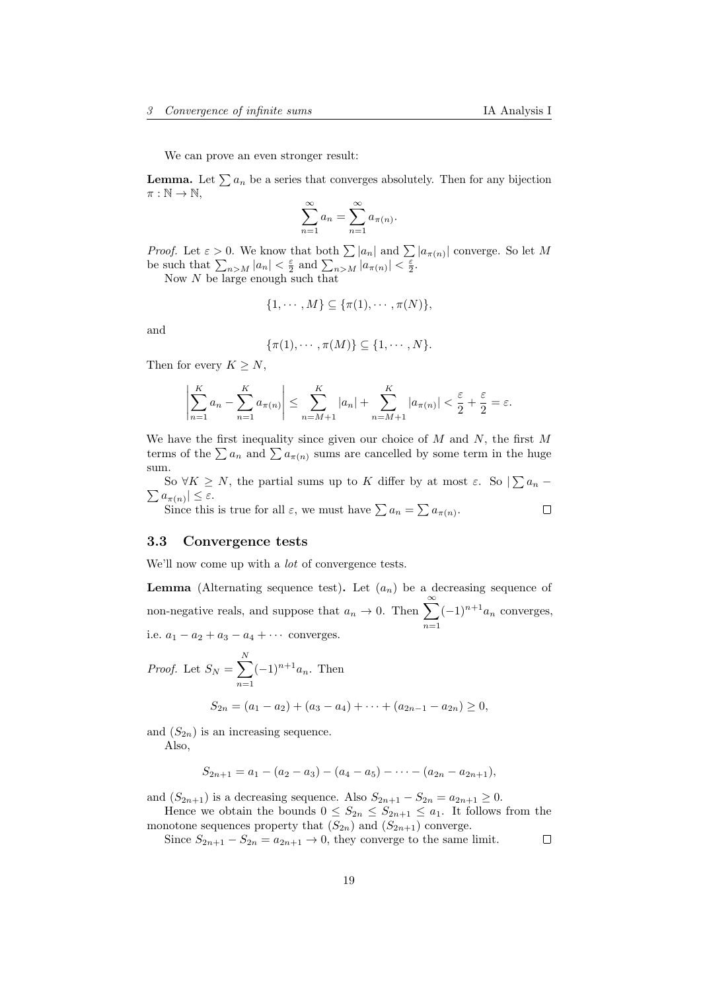We can prove an even stronger result:

**Lemma.** Let  $\sum a_n$  be a series that converges absolutely. Then for any bijection  $\pi : \mathbb{N} \to \mathbb{N},$ 

$$
\sum_{n=1}^{\infty} a_n = \sum_{n=1}^{\infty} a_{\pi(n)}.
$$

*Proof.* Let  $\varepsilon > 0$ . We know that both  $\sum |a_n|$  and  $\sum |a_{\pi(n)}|$  converge. So let M be such that  $\sum_{n>M} |a_n| < \frac{\varepsilon}{2}$  and  $\sum_{n>M} |a_{\pi(n)}| < \frac{\varepsilon}{2}$ .

Now N be large enough such that

$$
\{1,\cdots,M\}\subseteq\{\pi(1),\cdots,\pi(N)\},\
$$

and

$$
\{\pi(1),\cdots,\pi(M)\}\subseteq\{1,\cdots,N\}.
$$

Then for every  $K \geq N$ ,

$$
\left|\sum_{n=1}^K a_n - \sum_{n=1}^K a_{\pi(n)}\right| \le \sum_{n=M+1}^K |a_n| + \sum_{n=M+1}^K |a_{\pi(n)}| < \frac{\varepsilon}{2} + \frac{\varepsilon}{2} = \varepsilon.
$$

We have the first inequality since given our choice of  $M$  and  $N$ , the first  $M$ terms of the  $\sum a_n$  and  $\sum a_{\pi(n)}$  sums are cancelled by some term in the huge sum.

So  $\forall K \geq N$ , the partial sums up to K differ by at most  $\varepsilon$ . So  $\sum a_n$  –  $\sum a_{\pi(n)} \leq \varepsilon.$ 

 $\Box$ Since this is true for all  $\varepsilon$ , we must have  $\sum a_n = \sum a_{\pi(n)}$ .

### <span id="page-18-0"></span>3.3 Convergence tests

We'll now come up with a *lot* of convergence tests.

**Lemma** (Alternating sequence test). Let  $(a_n)$  be a decreasing sequence of non-negative reals, and suppose that  $a_n \to 0$ . Then  $\sum_{n=1}^{\infty}$  $n=1$  $(-1)^{n+1}a_n$  converges, i.e.  $a_1 - a_2 + a_3 - a_4 + \cdots$  converges.

*Proof.* Let  $S_N = \sum_{i=1}^N$  $n=1$  $(-1)^{n+1}a_n$ . Then

$$
S_{2n} = (a_1 - a_2) + (a_3 - a_4) + \cdots + (a_{2n-1} - a_{2n}) \ge 0,
$$

and  $(S_{2n})$  is an increasing sequence.

Also,

$$
S_{2n+1} = a_1 - (a_2 - a_3) - (a_4 - a_5) - \cdots - (a_{2n} - a_{2n+1}),
$$

and  $(S_{2n+1})$  is a decreasing sequence. Also  $S_{2n+1} - S_{2n} = a_{2n+1} \geq 0$ .

Hence we obtain the bounds  $0 \leq S_{2n} \leq S_{2n+1} \leq a_1$ . It follows from the monotone sequences property that  $(S_{2n})$  and  $(S_{2n+1})$  converge.

Since  $S_{2n+1} - S_{2n} = a_{2n+1} \rightarrow 0$ , they converge to the same limit.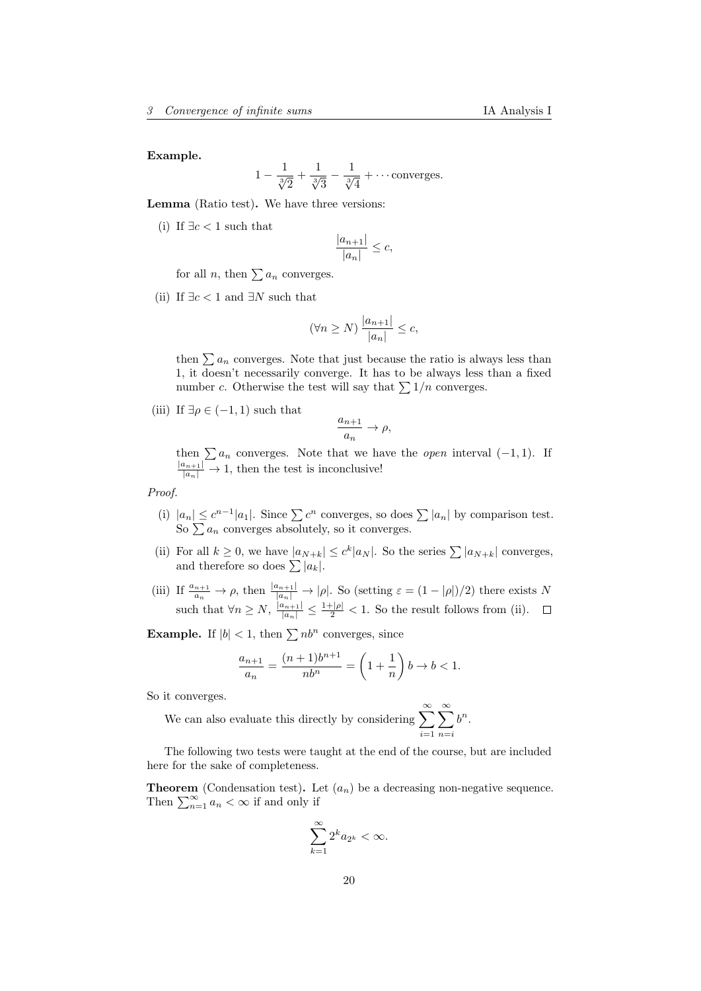Example.

$$
1 - \frac{1}{\sqrt[3]{2}} + \frac{1}{\sqrt[3]{3}} - \frac{1}{\sqrt[3]{4}} + \cdots
$$
 converges.

Lemma (Ratio test). We have three versions:

(i) If  $\exists c < 1$  such that

$$
\frac{|a_{n+1}|}{|a_n|} \le c,
$$

for all *n*, then  $\sum a_n$  converges.

(ii) If  $\exists c < 1$  and  $\exists N$  such that

$$
(\forall n \ge N) \frac{|a_{n+1}|}{|a_n|} \le c,
$$

then  $\sum a_n$  converges. Note that just because the ratio is always less than 1, it doesn't necessarily converge. It has to be always less than a fixed number c. Otherwise the test will say that  $\sum 1/n$  converges.

(iii) If  $\exists \rho \in (-1,1)$  such that

$$
\frac{a_{n+1}}{a_n}\to \rho,
$$

then  $\sum a_n$  converges. Note that we have the *open* interval  $(-1, 1)$ . If  $\frac{|a_{n+1}|}{|a_n|} \to 1$ , then the test is inconclusive!

#### Proof.

- (i)  $|a_n| \leq c^{n-1} |a_1|$ . Since  $\sum c^n$  converges, so does  $\sum |a_n|$  by comparison test. So  $\sum a_n$  converges absolutely, so it converges.
- (ii) For all  $k \geq 0$ , we have  $|a_{N+k}| \leq c^k |a_N|$ . So the series  $\sum |a_{N+k}|$  converges, and therefore so does  $\sum |a_k|$ .
- (iii) If  $\frac{a_{n+1}}{a_n} \to \rho$ , then  $\frac{|a_{n+1}|}{|a_n|} \to |\rho|$ . So (setting  $\varepsilon = (1 |\rho|)/2$ ) there exists N such that  $\forall n \geq N$ ,  $\frac{|a_{n+1}|}{|a_n|} \leq \frac{1+|\rho|}{2} < 1$ . So the result follows from (ii).

**Example.** If  $|b| < 1$ , then  $\sum nb^n$  converges, since

$$
\frac{a_{n+1}}{a_n} = \frac{(n+1)b^{n+1}}{nb^n} = \left(1 + \frac{1}{n}\right)b \to b < 1.
$$

So it converges.

We can also evaluate this directly by considering 
$$
\sum_{i=1}^{\infty} \sum_{n=i}^{\infty} b^n.
$$

The following two tests were taught at the end of the course, but are included here for the sake of completeness.

**Theorem** (Condensation test). Let  $(a_n)$  be a decreasing non-negative sequence. Then  $\sum_{n=1}^{\infty} a_n < \infty$  if and only if

$$
\sum_{k=1}^\infty 2^k a_{2^k}<\infty.
$$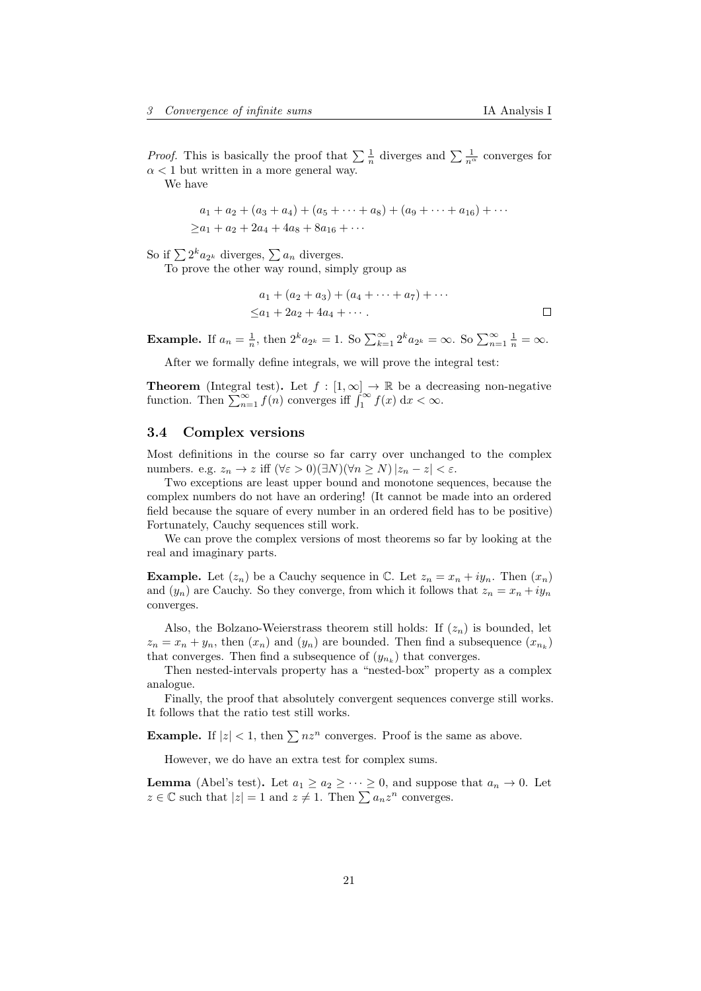*Proof.* This is basically the proof that  $\sum \frac{1}{n}$  diverges and  $\sum \frac{1}{n^{\alpha}}$  converges for  $\alpha$  < 1 but written in a more general way.

We have

$$
a_1 + a_2 + (a_3 + a_4) + (a_5 + \dots + a_8) + (a_9 + \dots + a_{16}) + \dots
$$
  

$$
\ge a_1 + a_2 + 2a_4 + 4a_8 + 8a_{16} + \dots
$$

So if  $\sum 2^k a_{2^k}$  diverges,  $\sum a_n$  diverges.

To prove the other way round, simply group as

$$
a_1 + (a_2 + a_3) + (a_4 + \dots + a_7) + \dots
$$
  

$$
\leq a_1 + 2a_2 + 4a_4 + \dots
$$

**Example.** If  $a_n = \frac{1}{n}$ , then  $2^k a_{2^k} = 1$ . So  $\sum_{k=1}^{\infty} 2^k a_{2^k} = \infty$ . So  $\sum_{n=1}^{\infty} \frac{1}{n} = \infty$ .

After we formally define integrals, we will prove the integral test:

**Theorem** (Integral test). Let  $f : [1, \infty] \to \mathbb{R}$  be a decreasing non-negative function. Then  $\sum_{n=1}^{\infty} f(n)$  converges iff  $\int_{1}^{\infty} f(x) dx < \infty$ .

# <span id="page-20-0"></span>3.4 Complex versions

Most definitions in the course so far carry over unchanged to the complex numbers. e.g.  $z_n \to z$  iff  $(\forall \varepsilon > 0)(\exists N)(\forall n > N) |z_n - z| < \varepsilon$ .

Two exceptions are least upper bound and monotone sequences, because the complex numbers do not have an ordering! (It cannot be made into an ordered field because the square of every number in an ordered field has to be positive) Fortunately, Cauchy sequences still work.

We can prove the complex versions of most theorems so far by looking at the real and imaginary parts.

**Example.** Let  $(z_n)$  be a Cauchy sequence in  $\mathbb{C}$ . Let  $z_n = x_n + iy_n$ . Then  $(x_n)$ and  $(y_n)$  are Cauchy. So they converge, from which it follows that  $z_n = x_n + iy_n$ converges.

Also, the Bolzano-Weierstrass theorem still holds: If  $(z_n)$  is bounded, let  $z_n = x_n + y_n$ , then  $(x_n)$  and  $(y_n)$  are bounded. Then find a subsequence  $(x_{n_k})$ that converges. Then find a subsequence of  $(y_{n_k})$  that converges.

Then nested-intervals property has a "nested-box" property as a complex analogue.

Finally, the proof that absolutely convergent sequences converge still works. It follows that the ratio test still works.

**Example.** If  $|z| < 1$ , then  $\sum nz^n$  converges. Proof is the same as above.

However, we do have an extra test for complex sums.

**Lemma** (Abel's test). Let  $a_1 \ge a_2 \ge \cdots \ge 0$ , and suppose that  $a_n \to 0$ . Let  $z \in \mathbb{C}$  such that  $|z| = 1$  and  $z \neq 1$ . Then  $\sum a_n z^n$  converges.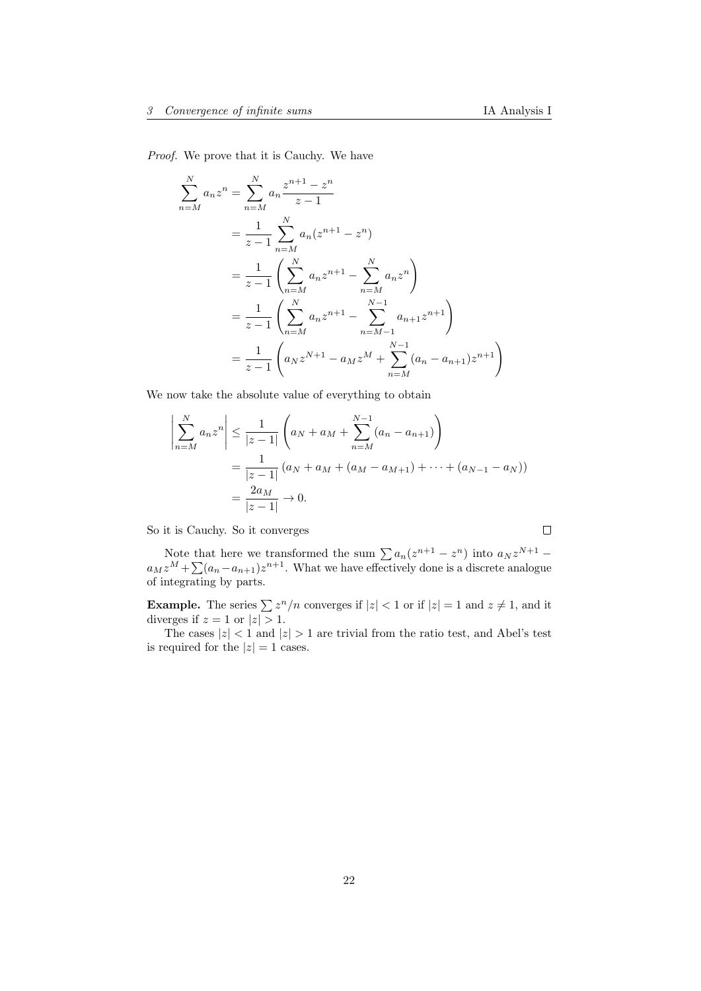Proof. We prove that it is Cauchy. We have

$$
\sum_{n=M}^{N} a_n z^n = \sum_{n=M}^{N} a_n \frac{z^{n+1} - z^n}{z - 1}
$$
  
=  $\frac{1}{z - 1} \sum_{n=M}^{N} a_n (z^{n+1} - z^n)$   
=  $\frac{1}{z - 1} \left( \sum_{n=M}^{N} a_n z^{n+1} - \sum_{n=M}^{N} a_n z^n \right)$   
=  $\frac{1}{z - 1} \left( \sum_{n=M}^{N} a_n z^{n+1} - \sum_{n=M-1}^{N-1} a_{n+1} z^{n+1} \right)$   
=  $\frac{1}{z - 1} \left( a_N z^{N+1} - a_M z^M + \sum_{n=M}^{N-1} (a_n - a_{n+1}) z^{n+1} \right)$ 

We now take the absolute value of everything to obtain

$$
\left| \sum_{n=M}^{N} a_n z^n \right| \leq \frac{1}{|z-1|} \left( a_N + a_M + \sum_{n=M}^{N-1} (a_n - a_{n+1}) \right)
$$
  
= 
$$
\frac{1}{|z-1|} (a_N + a_M + (a_M - a_{M+1}) + \dots + (a_{N-1} - a_N))
$$
  
= 
$$
\frac{2a_M}{|z-1|} \to 0.
$$

So it is Cauchy. So it converges

Note that here we transformed the sum  $\sum a_n(z^{n+1} - z^n)$  into  $a_N z^{N+1}$  $a_M z^M + \sum_{n=1}^{\infty} (a_n - a_{n+1}) z^{n+1}$ . What we have effectively done is a discrete analogue of integrating by parts.

**Example.** The series  $\sum z^n/n$  converges if  $|z| < 1$  or if  $|z| = 1$  and  $z \neq 1$ , and it diverges if  $z = 1$  or  $|z| > 1$ .

The cases  $|z| < 1$  and  $|z| > 1$  are trivial from the ratio test, and Abel's test is required for the  $|z|=1$  cases.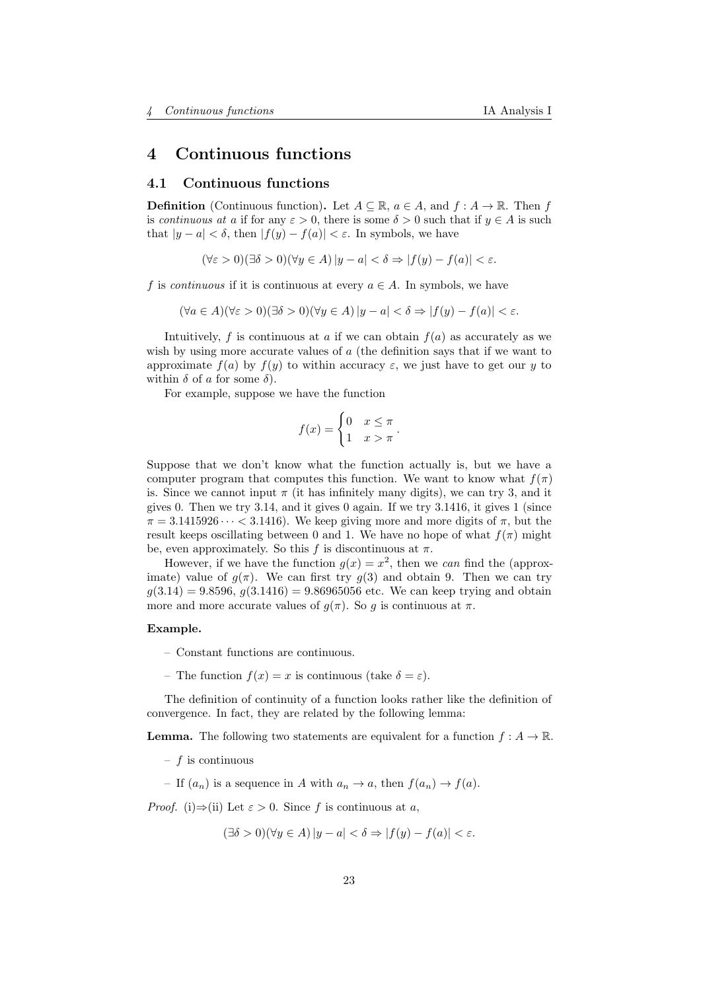# <span id="page-22-0"></span>4 Continuous functions

## <span id="page-22-1"></span>4.1 Continuous functions

**Definition** (Continuous function). Let  $A \subseteq \mathbb{R}$ ,  $a \in A$ , and  $f : A \to \mathbb{R}$ . Then f is continuous at a if for any  $\varepsilon > 0$ , there is some  $\delta > 0$  such that if  $y \in A$  is such that  $|y - a| < \delta$ , then  $|f(y) - f(a)| < \varepsilon$ . In symbols, we have

 $(\forall \varepsilon > 0)(\exists \delta > 0)(\forall y \in A) |y - a| < \delta \Rightarrow |f(y) - f(a)| < \varepsilon.$ 

f is *continuous* if it is continuous at every  $a \in A$ . In symbols, we have

 $(\forall a \in A)(\forall \varepsilon > 0)(\exists \delta > 0)(\forall y \in A)|y - a| < \delta \Rightarrow |f(y) - f(a)| < \varepsilon.$ 

Intuitively, f is continuous at a if we can obtain  $f(a)$  as accurately as we wish by using more accurate values of a (the definition says that if we want to approximate  $f(a)$  by  $f(y)$  to within accuracy  $\varepsilon$ , we just have to get our y to within  $\delta$  of a for some  $\delta$ ).

For example, suppose we have the function

$$
f(x) = \begin{cases} 0 & x \leq \pi \\ 1 & x > \pi \end{cases}.
$$

Suppose that we don't know what the function actually is, but we have a computer program that computes this function. We want to know what  $f(\pi)$ is. Since we cannot input  $\pi$  (it has infinitely many digits), we can try 3, and it gives 0. Then we try  $3.14$ , and it gives 0 again. If we try  $3.1416$ , it gives 1 (since  $\pi = 3.1415926 \cdots < 3.1416$ . We keep giving more and more digits of  $\pi$ , but the result keeps oscillating between 0 and 1. We have no hope of what  $f(\pi)$  might be, even approximately. So this f is discontinuous at  $\pi$ .

However, if we have the function  $g(x) = x^2$ , then we can find the (approximate) value of  $q(\pi)$ . We can first try  $q(3)$  and obtain 9. Then we can try  $q(3.14) = 9.8596, q(3.1416) = 9.86965056$  etc. We can keep trying and obtain more and more accurate values of  $g(\pi)$ . So g is continuous at  $\pi$ .

#### Example.

- Constant functions are continuous.
- The function  $f(x) = x$  is continuous (take  $\delta = \varepsilon$ ).

The definition of continuity of a function looks rather like the definition of convergence. In fact, they are related by the following lemma:

**Lemma.** The following two statements are equivalent for a function  $f : A \to \mathbb{R}$ .

- $f$  is continuous
- If  $(a_n)$  is a sequence in A with  $a_n \to a$ , then  $f(a_n) \to f(a)$ .

*Proof.* (i) $\Rightarrow$ (ii) Let  $\varepsilon > 0$ . Since f is continuous at a,

$$
(\exists \delta > 0)(\forall y \in A) |y - a| < \delta \Rightarrow |f(y) - f(a)| < \varepsilon.
$$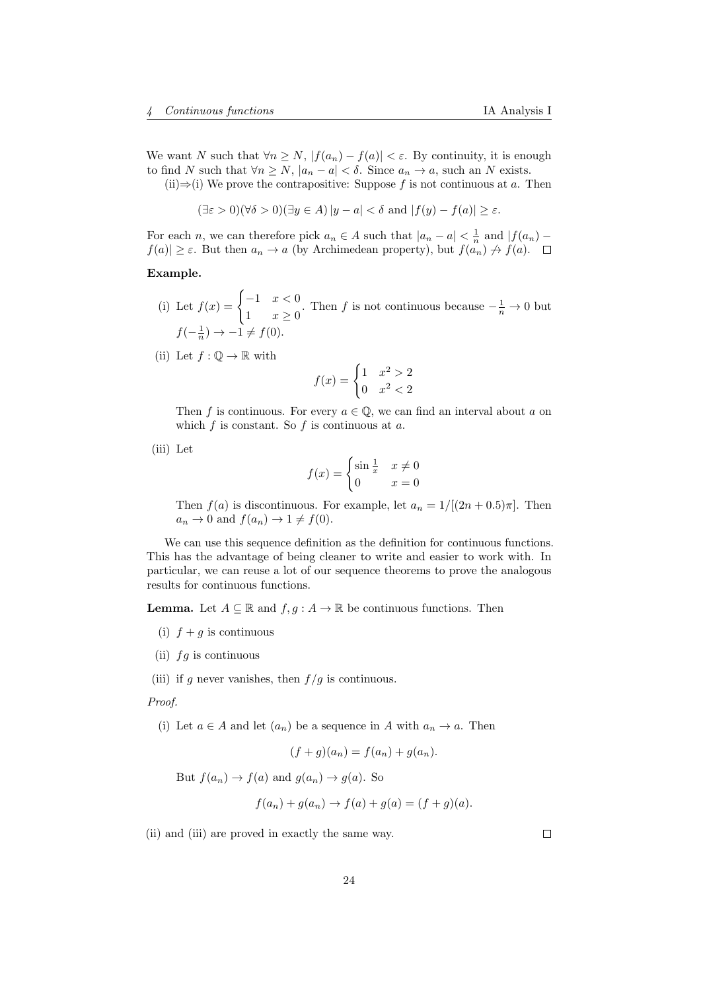We want N such that  $\forall n \ge N, |f(a_n) - f(a)| < \varepsilon$ . By continuity, it is enough to find N such that  $\forall n \ge N$ ,  $|a_n - a| < \delta$ . Since  $a_n \to a$ , such an N exists.

(ii)⇒(i) We prove the contrapositive: Suppose f is not continuous at a. Then

 $(\exists \varepsilon > 0)(\forall \delta > 0)(\exists y \in A) |y - a| < \delta$  and  $|f(y) - f(a)| \ge \varepsilon$ .

For each n, we can therefore pick  $a_n \in A$  such that  $|a_n - a| < \frac{1}{n}$  and  $|f(a_n) |f(a)| \geq \varepsilon$ . But then  $a_n \to a$  (by Archimedean property), but  $f(a_n) \not\to f(a)$ .  $\Box$ 

#### Example.

- (i) Let  $f(x) = \begin{cases} -1 & x < 0 \\ 1 & x \end{cases}$  $\frac{1}{1}$   $x \geq 0$ . Then f is not continuous because  $-\frac{1}{n} \to 0$  but  $f(-\frac{1}{n}) \rightarrow -1 \neq f(0).$
- (ii) Let  $f: \mathbb{Q} \to \mathbb{R}$  with

$$
f(x) = \begin{cases} 1 & x^2 > 2 \\ 0 & x^2 < 2 \end{cases}
$$

Then f is continuous. For every  $a \in \mathbb{Q}$ , we can find an interval about a on which  $f$  is constant. So  $f$  is continuous at  $a$ .

(iii) Let

$$
f(x) = \begin{cases} \sin\frac{1}{x} & x \neq 0 \\ 0 & x = 0 \end{cases}
$$

Then  $f(a)$  is discontinuous. For example, let  $a_n = 1/[(2n+0.5)\pi]$ . Then  $a_n \to 0$  and  $f(a_n) \to 1 \neq f(0)$ .

We can use this sequence definition as the definition for continuous functions. This has the advantage of being cleaner to write and easier to work with. In particular, we can reuse a lot of our sequence theorems to prove the analogous results for continuous functions.

**Lemma.** Let  $A \subseteq \mathbb{R}$  and  $f, g : A \to \mathbb{R}$  be continuous functions. Then

- (i)  $f + g$  is continuous
- (ii)  $fg$  is continuous

(iii) if g never vanishes, then  $f/g$  is continuous.

Proof.

(i) Let  $a \in A$  and let  $(a_n)$  be a sequence in A with  $a_n \to a$ . Then

$$
(f+g)(a_n) = f(a_n) + g(a_n).
$$

But  $f(a_n) \to f(a)$  and  $g(a_n) \to g(a)$ . So

$$
f(a_n) + g(a_n) \to f(a) + g(a) = (f + g)(a).
$$

(ii) and (iii) are proved in exactly the same way.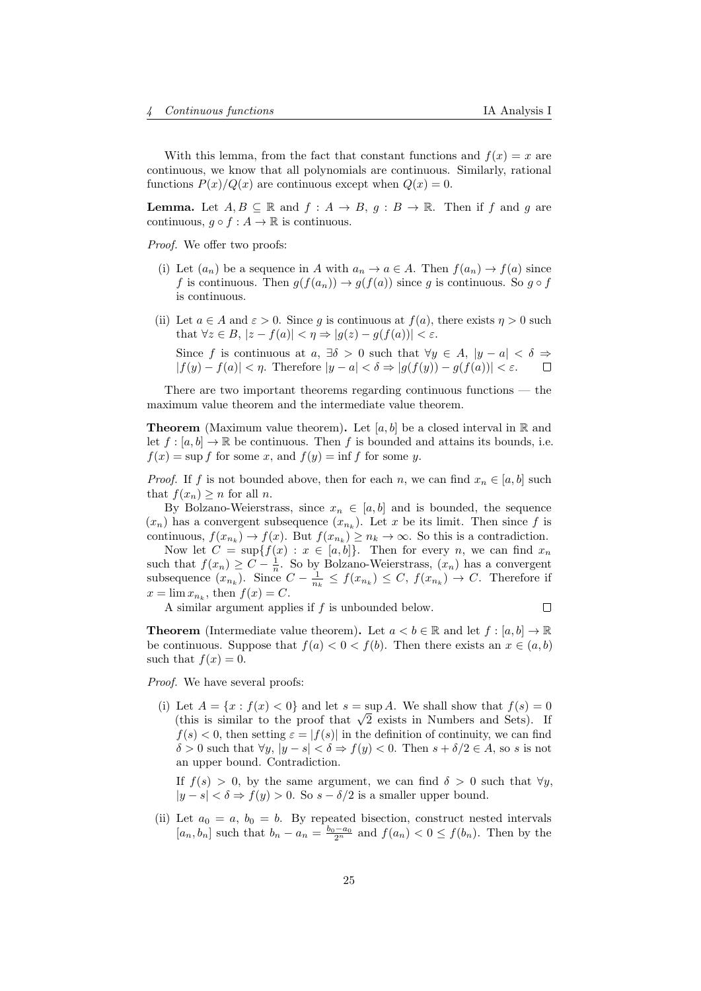With this lemma, from the fact that constant functions and  $f(x) = x$  are continuous, we know that all polynomials are continuous. Similarly, rational functions  $P(x)/Q(x)$  are continuous except when  $Q(x) = 0$ .

**Lemma.** Let  $A, B \subseteq \mathbb{R}$  and  $f : A \rightarrow B$ ,  $g : B \rightarrow \mathbb{R}$ . Then if f and g are continuous,  $g \circ f : A \to \mathbb{R}$  is continuous.

Proof. We offer two proofs:

- (i) Let  $(a_n)$  be a sequence in A with  $a_n \to a \in A$ . Then  $f(a_n) \to f(a)$  since f is continuous. Then  $g(f(a_n)) \to g(f(a))$  since g is continuous. So  $g \circ f$ is continuous.
- (ii) Let  $a \in A$  and  $\varepsilon > 0$ . Since q is continuous at  $f(a)$ , there exists  $\eta > 0$  such that  $\forall z \in B, |z - f(a)| < \eta \Rightarrow |g(z) - g(f(a))| < \varepsilon$ .

Since f is continuous at  $a, \exists \delta > 0$  such that  $\forall y \in A, |y - a| < \delta \Rightarrow$  $|f(y) - f(a)| < \eta$ . Therefore  $|y - a| < \delta \Rightarrow |g(f(y)) - g(f(a))| < \varepsilon$ .  $\Box$ 

There are two important theorems regarding continuous functions — the maximum value theorem and the intermediate value theorem.

**Theorem** (Maximum value theorem). Let [a, b] be a closed interval in R and let  $f : [a, b] \to \mathbb{R}$  be continuous. Then f is bounded and attains its bounds, i.e.  $f(x) = \sup f$  for some x, and  $f(y) = \inf f$  for some y.

*Proof.* If f is not bounded above, then for each n, we can find  $x_n \in [a, b]$  such that  $f(x_n) \geq n$  for all n.

By Bolzano-Weierstrass, since  $x_n \in [a, b]$  and is bounded, the sequence  $(x_n)$  has a convergent subsequence  $(x_{n_k})$ . Let x be its limit. Then since f is continuous,  $f(x_{n_k}) \to f(x)$ . But  $f(x_{n_k}) \geq n_k \to \infty$ . So this is a contradiction.

Now let  $C = \sup\{f(x) : x \in [a, b]\}.$  Then for every n, we can find  $x_n$ such that  $f(x_n) \geq C - \frac{1}{n}$ . So by Bolzano-Weierstrass,  $(x_n)$  has a convergent subsequence  $(x_{n_k})$ . Since  $C - \frac{1}{n_k} \le f(x_{n_k}) \le C$ ,  $f(x_{n_k}) \to C$ . Therefore if  $x = \lim x_{n_k}$ , then  $f(x) = C$ .

A similar argument applies if  $f$  is unbounded below.

 $\Box$ 

**Theorem** (Intermediate value theorem). Let  $a < b \in \mathbb{R}$  and let  $f : [a, b] \to \mathbb{R}$ be continuous. Suppose that  $f(a) < 0 < f(b)$ . Then there exists an  $x \in (a, b)$ such that  $f(x) = 0$ .

Proof. We have several proofs:

(i) Let  $A = \{x : f(x) < 0\}$  and let  $s = \sup A$ . We shall show that  $f(s) = 0$ Let  $A = \{x : f(x) < 0\}$  and let  $s = \sup A$ . We shall show that  $f(s) = 0$ <br>(this is similar to the proof that  $\sqrt{2}$  exists in Numbers and Sets). If  $f(s) < 0$ , then setting  $\varepsilon = |f(s)|$  in the definition of continuity, we can find  $\delta > 0$  such that  $\forall y, |y - s| < \delta \Rightarrow f(y) < 0$ . Then  $s + \delta/2 \in A$ , so s is not an upper bound. Contradiction.

If  $f(s) > 0$ , by the same argument, we can find  $\delta > 0$  such that  $\forall y$ ,  $|y - s| < \delta \Rightarrow f(y) > 0$ . So  $s - \delta/2$  is a smaller upper bound.

(ii) Let  $a_0 = a, b_0 = b$ . By repeated bisection, construct nested intervals  $[a_n, b_n]$  such that  $b_n - a_n = \frac{b_0 - a_0}{2^n}$  and  $f(a_n) < 0 \le f(b_n)$ . Then by the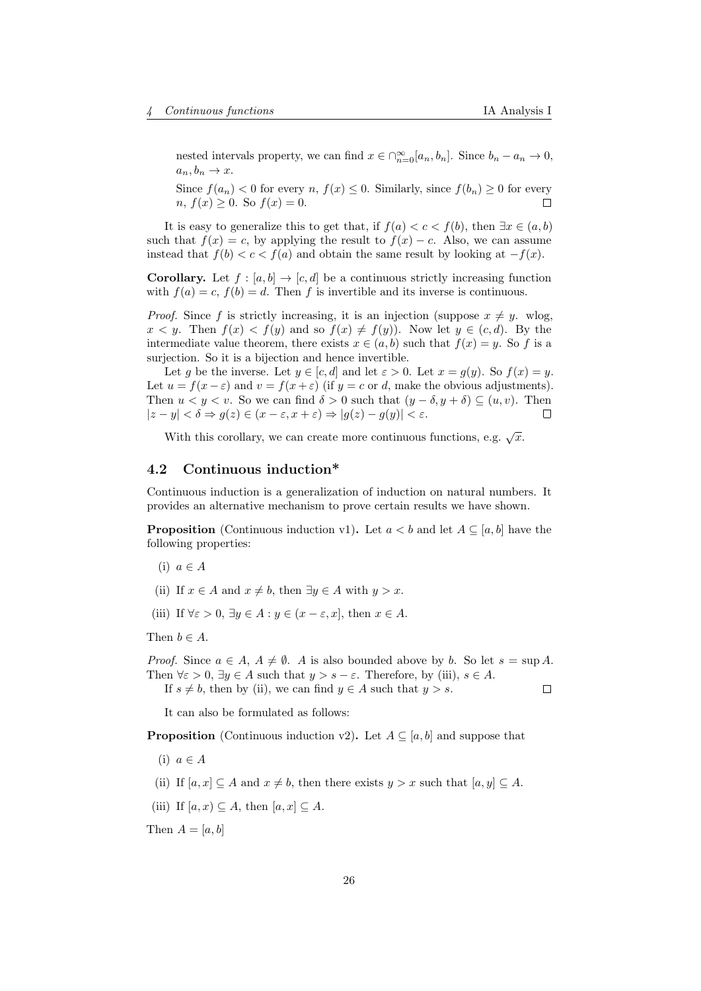nested intervals property, we can find  $x \in \bigcap_{n=0}^{\infty} [a_n, b_n]$ . Since  $b_n - a_n \to 0$ ,  $a_n, b_n \to x$ .

Since  $f(a_n) < 0$  for every  $n, f(x) \leq 0$ . Similarly, since  $f(b_n) \geq 0$  for every  $n, f(x) \geq 0$ . So  $f(x) = 0$ .  $\Box$ 

It is easy to generalize this to get that, if  $f(a) < c < f(b)$ , then  $\exists x \in (a, b)$ such that  $f(x) = c$ , by applying the result to  $f(x) - c$ . Also, we can assume instead that  $f(b) < c < f(a)$  and obtain the same result by looking at  $-f(x)$ .

**Corollary.** Let  $f : [a, b] \rightarrow [c, d]$  be a continuous strictly increasing function with  $f(a) = c$ ,  $f(b) = d$ . Then f is invertible and its inverse is continuous.

*Proof.* Since f is strictly increasing, it is an injection (suppose  $x \neq y$ . wlog,  $x < y$ . Then  $f(x) < f(y)$  and so  $f(x) \neq f(y)$ ). Now let  $y \in (c, d)$ . By the intermediate value theorem, there exists  $x \in (a, b)$  such that  $f(x) = y$ . So f is a surjection. So it is a bijection and hence invertible.

Let g be the inverse. Let  $y \in [c, d]$  and let  $\varepsilon > 0$ . Let  $x = g(y)$ . So  $f(x) = y$ . Let  $u = f(x - \varepsilon)$  and  $v = f(x + \varepsilon)$  (if  $y = c$  or d, make the obvious adjustments). Then  $u < y < v$ . So we can find  $\delta > 0$  such that  $(y - \delta, y + \delta) \subseteq (u, v)$ . Then  $|z - y| < \delta \Rightarrow g(z) \in (x - \varepsilon, x + \varepsilon) \Rightarrow |g(z) - g(y)| < \varepsilon.$ П

With this corollary, we can create more continuous functions, e.g.  $\sqrt{x}$ .

# <span id="page-25-0"></span>4.2 Continuous induction\*

Continuous induction is a generalization of induction on natural numbers. It provides an alternative mechanism to prove certain results we have shown.

**Proposition** (Continuous induction v1). Let  $a < b$  and let  $A \subseteq [a, b]$  have the following properties:

- (i)  $a \in A$
- (ii) If  $x \in A$  and  $x \neq b$ , then  $\exists y \in A$  with  $y > x$ .
- (iii) If  $\forall \varepsilon > 0, \exists y \in A : y \in (x \varepsilon, x]$ , then  $x \in A$ .

Then  $b \in A$ .

*Proof.* Since  $a \in A$ ,  $A \neq \emptyset$ . A is also bounded above by b. So let  $s = \sup A$ . Then  $\forall \varepsilon > 0$ ,  $\exists y \in A$  such that  $y > s - \varepsilon$ . Therefore, by (iii),  $s \in A$ . If  $s \neq b$ , then by (ii), we can find  $y \in A$  such that  $y > s$ .  $\Box$ 

It can also be formulated as follows:

**Proposition** (Continuous induction v2). Let  $A \subseteq [a, b]$  and suppose that

- (i)  $a \in A$
- (ii) If  $[a, x] \subset A$  and  $x \neq b$ , then there exists  $y > x$  such that  $[a, y] \subset A$ .
- (iii) If  $[a, x) \subset A$ , then  $[a, x] \subset A$ .

Then  $A = [a, b]$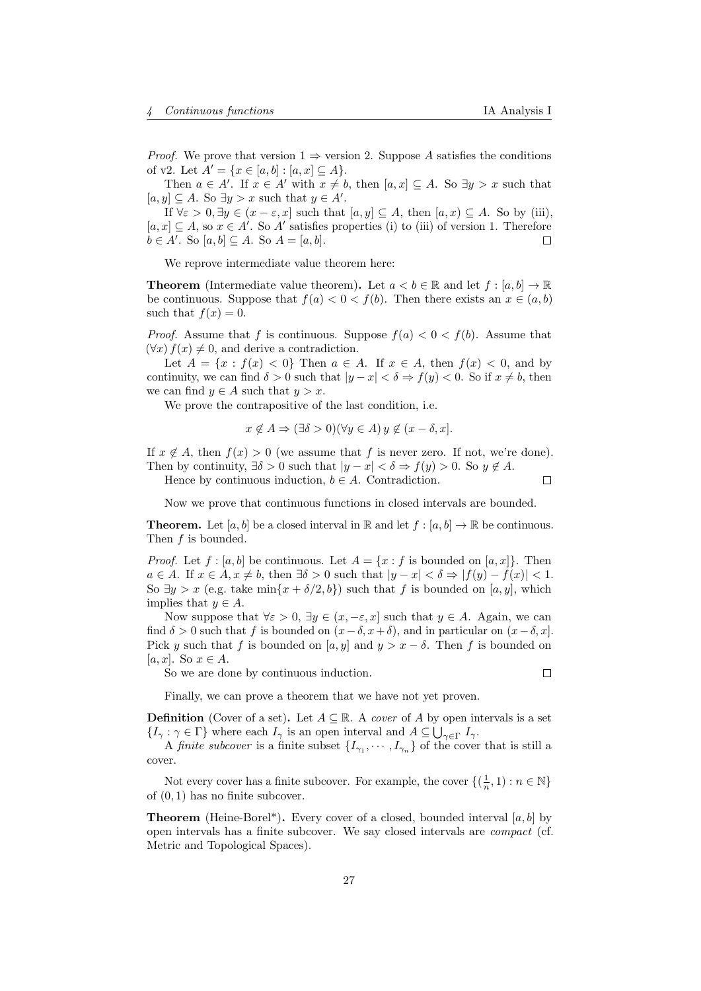*Proof.* We prove that version  $1 \Rightarrow$  version 2. Suppose A satisfies the conditions of v2. Let  $A' = \{x \in [a, b] : [a, x] \subseteq A\}.$ 

Then  $a \in A'$ . If  $x \in A'$  with  $x \neq b$ , then  $[a, x] \subseteq A$ . So  $\exists y > x$  such that  $[a, y] \subseteq A$ . So  $\exists y > x$  such that  $y \in A'$ .

If  $\forall \varepsilon > 0, \exists y \in (x - \varepsilon, x]$  such that  $[a, y] \subseteq A$ , then  $[a, x) \subseteq A$ . So by (iii),  $[a, x] \subseteq A$ , so  $x \in A'$ . So A' satisfies properties (i) to (iii) of version 1. Therefore  $b \in A'$ . So  $[a, b] \subseteq A$ . So  $A = [a, b]$ .  $\Box$ 

We reprove intermediate value theorem here:

**Theorem** (Intermediate value theorem). Let  $a < b \in \mathbb{R}$  and let  $f : [a, b] \to \mathbb{R}$ be continuous. Suppose that  $f(a) < 0 < f(b)$ . Then there exists an  $x \in (a, b)$ such that  $f(x) = 0$ .

*Proof.* Assume that f is continuous. Suppose  $f(a) < 0 < f(b)$ . Assume that  $(\forall x) f(x) \neq 0$ , and derive a contradiction.

Let  $A = \{x : f(x) < 0\}$  Then  $a \in A$ . If  $x \in A$ , then  $f(x) < 0$ , and by continuity, we can find  $\delta > 0$  such that  $|y - x| < \delta \Rightarrow f(y) < 0$ . So if  $x \neq b$ , then we can find  $y \in A$  such that  $y > x$ .

We prove the contrapositive of the last condition, i.e.

$$
x \notin A \Rightarrow (\exists \delta > 0)(\forall y \in A) y \notin (x - \delta, x].
$$

If  $x \notin A$ , then  $f(x) > 0$  (we assume that f is never zero. If not, we're done). Then by continuity,  $\exists \delta > 0$  such that  $|y - x| < \delta \Rightarrow f(y) > 0$ . So  $y \notin A$ .

Hence by continuous induction,  $b \in A$ . Contradiction.

 $\Box$ 

Now we prove that continuous functions in closed intervals are bounded.

**Theorem.** Let [a, b] be a closed interval in R and let  $f : [a, b] \to \mathbb{R}$  be continuous. Then  $f$  is bounded.

*Proof.* Let  $f : [a, b]$  be continuous. Let  $A = \{x : f$  is bounded on  $[a, x]$ . Then  $a \in A$ . If  $x \in A$ ,  $x \neq b$ , then  $\exists \delta > 0$  such that  $|y - x| < \delta \Rightarrow |f(y) - f(x)| < 1$ . So  $\exists y > x$  (e.g. take min $\{x + \delta/2, b\}$ ) such that f is bounded on [a, y], which implies that  $y \in A$ .

Now suppose that  $\forall \varepsilon > 0$ ,  $\exists y \in (x, -\varepsilon, x]$  such that  $y \in A$ . Again, we can find  $\delta > 0$  such that f is bounded on  $(x-\delta, x+\delta)$ , and in particular on  $(x-\delta, x]$ . Pick y such that f is bounded on [a, y] and  $y > x - \delta$ . Then f is bounded on [a, x]. So  $x \in A$ .

So we are done by continuous induction.

 $\Box$ 

Finally, we can prove a theorem that we have not yet proven.

**Definition** (Cover of a set). Let  $A \subseteq \mathbb{R}$ . A *cover* of A by open intervals is a set  $\{I_{\gamma} : \gamma \in \Gamma\}$  where each  $I_{\gamma}$  is an open interval and  $A \subseteq \bigcup_{\gamma \in \Gamma} I_{\gamma}$ .

A *finite subcover* is a finite subset  $\{I_{\gamma_1}, \cdots, I_{\gamma_n}\}$  of the cover that is still a cover.

Not every cover has a finite subcover. For example, the cover  $\{(\frac{1}{n},1) : n \in \mathbb{N}\}\$ of (0, 1) has no finite subcover.

**Theorem** (Heine-Borel\*). Every cover of a closed, bounded interval  $[a, b]$  by open intervals has a finite subcover. We say closed intervals are compact (cf. Metric and Topological Spaces).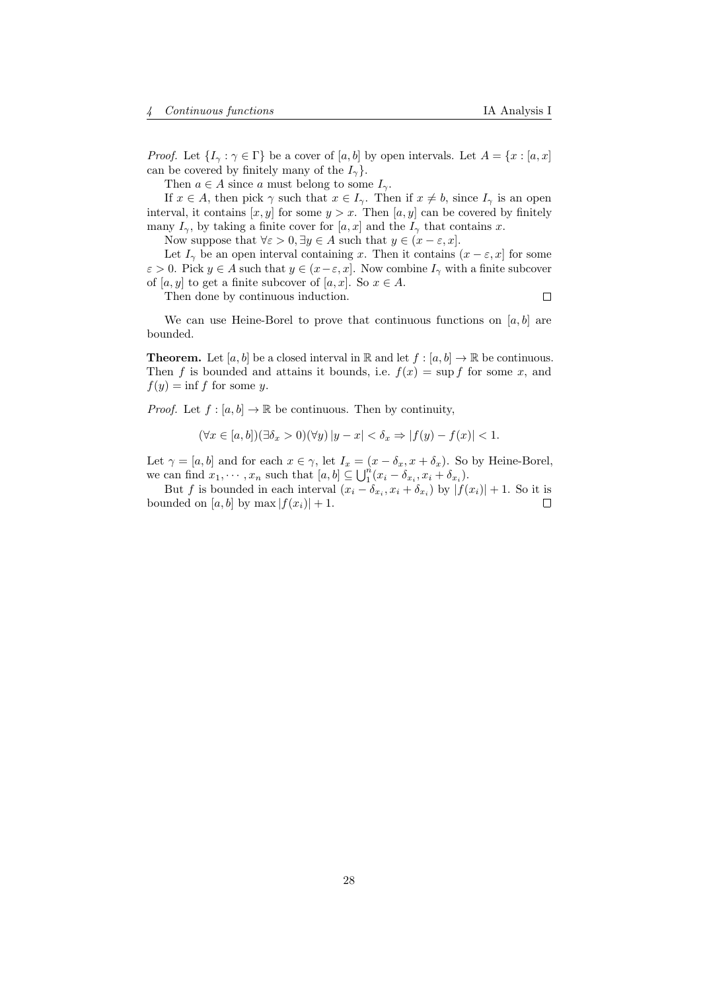*Proof.* Let  $\{I_{\gamma} : \gamma \in \Gamma\}$  be a cover of  $[a, b]$  by open intervals. Let  $A = \{x : [a, x]\}$ can be covered by finitely many of the  $I_{\gamma}$ .

Then  $a \in A$  since a must belong to some  $I_{\gamma}$ .

If  $x \in A$ , then pick  $\gamma$  such that  $x \in I_{\gamma}$ . Then if  $x \neq b$ , since  $I_{\gamma}$  is an open interval, it contains  $[x, y]$  for some  $y > x$ . Then  $[a, y]$  can be covered by finitely many  $I_{\gamma}$ , by taking a finite cover for  $[a, x]$  and the  $I_{\gamma}$  that contains x.

Now suppose that  $\forall \varepsilon > 0, \exists y \in A$  such that  $y \in (x - \varepsilon, x]$ .

Let  $I_{\gamma}$  be an open interval containing x. Then it contains  $(x - \varepsilon, x]$  for some  $\varepsilon > 0$ . Pick  $y \in A$  such that  $y \in (x - \varepsilon, x]$ . Now combine  $I_{\gamma}$  with a finite subcover of [a, y] to get a finite subcover of [a, x]. So  $x \in A$ .

Then done by continuous induction.

 $\Box$ 

We can use Heine-Borel to prove that continuous functions on  $[a, b]$  are bounded.

**Theorem.** Let  $[a, b]$  be a closed interval in R and let  $f : [a, b] \to \mathbb{R}$  be continuous. Then f is bounded and attains it bounds, i.e.  $f(x) = \sup f$  for some x, and  $f(y) = \inf f$  for some y.

*Proof.* Let  $f : [a, b] \to \mathbb{R}$  be continuous. Then by continuity,

$$
(\forall x \in [a, b]) (\exists \delta_x > 0)(\forall y) |y - x| < \delta_x \Rightarrow |f(y) - f(x)| < 1.
$$

Let  $\gamma = [a, b]$  and for each  $x \in \gamma$ , let  $I_x = (x - \delta_x, x + \delta_x)$ . So by Heine-Borel, we can find  $x_1, \dots, x_n$  such that  $[a, b] \subseteq \bigcup_{1}^{n} (x_i - \delta_{x_i}, x_i + \delta_{x_i}).$ 

But f is bounded in each interval  $(x_i - \delta_{x_i}, x_i + \delta_{x_i})$  by  $|f(x_i)| + 1$ . So it is bounded on [a, b] by max  $|f(x_i)| + 1$ . □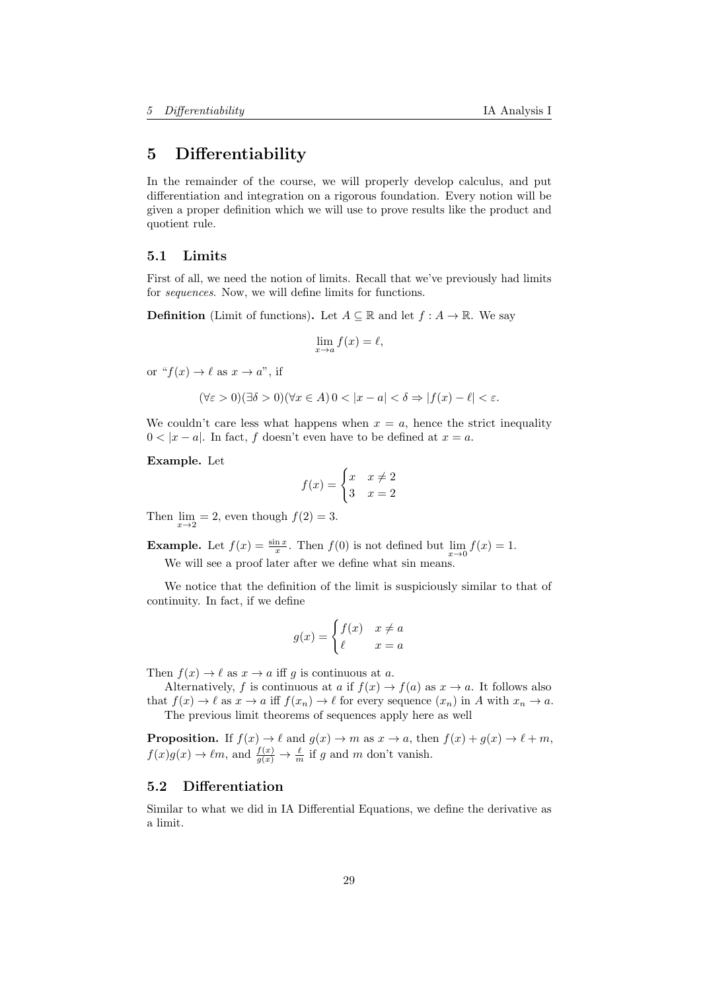# <span id="page-28-0"></span>5 Differentiability

In the remainder of the course, we will properly develop calculus, and put differentiation and integration on a rigorous foundation. Every notion will be given a proper definition which we will use to prove results like the product and quotient rule.

### <span id="page-28-1"></span>5.1 Limits

First of all, we need the notion of limits. Recall that we've previously had limits for sequences. Now, we will define limits for functions.

**Definition** (Limit of functions). Let  $A \subseteq \mathbb{R}$  and let  $f : A \to \mathbb{R}$ . We say

$$
\lim_{x \to a} f(x) = \ell,
$$

or " $f(x) \rightarrow \ell$  as  $x \rightarrow a$ ", if

$$
(\forall \varepsilon > 0)(\exists \delta > 0)(\forall x \in A) \, 0 < |x - a| < \delta \Rightarrow |f(x) - \ell| < \varepsilon.
$$

We couldn't care less what happens when  $x = a$ , hence the strict inequality  $0 < |x - a|$ . In fact, f doesn't even have to be defined at  $x = a$ .

Example. Let

$$
f(x) = \begin{cases} x & x \neq 2 \\ 3 & x = 2 \end{cases}
$$

Then  $\lim_{x\to 2}$  = 2, even though  $f(2) = 3$ .

**Example.** Let  $f(x) = \frac{\sin x}{x}$ . Then  $f(0)$  is not defined but  $\lim_{x\to 0} f(x) = 1$ .

We will see a proof later after we define what sin means.

We notice that the definition of the limit is suspiciously similar to that of continuity. In fact, if we define

$$
g(x) = \begin{cases} f(x) & x \neq a \\ \ell & x = a \end{cases}
$$

Then  $f(x) \to \ell$  as  $x \to a$  iff g is continuous at a.

Alternatively, f is continuous at a if  $f(x) \to f(a)$  as  $x \to a$ . It follows also that  $f(x) \to \ell$  as  $x \to a$  iff  $f(x_n) \to \ell$  for every sequence  $(x_n)$  in A with  $x_n \to a$ . The previous limit theorems of sequences apply here as well

**Proposition.** If  $f(x) \to \ell$  and  $g(x) \to m$  as  $x \to a$ , then  $f(x) + g(x) \to \ell + m$ ,  $f(x)g(x) \to \ell m$ , and  $\frac{f(x)}{g(x)} \to \frac{\ell}{m}$  if g and m don't vanish.

# <span id="page-28-2"></span>5.2 Differentiation

Similar to what we did in IA Differential Equations, we define the derivative as a limit.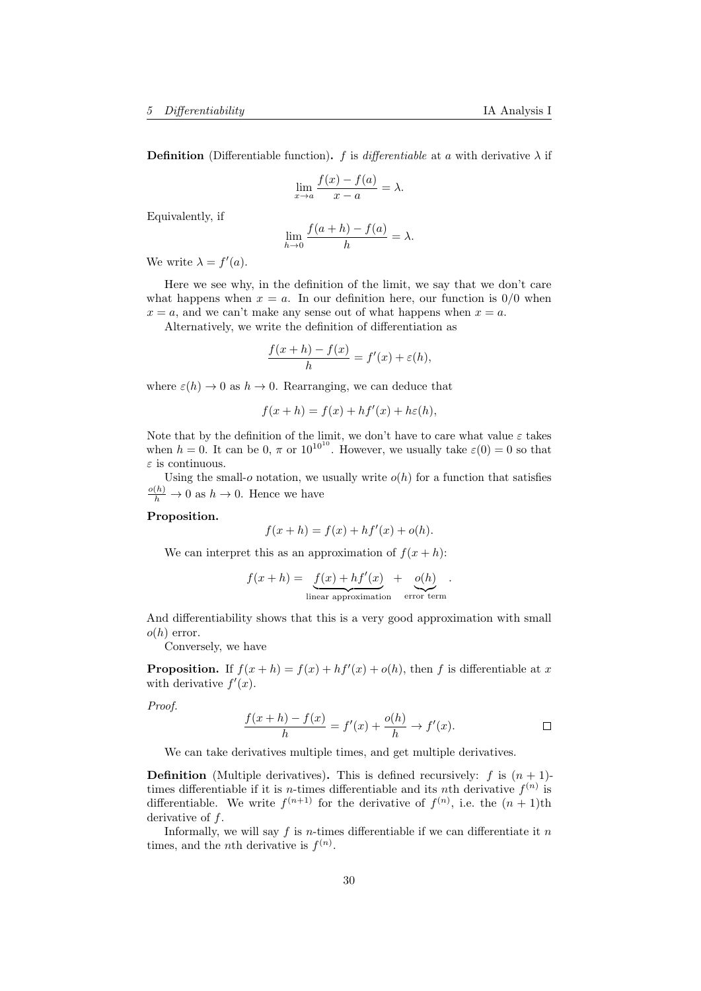**Definition** (Differentiable function). f is differentiable at a with derivative  $\lambda$  if

$$
\lim_{x \to a} \frac{f(x) - f(a)}{x - a} = \lambda.
$$

Equivalently, if

$$
\lim_{h \to 0} \frac{f(a+h) - f(a)}{h} = \lambda.
$$

We write  $\lambda = f'(a)$ .

Here we see why, in the definition of the limit, we say that we don't care what happens when  $x = a$ . In our definition here, our function is  $0/0$  when  $x = a$ , and we can't make any sense out of what happens when  $x = a$ .

Alternatively, we write the definition of differentiation as

$$
\frac{f(x+h) - f(x)}{h} = f'(x) + \varepsilon(h),
$$

where  $\varepsilon(h) \to 0$  as  $h \to 0$ . Rearranging, we can deduce that

$$
f(x+h) = f(x) + hf'(x) + h\varepsilon(h),
$$

Note that by the definition of the limit, we don't have to care what value  $\varepsilon$  takes when  $h = 0$ . It can be  $0, \pi$  or  $10^{10^{10}}$ . However, we usually take  $\varepsilon(0) = 0$  so that  $\varepsilon$  is continuous.

Using the small-o notation, we usually write  $o(h)$  for a function that satisfies  $\frac{o(h)}{h} \to 0$  as  $h \to 0$ . Hence we have

#### Proposition.

$$
f(x + h) = f(x) + hf'(x) + o(h).
$$

We can interpret this as an approximation of  $f(x+h)$ :

$$
f(x+h) = \underbrace{f(x) + h f'(x)}_{\text{linear approximation}} + \underbrace{o(h)}_{\text{error term}}.
$$

And differentiability shows that this is a very good approximation with small  $o(h)$  error.

Conversely, we have

**Proposition.** If  $f(x+h) = f(x) + hf'(x) + o(h)$ , then f is differentiable at x with derivative  $f'(x)$ .

Proof.

$$
\frac{f(x+h) - f(x)}{h} = f'(x) + \frac{o(h)}{h} \to f'(x).
$$

We can take derivatives multiple times, and get multiple derivatives.

**Definition** (Multiple derivatives). This is defined recursively: f is  $(n + 1)$ times differentiable if it is *n*-times differentiable and its *n*th derivative  $f^{(n)}$  is differentiable. We write  $f^{(n+1)}$  for the derivative of  $f^{(n)}$ , i.e. the  $(n+1)$ th derivative of  $f$ .

Informally, we will say f is n-times differentiable if we can differentiate it  $n$ times, and the *n*th derivative is  $f^{(n)}$ .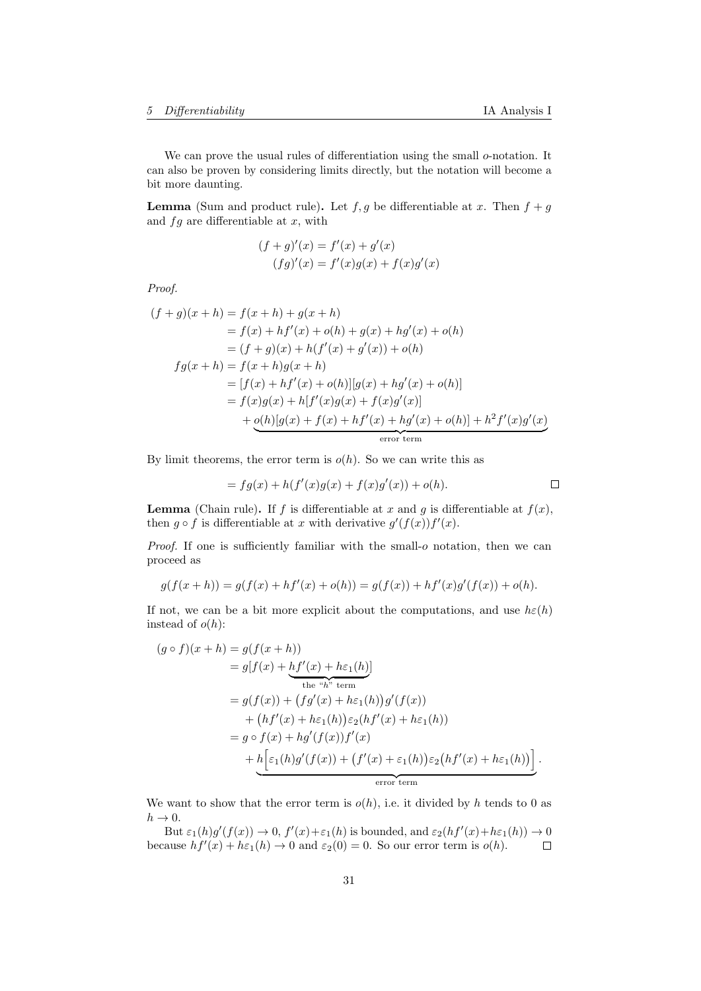We can prove the usual rules of differentiation using the small  $o$ -notation. It can also be proven by considering limits directly, but the notation will become a bit more daunting.

**Lemma** (Sum and product rule). Let  $f, g$  be differentiable at x. Then  $f + g$ and  $fg$  are differentiable at  $x$ , with

$$
(f+g)'(x) = f'(x) + g'(x)
$$
  
(fg)'(x) = f'(x)g(x) + f(x)g'(x)

Proof.

$$
(f+g)(x+h) = f(x+h) + g(x+h)
$$
  
=  $f(x) + hf'(x) + o(h) + g(x) + hg'(x) + o(h)$   
=  $(f+g)(x) + h(f'(x) + g'(x)) + o(h)$   

$$
fg(x+h) = f(x+h)g(x+h)
$$
  
=  $[f(x) + hf'(x) + o(h)][g(x) + hg'(x) + o(h)]$   
=  $f(x)g(x) + h[f'(x)g(x) + f(x)g'(x)]$   
+  $\underbrace{o(h)[g(x) + f(x) + hf'(x) + hg'(x) + o(h)] + h^2f'(x)g'(x)}_{error term}$ 

By limit theorems, the error term is  $o(h)$ . So we can write this as

$$
= fg(x) + h(f'(x)g(x) + f(x)g'(x)) + o(h).
$$

**Lemma** (Chain rule). If f is differentiable at x and q is differentiable at  $f(x)$ , then  $g \circ f$  is differentiable at x with derivative  $g'(f(x))f'(x)$ .

Proof. If one is sufficiently familiar with the small-o notation, then we can proceed as

$$
g(f(x+h)) = g(f(x) + hf'(x) + o(h)) = g(f(x)) + hf'(x)g'(f(x)) + o(h).
$$

If not, we can be a bit more explicit about the computations, and use  $h\epsilon(h)$ instead of  $o(h)$ :

$$
(g \circ f)(x + h) = g(f(x + h))
$$
  
=  $g[f(x) + hf'(x) + h\varepsilon_1(h)]$   
the "h" term  
=  $g(f(x)) + (fg'(x) + h\varepsilon_1(h))g'(f(x))$   
+  $(hf'(x) + h\varepsilon_1(h))\varepsilon_2(hf'(x) + h\varepsilon_1(h))$   
=  $g \circ f(x) + hg'(f(x))f'(x)$   
+  $h\Big[\varepsilon_1(h)g'(f(x)) + (f'(x) + \varepsilon_1(h))\varepsilon_2(hf'(x) + h\varepsilon_1(h))\Big].$   
error term

We want to show that the error term is  $o(h)$ , i.e. it divided by h tends to 0 as  $h\rightarrow 0.$ 

But  $\varepsilon_1(h)g'(f(x)) \to 0$ ,  $f'(x)+\varepsilon_1(h)$  is bounded, and  $\varepsilon_2(hf'(x)+h\varepsilon_1(h)) \to 0$ because  $hf'(x) + h\varepsilon_1(h) \to 0$  and  $\varepsilon_2(0) = 0$ . So our error term is  $o(h)$ .  $\Box$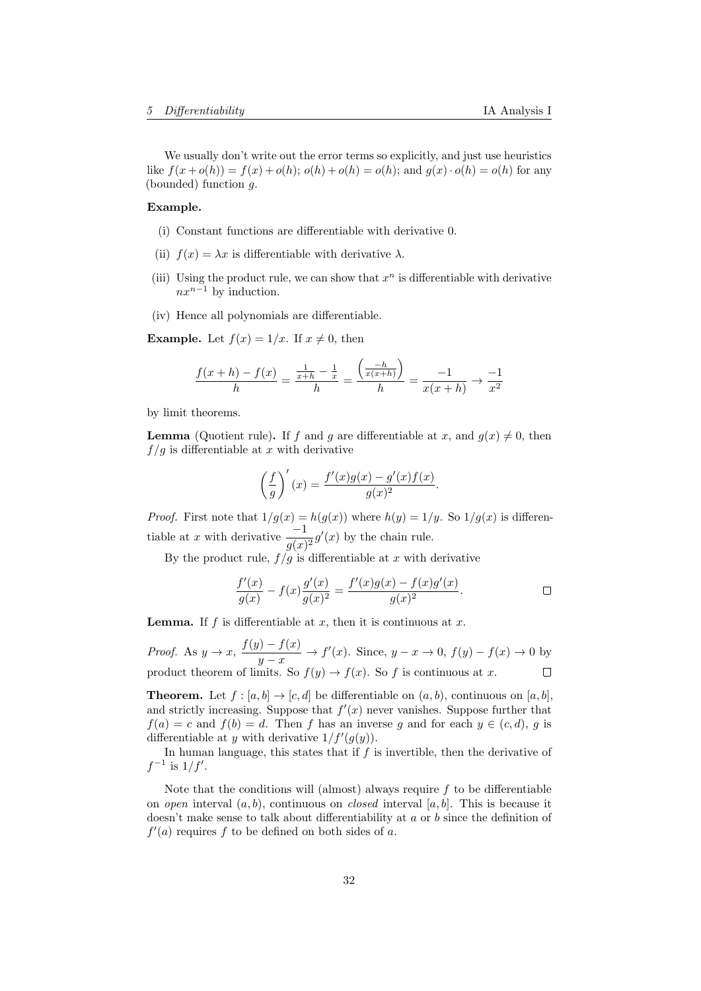We usually don't write out the error terms so explicitly, and just use heuristics like  $f(x + o(h)) = f(x) + o(h)$ ;  $o(h) + o(h) = o(h)$ ; and  $g(x) \cdot o(h) = o(h)$  for any (bounded) function g.

#### Example.

- (i) Constant functions are differentiable with derivative 0.
- (ii)  $f(x) = \lambda x$  is differentiable with derivative  $\lambda$ .
- (iii) Using the product rule, we can show that  $x^n$  is differentiable with derivative  $nx^{n-1}$  by induction.
- (iv) Hence all polynomials are differentiable.

**Example.** Let  $f(x) = 1/x$ . If  $x \neq 0$ , then

$$
\frac{f(x+h) - f(x)}{h} = \frac{\frac{1}{x+h} - \frac{1}{x}}{h} = \frac{\left(\frac{-h}{x(x+h)}\right)}{h} = \frac{-1}{x(x+h)} \to \frac{-1}{x^2}
$$

by limit theorems.

**Lemma** (Quotient rule). If f and g are differentiable at x, and  $q(x) \neq 0$ , then  $f/g$  is differentiable at x with derivative

$$
\left(\frac{f}{g}\right)'(x) = \frac{f'(x)g(x) - g'(x)f(x)}{g(x)^2}.
$$

*Proof.* First note that  $1/g(x) = h(g(x))$  where  $h(y) = 1/y$ . So  $1/g(x)$  is differentiable at x with derivative  $\frac{-1}{g(x)^2}g'(x)$  by the chain rule.

By the product rule,  $f/g$  is differentiable at x with derivative

$$
\frac{f'(x)}{g(x)} - f(x)\frac{g'(x)}{g(x)^2} = \frac{f'(x)g(x) - f(x)g'(x)}{g(x)^2}.
$$

**Lemma.** If f is differentiable at x, then it is continuous at x.

*Proof.* As  $y \to x$ ,  $\frac{f(y) - f(x)}{g(y)}$  $\frac{y-y(x)}{y-x}$  →  $f'(x)$ . Since,  $y-x \to 0$ ,  $f(y) - f(x) \to 0$  by product theorem of limits. So  $f(y) \to f(x)$ . So f is continuous at x.

**Theorem.** Let  $f : [a, b] \to [c, d]$  be differentiable on  $(a, b)$ , continuous on  $[a, b]$ , and strictly increasing. Suppose that  $f'(x)$  never vanishes. Suppose further that  $f(a) = c$  and  $f(b) = d$ . Then f has an inverse g and for each  $y \in (c, d)$ , g is differentiable at y with derivative  $1/f'(g(y))$ .

In human language, this states that if  $f$  is invertible, then the derivative of  $f^{-1}$  is  $1/f'$ .

Note that the conditions will (almost) always require  $f$  to be differentiable on *open* interval  $(a, b)$ , continuous on *closed* interval  $[a, b]$ . This is because it doesn't make sense to talk about differentiability at a or b since the definition of  $f'(a)$  requires f to be defined on both sides of a.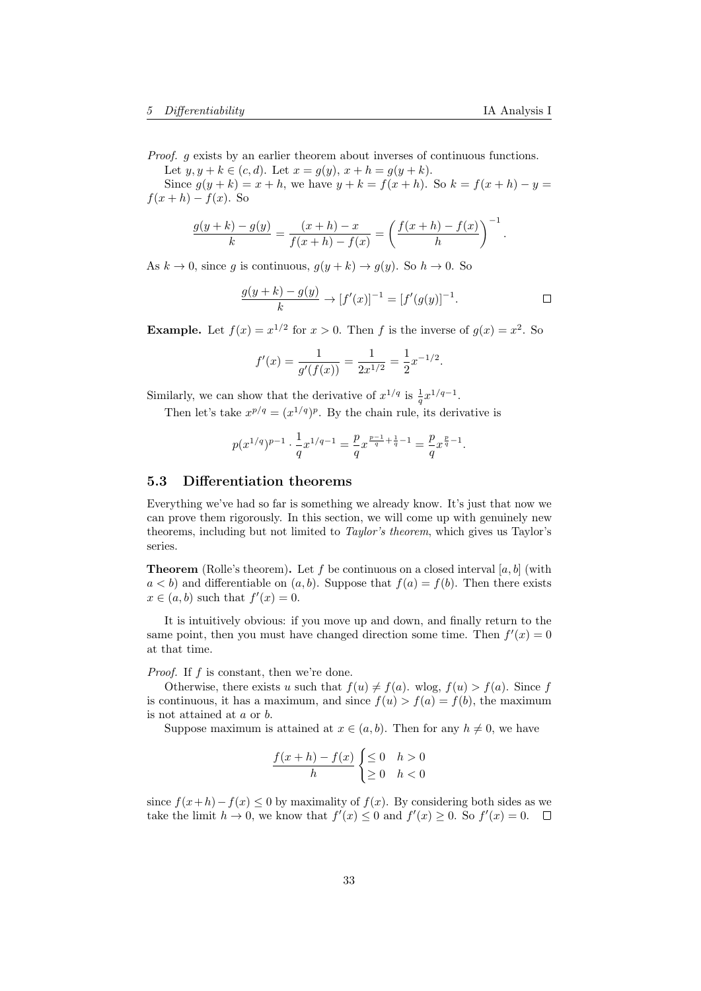Proof. g exists by an earlier theorem about inverses of continuous functions.

Let  $y, y + k \in (c, d)$ . Let  $x = g(y), x + h = g(y + k)$ .

Since  $g(y + k) = x + h$ , we have  $y + k = f(x + h)$ . So  $k = f(x + h) - y =$  $f(x+h) - f(x)$ . So

$$
\frac{g(y+k)-g(y)}{k} = \frac{(x+h)-x}{f(x+h)-f(x)} = \left(\frac{f(x+h)-f(x)}{h}\right)^{-1}.
$$

As  $k \to 0$ , since g is continuous,  $g(y + k) \to g(y)$ . So  $h \to 0$ . So

$$
\frac{g(y+k)-g(y)}{k} \to [f'(x)]^{-1} = [f'(g(y)]^{-1}.
$$

**Example.** Let  $f(x) = x^{1/2}$  for  $x > 0$ . Then f is the inverse of  $g(x) = x^2$ . So

$$
f'(x) = \frac{1}{g'(f(x))} = \frac{1}{2x^{1/2}} = \frac{1}{2}x^{-1/2}.
$$

Similarly, we can show that the derivative of  $x^{1/q}$  is  $\frac{1}{q}x^{1/q-1}$ .

Then let's take  $x^{p/q} = (x^{1/q})^p$ . By the chain rule, its derivative is

$$
p(x^{1/q})^{p-1}\cdot \frac{1}{q}x^{1/q-1}=\frac{p}{q}x^{\frac{p-1}{q}+\frac{1}{q}-1}=\frac{p}{q}x^{\frac{p}{q}-1}.
$$

# <span id="page-32-0"></span>5.3 Differentiation theorems

Everything we've had so far is something we already know. It's just that now we can prove them rigorously. In this section, we will come up with genuinely new theorems, including but not limited to Taylor's theorem, which gives us Taylor's series.

**Theorem** (Rolle's theorem). Let f be continuous on a closed interval  $[a, b]$  (with  $a < b$ ) and differentiable on  $(a, b)$ . Suppose that  $f(a) = f(b)$ . Then there exists  $x \in (a, b)$  such that  $f'(x) = 0$ .

It is intuitively obvious: if you move up and down, and finally return to the same point, then you must have changed direction some time. Then  $f'(x) = 0$ at that time.

Proof. If f is constant, then we're done.

Otherwise, there exists u such that  $f(u) \neq f(a)$ . wlog,  $f(u) > f(a)$ . Since f is continuous, it has a maximum, and since  $f(u) > f(a) = f(b)$ , the maximum is not attained at a or b.

Suppose maximum is attained at  $x \in (a, b)$ . Then for any  $h \neq 0$ , we have

$$
\frac{f(x+h) - f(x)}{h} \begin{cases} \leq 0 & h > 0\\ \geq 0 & h < 0 \end{cases}
$$

since  $f(x+h)-f(x) \leq 0$  by maximality of  $f(x)$ . By considering both sides as we take the limit  $h \to 0$ , we know that  $f'(x) \leq 0$  and  $f'(x) \geq 0$ . So  $f'(x) = 0$ .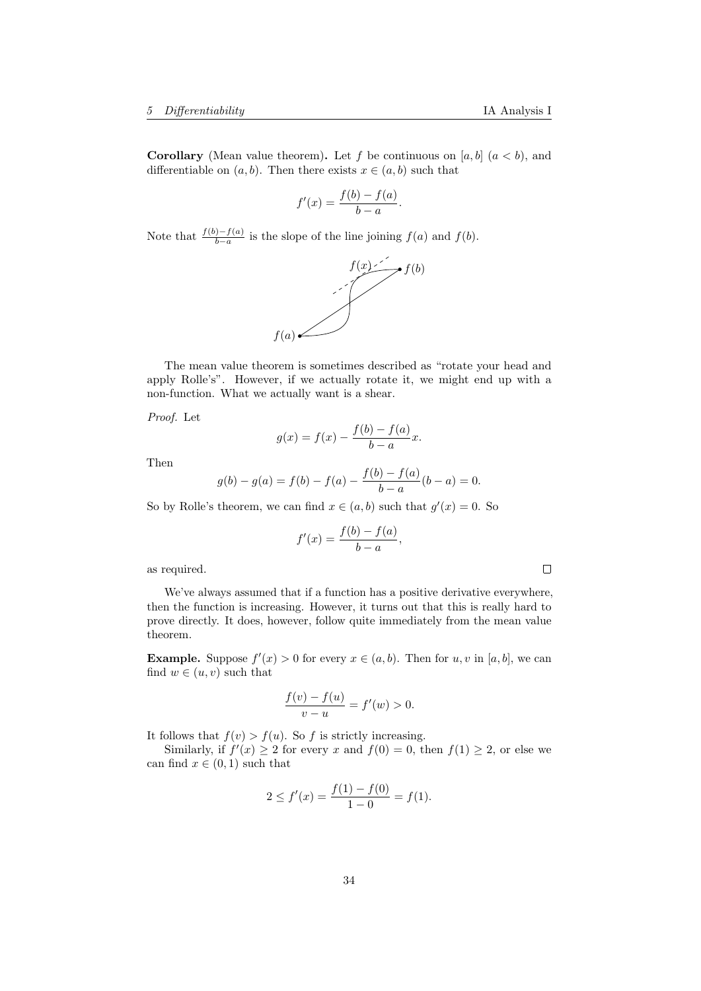**Corollary** (Mean value theorem). Let f be continuous on [a, b]  $(a < b)$ , and differentiable on  $(a, b)$ . Then there exists  $x \in (a, b)$  such that

$$
f'(x) = \frac{f(b) - f(a)}{b - a}.
$$

Note that  $\frac{f(b)-f(a)}{b-a}$  is the slope of the line joining  $f(a)$  and  $f(b)$ .



The mean value theorem is sometimes described as "rotate your head and apply Rolle's". However, if we actually rotate it, we might end up with a non-function. What we actually want is a shear.

Proof. Let

$$
g(x) = f(x) - \frac{f(b) - f(a)}{b - a}x.
$$

Then

$$
g(b) - g(a) = f(b) - f(a) - \frac{f(b) - f(a)}{b - a}(b - a) = 0.
$$

So by Rolle's theorem, we can find  $x \in (a, b)$  such that  $g'(x) = 0$ . So

$$
f'(x) = \frac{f(b) - f(a)}{b - a},
$$

as required.

We've always assumed that if a function has a positive derivative everywhere, then the function is increasing. However, it turns out that this is really hard to prove directly. It does, however, follow quite immediately from the mean value theorem.

**Example.** Suppose  $f'(x) > 0$  for every  $x \in (a, b)$ . Then for  $u, v$  in  $[a, b]$ , we can find  $w \in (u, v)$  such that

$$
\frac{f(v) - f(u)}{v - u} = f'(w) > 0.
$$

It follows that  $f(v) > f(u)$ . So f is strictly increasing.

Similarly, if  $f'(x) \geq 2$  for every x and  $f(0) = 0$ , then  $f(1) \geq 2$ , or else we can find  $x \in (0,1)$  such that

$$
2 \le f'(x) = \frac{f(1) - f(0)}{1 - 0} = f(1).
$$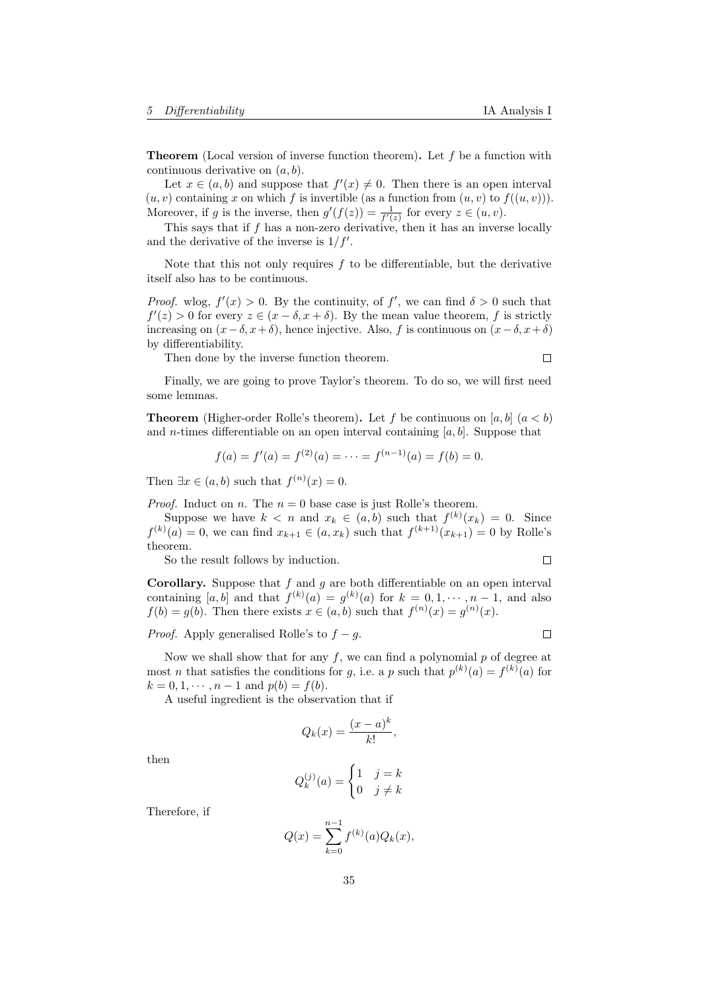**Theorem** (Local version of inverse function theorem). Let  $f$  be a function with continuous derivative on  $(a, b)$ .

Let  $x \in (a, b)$  and suppose that  $f'(x) \neq 0$ . Then there is an open interval  $(u, v)$  containing x on which f is invertible (as a function from  $(u, v)$  to  $f((u, v))$ ). Moreover, if g is the inverse, then  $g'(f(z)) = \frac{1}{f'(z)}$  for every  $z \in (u, v)$ .

This says that if  $f$  has a non-zero derivative, then it has an inverse locally and the derivative of the inverse is  $1/f'$ .

Note that this not only requires  $f$  to be differentiable, but the derivative itself also has to be continuous.

*Proof.* wlog,  $f'(x) > 0$ . By the continuity, of f', we can find  $\delta > 0$  such that  $f'(z) > 0$  for every  $z \in (x - \delta, x + \delta)$ . By the mean value theorem, f is strictly increasing on  $(x-\delta, x+\delta)$ , hence injective. Also, f is continuous on  $(x-\delta, x+\delta)$ by differentiability.

Then done by the inverse function theorem.

 $\Box$ 

Finally, we are going to prove Taylor's theorem. To do so, we will first need some lemmas.

**Theorem** (Higher-order Rolle's theorem). Let f be continuous on [a, b]  $(a < b)$ and *n*-times differentiable on an open interval containing [a, b]. Suppose that

$$
f(a) = f'(a) = f^{(2)}(a) = \dots = f^{(n-1)}(a) = f(b) = 0.
$$

Then  $\exists x \in (a, b)$  such that  $f^{(n)}(x) = 0$ .

*Proof.* Induct on *n*. The  $n = 0$  base case is just Rolle's theorem.

Suppose we have  $k < n$  and  $x_k \in (a, b)$  such that  $f^{(k)}(x_k) = 0$ . Since  $f^{(k)}(a) = 0$ , we can find  $x_{k+1} \in (a, x_k)$  such that  $f^{(k+1)}(x_{k+1}) = 0$  by Rolle's theorem.

So the result follows by induction.

 $\Box$ 

**Corollary.** Suppose that  $f$  and  $g$  are both differentiable on an open interval containing [a, b] and that  $f^{(k)}(a) = g^{(k)}(a)$  for  $k = 0, 1, \dots, n-1$ , and also  $f(b) = g(b)$ . Then there exists  $x \in (a, b)$  such that  $f^{(n)}(x) = g^{(n)}(x)$ .

*Proof.* Apply generalised Rolle's to  $f - g$ .

 $\Box$ 

Now we shall show that for any  $f$ , we can find a polynomial  $p$  of degree at most *n* that satisfies the conditions for *g*, i.e. a *p* such that  $p^{(k)}(a) = f^{(k)}(a)$  for  $k = 0, 1, \dots, n-1$  and  $p(b) = f(b)$ .

A useful ingredient is the observation that if

$$
Q_k(x) = \frac{(x-a)^k}{k!},
$$

then

$$
Q_k^{(j)}(a) = \begin{cases} 1 & j = k \\ 0 & j \neq k \end{cases}
$$

Therefore, if

$$
Q(x) = \sum_{k=0}^{n-1} f^{(k)}(a) Q_k(x),
$$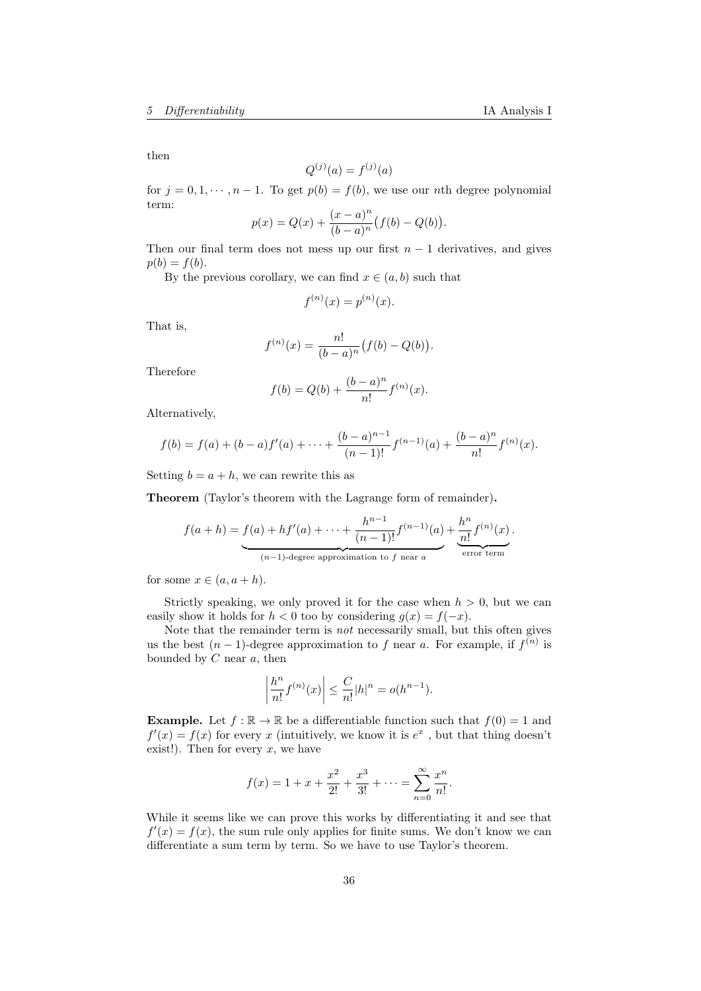then

$$
Q^{(j)}(a) = f^{(j)}(a)
$$

for  $j = 0, 1, \dots, n - 1$ . To get  $p(b) = f(b)$ , we use our nth degree polynomial term: n

$$
p(x) = Q(x) + \frac{(x-a)^n}{(b-a)^n} (f(b) - Q(b)).
$$

Then our final term does not mess up our first  $n - 1$  derivatives, and gives  $p(b) = f(b).$ 

By the previous corollary, we can find  $x \in (a, b)$  such that

$$
f^{(n)}(x) = p^{(n)}(x).
$$

That is,

$$
f^{(n)}(x) = \frac{n!}{(b-a)^n} (f(b) - Q(b)).
$$

Therefore

$$
f(b) = Q(b) + \frac{(b-a)^n}{n!} f^{(n)}(x).
$$

Alternatively,

$$
f(b) = f(a) + (b - a)f'(a) + \dots + \frac{(b - a)^{n-1}}{(n-1)!}f^{(n-1)}(a) + \frac{(b - a)^n}{n!}f^{(n)}(x).
$$

Setting  $b = a + h$ , we can rewrite this as

Theorem (Taylor's theorem with the Lagrange form of remainder).

$$
f(a+h) = \underbrace{f(a) + hf'(a) + \cdots + \frac{h^{n-1}}{(n-1)!}f^{(n-1)}(a)}_{(n-1)\text{-degree approximation to } f \text{ near } a} + \underbrace{\frac{h^n}{n!}f^{(n)}(x)}_{\text{error term}}.
$$

for some  $x \in (a, a + h)$ .

Strictly speaking, we only proved it for the case when  $h > 0$ , but we can easily show it holds for  $h < 0$  too by considering  $g(x) = f(-x)$ .

Note that the remainder term is not necessarily small, but this often gives us the best  $(n-1)$ -degree approximation to f near a. For example, if  $f^{(n)}$  is bounded by  $C$  near  $a$ , then

$$
\left|\frac{h^n}{n!}f^{(n)}(x)\right| \leq \frac{C}{n!}|h|^n = o(h^{n-1}).
$$

**Example.** Let  $f : \mathbb{R} \to \mathbb{R}$  be a differentiable function such that  $f(0) = 1$  and  $f'(x) = f(x)$  for every x (intuitively, we know it is  $e^x$ , but that thing doesn't exist!). Then for every  $x$ , we have

$$
f(x) = 1 + x + \frac{x^2}{2!} + \frac{x^3}{3!} + \dots = \sum_{n=0}^{\infty} \frac{x^n}{n!}.
$$

While it seems like we can prove this works by differentiating it and see that  $f'(x) = f(x)$ , the sum rule only applies for finite sums. We don't know we can differentiate a sum term by term. So we have to use Taylor's theorem.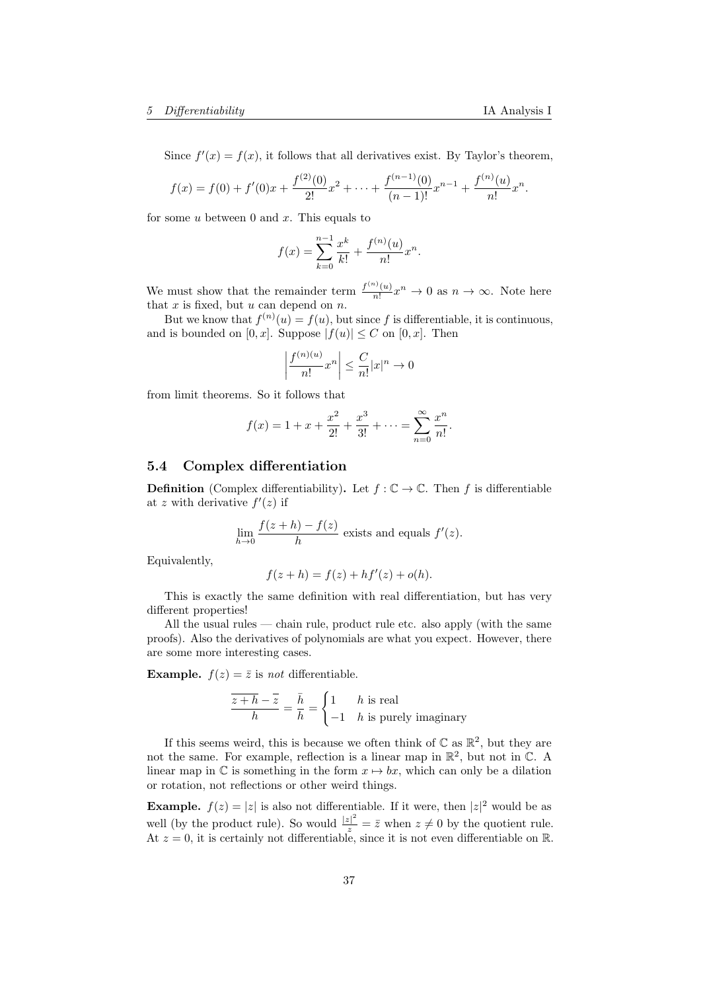Since  $f'(x) = f(x)$ , it follows that all derivatives exist. By Taylor's theorem,

$$
f(x) = f(0) + f'(0)x + \frac{f^{(2)}(0)}{2!}x^2 + \dots + \frac{f^{(n-1)}(0)}{(n-1)!}x^{n-1} + \frac{f^{(n)}(u)}{n!}x^n.
$$

for some  $u$  between 0 and  $x$ . This equals to

$$
f(x) = \sum_{k=0}^{n-1} \frac{x^k}{k!} + \frac{f^{(n)}(u)}{n!} x^n.
$$

We must show that the remainder term  $\frac{f^{(n)}(u)}{n!}$  $\frac{n!}{n!}x^n \to 0$  as  $n \to \infty$ . Note here that  $x$  is fixed, but  $u$  can depend on  $n$ .

But we know that  $f^{(n)}(u) = f(u)$ , but since f is differentiable, it is continuous, and is bounded on  $[0, x]$ . Suppose  $|f(u)| \leq C$  on  $[0, x]$ . Then

$$
\left|\frac{f^{(n)(u)}}{n!}x^n\right| \leq \frac{C}{n!}|x|^n \to 0
$$

from limit theorems. So it follows that

$$
f(x) = 1 + x + \frac{x^2}{2!} + \frac{x^3}{3!} + \dots = \sum_{n=0}^{\infty} \frac{x^n}{n!}.
$$

### <span id="page-36-0"></span>5.4 Complex differentiation

**Definition** (Complex differentiability). Let  $f : \mathbb{C} \to \mathbb{C}$ . Then f is differentiable at z with derivative  $f'(z)$  if

$$
\lim_{h \to 0} \frac{f(z+h) - f(z)}{h}
$$
 exists and equals  $f'(z)$ .

Equivalently,

$$
f(z + h) = f(z) + h f'(z) + o(h).
$$

This is exactly the same definition with real differentiation, but has very different properties!

All the usual rules — chain rule, product rule etc. also apply (with the same proofs). Also the derivatives of polynomials are what you expect. However, there are some more interesting cases.

**Example.**  $f(z) = \overline{z}$  is not differentiable.

$$
\frac{\overline{z+h}-\overline{z}}{h} = \frac{\overline{h}}{h} = \begin{cases} 1 & h \text{ is real} \\ -1 & h \text{ is purely imaginary} \end{cases}
$$

If this seems weird, this is because we often think of  $\mathbb C$  as  $\mathbb R^2$ , but they are not the same. For example, reflection is a linear map in  $\mathbb{R}^2$ , but not in  $\mathbb{C}$ . A linear map in  $\mathbb C$  is something in the form  $x \mapsto bx$ , which can only be a dilation or rotation, not reflections or other weird things.

**Example.**  $f(z) = |z|$  is also not differentiable. If it were, then  $|z|^2$  would be as well (by the product rule). So would  $\frac{|z|^2}{z} = \overline{z}$  when  $z \neq 0$  by the quotient rule. At  $z = 0$ , it is certainly not differentiable, since it is not even differentiable on R.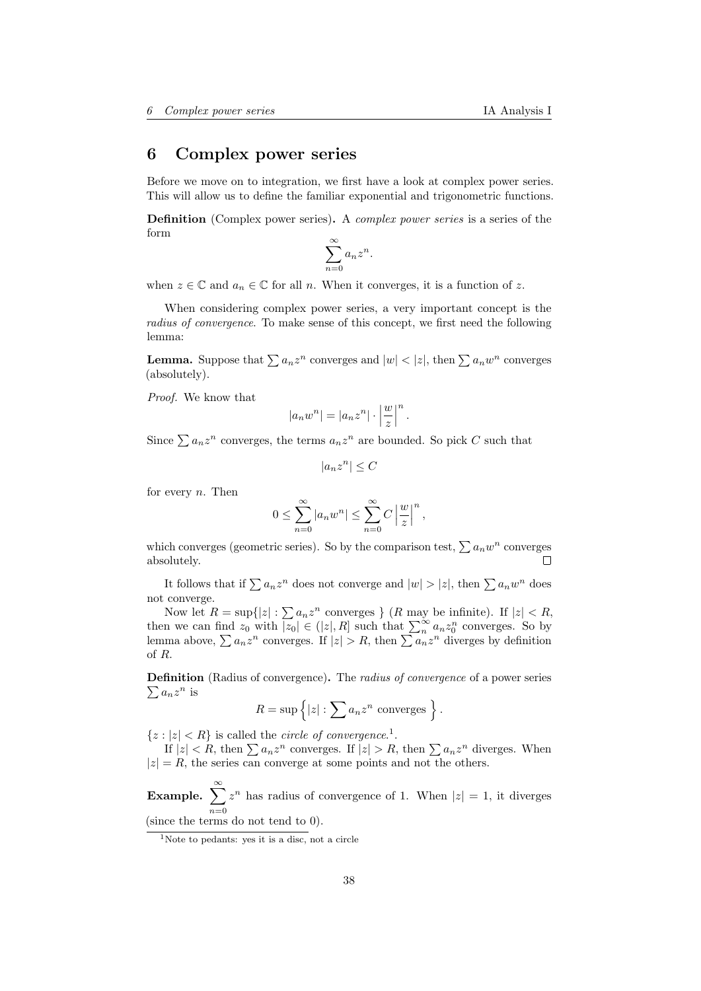# <span id="page-37-0"></span>6 Complex power series

Before we move on to integration, we first have a look at complex power series. This will allow us to define the familiar exponential and trigonometric functions.

**Definition** (Complex power series). A *complex power series* is a series of the form

$$
\sum_{n=0}^{\infty} a_n z^n.
$$

when  $z \in \mathbb{C}$  and  $a_n \in \mathbb{C}$  for all n. When it converges, it is a function of z.

When considering complex power series, a very important concept is the radius of convergence. To make sense of this concept, we first need the following lemma:

**Lemma.** Suppose that  $\sum a_n z^n$  converges and  $|w| < |z|$ , then  $\sum a_n w^n$  converges (absolutely).

Proof. We know that

$$
|a_n w^n| = |a_n z^n| \cdot \left|\frac{w}{z}\right|^n.
$$

Since  $\sum a_n z^n$  converges, the terms  $a_n z^n$  are bounded. So pick C such that

$$
|a_n z^n| \le C
$$

for every  $n$ . Then

$$
0 \leq \sum_{n=0}^{\infty} |a_n w^n| \leq \sum_{n=0}^{\infty} C \left| \frac{w}{z} \right|^n,
$$

which converges (geometric series). So by the comparison test,  $\sum a_n w^n$  converges absolutely. Г

It follows that if  $\sum a_n z^n$  does not converge and  $|w| > |z|$ , then  $\sum a_n w^n$  does not converge.

Now let  $R = \sup\{|z| : \sum a_n z^n$  converges  $\}$  (R may be infinite). If  $|z| < R$ , then we can find  $z_0$  with  $|z_0| \in (|z|, R]$  such that  $\sum_{n=0}^{\infty} a_n z_0^n$  converges. So by lemma above,  $\sum a_n z^n$  converges. If  $|z| > R$ , then  $\sum a_n z^n$  diverges by definition of R.

**Definition** (Radius of convergence). The *radius of convergence* of a power series  $\sum a_n z^n$  is

$$
R = \sup \{|z| : \sum a_n z^n \text{ converges }\}.
$$

 $\{z : |z| < R\}$  is called the *circle of convergence*.<sup>[1](#page-37-1)</sup>.

If  $|z| < R$ , then  $\sum a_n z^n$  converges. If  $|z| > R$ , then  $\sum a_n z^n$  diverges. When  $|z| = R$ , the series can converge at some points and not the others.

Example.  $\sum_{n=1}^{\infty}$  $n=0$  $z^n$  has radius of convergence of 1. When  $|z|=1$ , it diverges (since the terms do not tend to 0).

<span id="page-37-1"></span><sup>&</sup>lt;sup>1</sup>Note to pedants: yes it is a disc, not a circle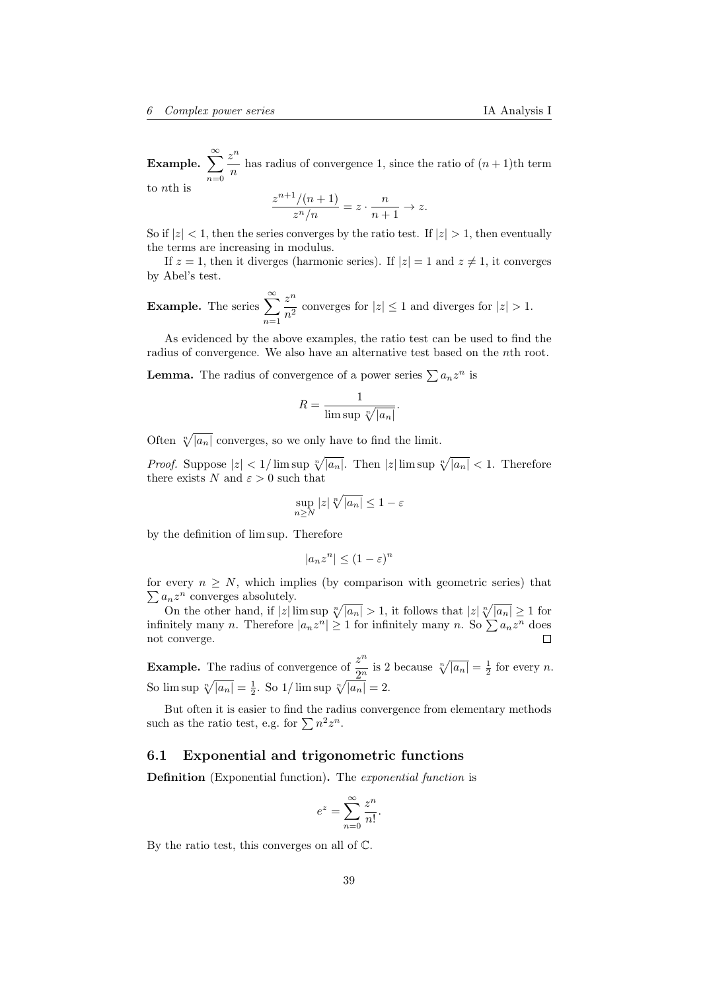Example.  $\sum_{n=1}^{\infty}$  $n=0$  $z^n$  $\frac{n}{n}$  has radius of convergence 1, since the ratio of  $(n + 1)$ th term to nth is

$$
\frac{z^{n+1}/(n+1)}{z^n/n} = z \cdot \frac{n}{n+1} \to z.
$$

So if  $|z| < 1$ , then the series converges by the ratio test. If  $|z| > 1$ , then eventually the terms are increasing in modulus.

If  $z = 1$ , then it diverges (harmonic series). If  $|z| = 1$  and  $z \neq 1$ , it converges by Abel's test.

**Example.** The series  $\sum_{n=1}^{\infty}$  $n=1$  $z^n$  $\frac{z}{n^2}$  converges for  $|z| \le 1$  and diverges for  $|z| > 1$ .

As evidenced by the above examples, the ratio test can be used to find the radius of convergence. We also have an alternative test based on the nth root.

**Lemma.** The radius of convergence of a power series  $\sum a_n z^n$  is

$$
R = \frac{1}{\limsup \sqrt[n]{|a_n|}}.
$$

Often  $\sqrt[n]{|a_n|}$  converges, so we only have to find the limit.

*Proof.* Suppose  $|z| < 1/\limsup \sqrt[n]{|a_n|}$ . Then  $|z| \limsup \sqrt[n]{|a_n|} < 1$ . Therefore there exists N and  $\varepsilon > 0$  such that

$$
\sup_{n\geq N} |z| \sqrt[n]{|a_n|} \leq 1 - \varepsilon
$$

by the definition of lim sup. Therefore

$$
|a_n z^n| \le (1 - \varepsilon)^n
$$

for every  $n \geq N$ , which implies (by comparison with geometric series) that  $\sum a_n z^n$  converges absolutely.

On the other hand, if  $|z| \limsup \sqrt[n]{|a_n|} > 1$ , it follows that  $|z| \sqrt[n]{|a_n|} \geq 1$  for infinitely many *n*. Therefore  $|a_n z^n| \geq 1$  for infinitely many *n*. So  $\sum a_n z^n$  does not converge.  $\Box$ 

**Example.** The radius of convergence of  $\frac{z^n}{2^n}$  $\frac{z}{2^n}$  is 2 because  $\sqrt[n]{|a_n|} = \frac{1}{2}$  for every *n*. So  $\limsup \sqrt[n]{|a_n|} = \frac{1}{2}$ . So  $1/\limsup \sqrt[n]{|a_n|} = 2$ .

But often it is easier to find the radius convergence from elementary methods such as the ratio test, e.g. for  $\sum n^2 z^n$ .

# <span id="page-38-0"></span>6.1 Exponential and trigonometric functions

Definition (Exponential function). The exponential function is

$$
e^z = \sum_{n=0}^{\infty} \frac{z^n}{n!}.
$$

By the ratio test, this converges on all of C.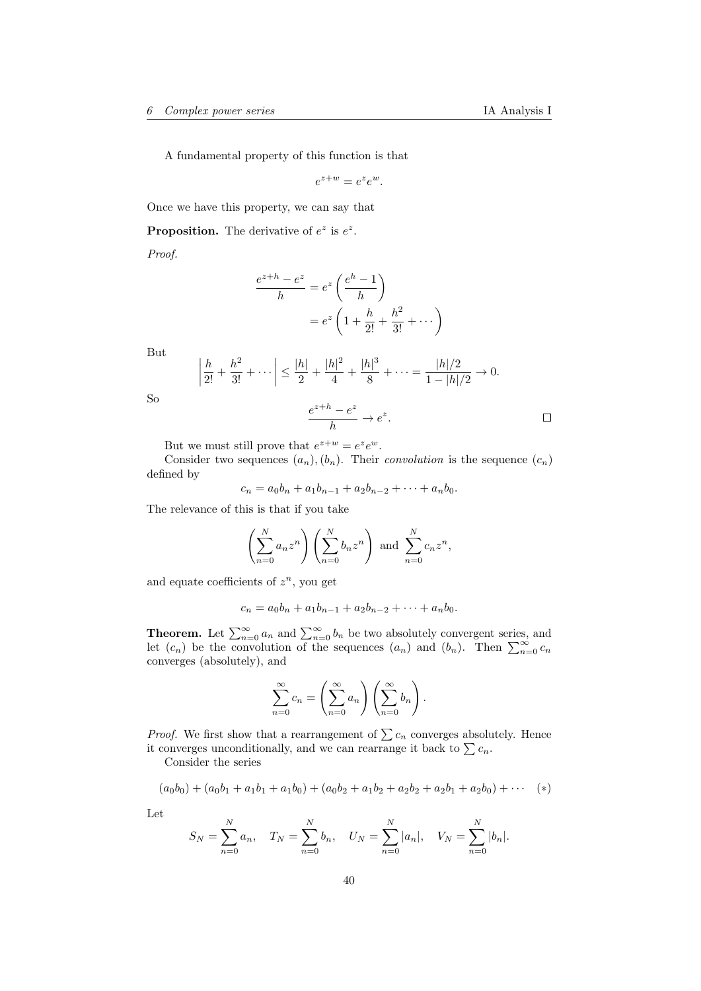A fundamental property of this function is that

$$
e^{z+w} = e^z e^w.
$$

Once we have this property, we can say that

**Proposition.** The derivative of  $e^z$  is  $e^z$ .

Proof.

$$
\frac{e^{z+h} - e^z}{h} = e^z \left(\frac{e^h - 1}{h}\right)
$$

$$
= e^z \left(1 + \frac{h}{2!} + \frac{h^2}{3!} + \dots\right)
$$

But

$$
\left|\frac{h}{2!} + \frac{h^2}{3!} + \dots\right| \le \frac{|h|}{2} + \frac{|h|^2}{4} + \frac{|h|^3}{8} + \dots = \frac{|h|/2}{1 - |h|/2} \to 0.
$$

So

$$
\frac{e^{z+h}-e^z}{h}\to e^z.
$$

But we must still prove that  $e^{z+w} = e^z e^w$ .

Consider two sequences  $(a_n), (b_n)$ . Their *convolution* is the sequence  $(c_n)$ defined by

$$
c_n = a_0b_n + a_1b_{n-1} + a_2b_{n-2} + \cdots + a_nb_0.
$$

The relevance of this is that if you take

$$
\left(\sum_{n=0}^{N} a_n z^n\right) \left(\sum_{n=0}^{N} b_n z^n\right) \text{ and } \sum_{n=0}^{N} c_n z^n,
$$

and equate coefficients of  $z^n$ , you get

$$
c_n = a_0b_n + a_1b_{n-1} + a_2b_{n-2} + \cdots + a_nb_0.
$$

**Theorem.** Let  $\sum_{n=0}^{\infty} a_n$  and  $\sum_{n=0}^{\infty} b_n$  be two absolutely convergent series, and let  $(c_n)$  be the convolution of the sequences  $(a_n)$  and  $(b_n)$ . Then  $\sum_{n=0}^{\infty} c_n$ converges (absolutely), and

$$
\sum_{n=0}^{\infty} c_n = \left(\sum_{n=0}^{\infty} a_n\right) \left(\sum_{n=0}^{\infty} b_n\right).
$$

*Proof.* We first show that a rearrangement of  $\sum c_n$  converges absolutely. Hence it converges unconditionally, and we can rearrange it back to  $\sum c_n$ .

Consider the series

$$
(a_0b_0) + (a_0b_1 + a_1b_1 + a_1b_0) + (a_0b_2 + a_1b_2 + a_2b_2 + a_2b_1 + a_2b_0) + \cdots
$$
 (\*)

Let

$$
S_N = \sum_{n=0}^N a_n
$$
,  $T_N = \sum_{n=0}^N b_n$ ,  $U_N = \sum_{n=0}^N |a_n|$ ,  $V_N = \sum_{n=0}^N |b_n|$ .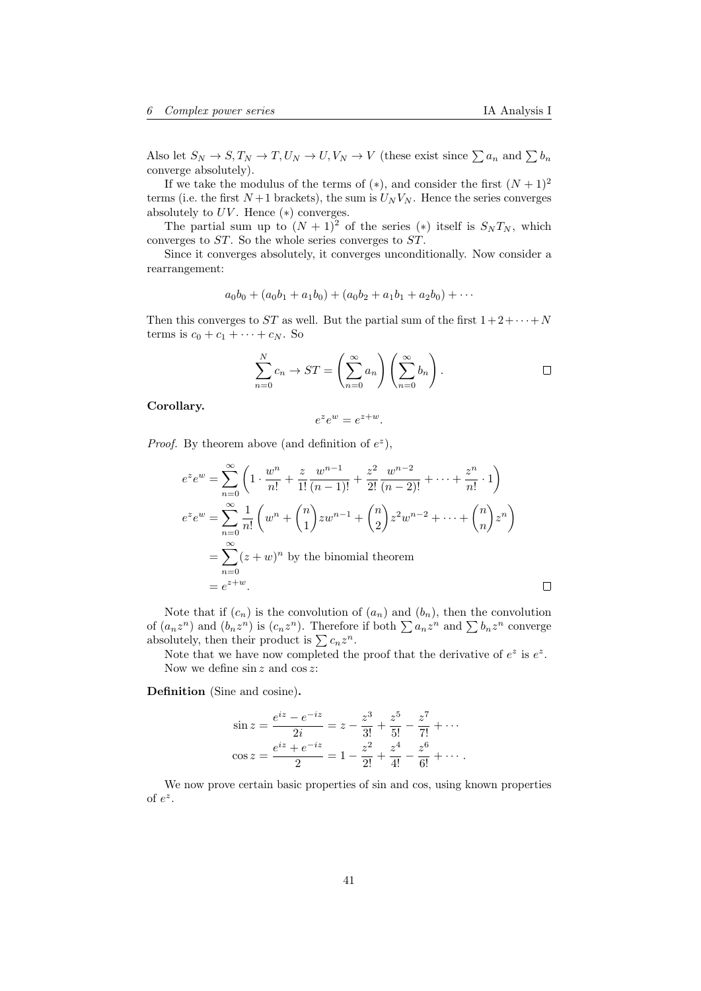Also let  $S_N \to S, T_N \to T, U_N \to U, V_N \to V$  (these exist since  $\sum a_n$  and  $\sum b_n$ converge absolutely).

If we take the modulus of the terms of  $(*)$ , and consider the first  $(N + 1)^2$ terms (i.e. the first  $N+1$  brackets), the sum is  $U_N V_N$ . Hence the series converges absolutely to  $UV$ . Hence  $(*)$  converges.

The partial sum up to  $(N + 1)^2$  of the series (\*) itself is  $S_N T_N$ , which converges to ST. So the whole series converges to ST.

Since it converges absolutely, it converges unconditionally. Now consider a rearrangement:

$$
a_0b_0 + (a_0b_1 + a_1b_0) + (a_0b_2 + a_1b_1 + a_2b_0) + \cdots
$$

Then this converges to ST as well. But the partial sum of the first  $1+2+\cdots+N$ terms is  $c_0 + c_1 + \cdots + c_N$ . So

$$
\sum_{n=0}^{N} c_n \to ST = \left(\sum_{n=0}^{\infty} a_n\right) \left(\sum_{n=0}^{\infty} b_n\right).
$$

Corollary.

$$
e^z e^w = e^{z+w}.
$$

*Proof.* By theorem above (and definition of  $e^z$ ),

$$
e^{z}e^{w} = \sum_{n=0}^{\infty} \left( 1 \cdot \frac{w^{n}}{n!} + \frac{z}{1!} \frac{w^{n-1}}{(n-1)!} + \frac{z^{2}}{2!} \frac{w^{n-2}}{(n-2)!} + \dots + \frac{z^{n}}{n!} \cdot 1 \right)
$$
  
\n
$$
e^{z}e^{w} = \sum_{n=0}^{\infty} \frac{1}{n!} \left( w^{n} + {n \choose 1} zw^{n-1} + {n \choose 2} z^{2} w^{n-2} + \dots + {n \choose n} z^{n} \right)
$$
  
\n
$$
= \sum_{n=0}^{\infty} (z+w)^{n} \text{ by the binomial theorem}
$$
  
\n
$$
= e^{z+w}.
$$

Note that if  $(c_n)$  is the convolution of  $(a_n)$  and  $(b_n)$ , then the convolution of  $(a_n z^n)$  and  $(b_n z^n)$  is  $(c_n z^n)$ . Therefore if both  $\sum a_n z^n$  and  $\sum b_n z^n$  converge absolutely, then their product is  $\sum c_n z^n$ .

Note that we have now completed the proof that the derivative of  $e^z$  is  $e^z$ . Now we define  $\sin z$  and  $\cos z$ :

Definition (Sine and cosine).

$$
\sin z = \frac{e^{iz} - e^{-iz}}{2i} = z - \frac{z^3}{3!} + \frac{z^5}{5!} - \frac{z^7}{7!} + \cdots
$$

$$
\cos z = \frac{e^{iz} + e^{-iz}}{2} = 1 - \frac{z^2}{2!} + \frac{z^4}{4!} - \frac{z^6}{6!} + \cdots
$$

We now prove certain basic properties of sin and cos, using known properties of  $e^z$ .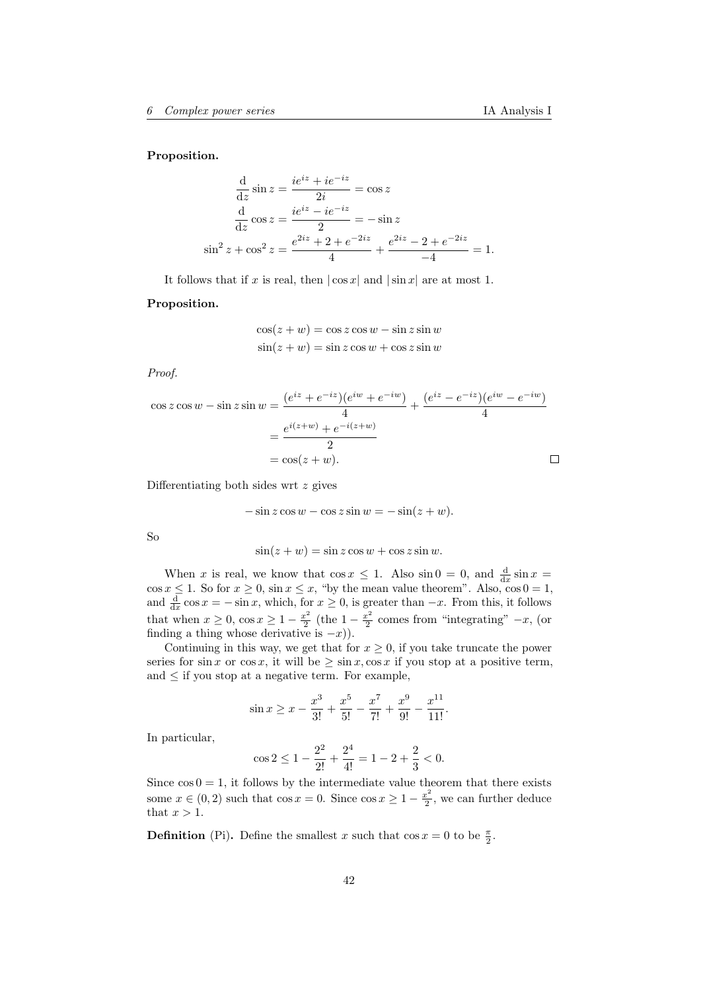#### Proposition.

$$
\frac{d}{dz}\sin z = \frac{ie^{iz} + ie^{-iz}}{2i} = \cos z
$$

$$
\frac{d}{dz}\cos z = \frac{ie^{iz} - ie^{-iz}}{2} = -\sin z
$$

$$
\sin^2 z + \cos^2 z = \frac{e^{2iz} + 2 + e^{-2iz}}{4} + \frac{e^{2iz} - 2 + e^{-2iz}}{-4} = 1.
$$

It follows that if x is real, then  $|\cos x|$  and  $|\sin x|$  are at most 1.

#### Proposition.

$$
\cos(z+w) = \cos z \cos w - \sin z \sin w
$$
  

$$
\sin(z+w) = \sin z \cos w + \cos z \sin w
$$

Proof.

$$
\cos z \cos w - \sin z \sin w = \frac{(e^{iz} + e^{-iz})(e^{iw} + e^{-iw})}{4} + \frac{(e^{iz} - e^{-iz})(e^{iw} - e^{-iw})}{4}
$$

$$
= \frac{e^{i(z+w)} + e^{-i(z+w)}}{2}
$$

$$
= \cos(z+w). \square
$$

Differentiating both sides wrt z gives

$$
-\sin z \cos w - \cos z \sin w = -\sin(z+w).
$$

So

$$
\sin(z+w) = \sin z \cos w + \cos z \sin w.
$$

When x is real, we know that  $\cos x \leq 1$ . Also  $\sin 0 = 0$ , and  $\frac{d}{dx} \sin x =$ when x is real, we know that  $\cos x \le 1$ . Also  $\sin \theta = 0$ , and  $\frac{dx}{dx} \sin x =$ <br> $\cos x \le 1$ . So for  $x \ge 0$ ,  $\sin x \le x$ , "by the mean value theorem". Also,  $\cos \theta = 1$ , and  $\frac{d}{dx}$  cos  $x = -\sin x$ , which, for  $x \ge 0$ , is greater than  $-x$ . From this, it follows that when  $x \geq 0$ ,  $\cos x \geq 1 - \frac{x^2}{2}$  $\frac{x^2}{2}$  (the  $1 - \frac{x^2}{2}$  $\frac{x^2}{2}$  comes from "integrating"  $-x$ , (or finding a thing whose derivative is  $-x$ ).

Continuing in this way, we get that for  $x \geq 0$ , if you take truncate the power series for  $\sin x$  or  $\cos x$ , it will be  $\geq \sin x$ ,  $\cos x$  if you stop at a positive term, and  $\leq$  if you stop at a negative term. For example,

$$
\sin x \ge x - \frac{x^3}{3!} + \frac{x^5}{5!} - \frac{x^7}{7!} + \frac{x^9}{9!} - \frac{x^{11}}{11!}.
$$

In particular,

$$
\cos 2 \le 1 - \frac{2^2}{2!} + \frac{2^4}{4!} = 1 - 2 + \frac{2}{3} < 0.
$$

Since  $\cos 0 = 1$ , it follows by the intermediate value theorem that there exists some  $x \in (0, 2)$  such that  $\cos x = 0$ . Since  $\cos x \ge 1 - \frac{x^2}{2}$  $\frac{x^2}{2}$ , we can further deduce that  $x > 1$ .

**Definition** (Pi). Define the smallest x such that  $\cos x = 0$  to be  $\frac{\pi}{2}$ .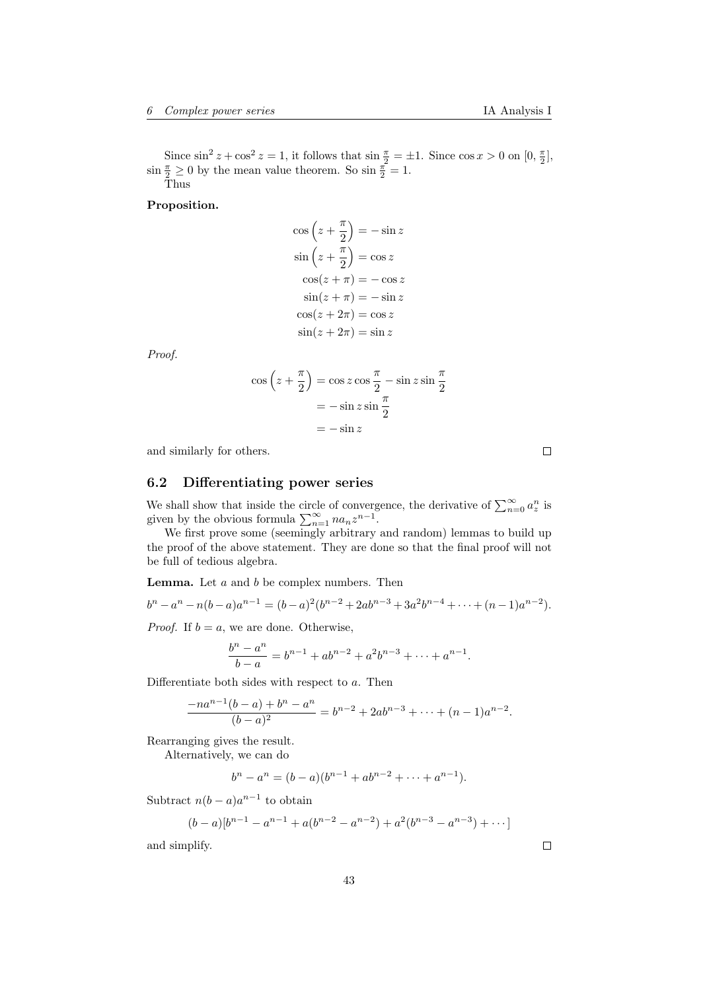Since  $\sin^2 z + \cos^2 z = 1$ , it follows that  $\sin \frac{\pi}{2} = \pm 1$ . Since  $\cos x > 0$  on  $[0, \frac{\pi}{2}]$ ,  $\sin \frac{\pi}{2} \geq 0$  by the mean value theorem. So  $\sin \frac{\pi}{2} = 1$ . Thus

Proposition.

$$
\cos\left(z + \frac{\pi}{2}\right) = -\sin z
$$

$$
\sin\left(z + \frac{\pi}{2}\right) = \cos z
$$

$$
\cos(z + \pi) = -\cos z
$$

$$
\sin(z + \pi) = -\sin z
$$

$$
\cos(z + 2\pi) = \cos z
$$

$$
\sin(z + 2\pi) = \sin z
$$

Proof.

$$
\cos\left(z + \frac{\pi}{2}\right) = \cos z \cos\frac{\pi}{2} - \sin z \sin\frac{\pi}{2}
$$

$$
= -\sin z \sin\frac{\pi}{2}
$$

$$
= -\sin z
$$

and similarly for others.

# <span id="page-42-0"></span>6.2 Differentiating power series

We shall show that inside the circle of convergence, the derivative of  $\sum_{n=0}^{\infty} a^n$  is given by the obvious formula  $\sum_{n=1}^{\infty} na_n z^{n-1}$ .

We first prove some (seemingly arbitrary and random) lemmas to build up the proof of the above statement. They are done so that the final proof will not be full of tedious algebra.

**Lemma.** Let  $a$  and  $b$  be complex numbers. Then

$$
b^{n} - a^{n} - n(b-a)a^{n-1} = (b-a)^{2}(b^{n-2} + 2ab^{n-3} + 3a^{2}b^{n-4} + \dots + (n-1)a^{n-2}).
$$

*Proof.* If  $b = a$ , we are done. Otherwise,

$$
\frac{b^n - a^n}{b - a} = b^{n-1} + ab^{n-2} + a^2b^{n-3} + \dots + a^{n-1}.
$$

Differentiate both sides with respect to a. Then

$$
\frac{-na^{n-1}(b-a)+b^n-a^n}{(b-a)^2}=b^{n-2}+2ab^{n-3}+\cdots+(n-1)a^{n-2}.
$$

Rearranging gives the result.

Alternatively, we can do

$$
b^{n} - a^{n} = (b - a)(b^{n-1} + ab^{n-2} + \dots + a^{n-1}).
$$

Subtract  $n(b-a)a^{n-1}$  to obtain

$$
(b-a)[b^{n-1}-a^{n-1}+a(b^{n-2}-a^{n-2})+a^2(b^{n-3}-a^{n-3})+\cdots]
$$

and simplify.

 $\Box$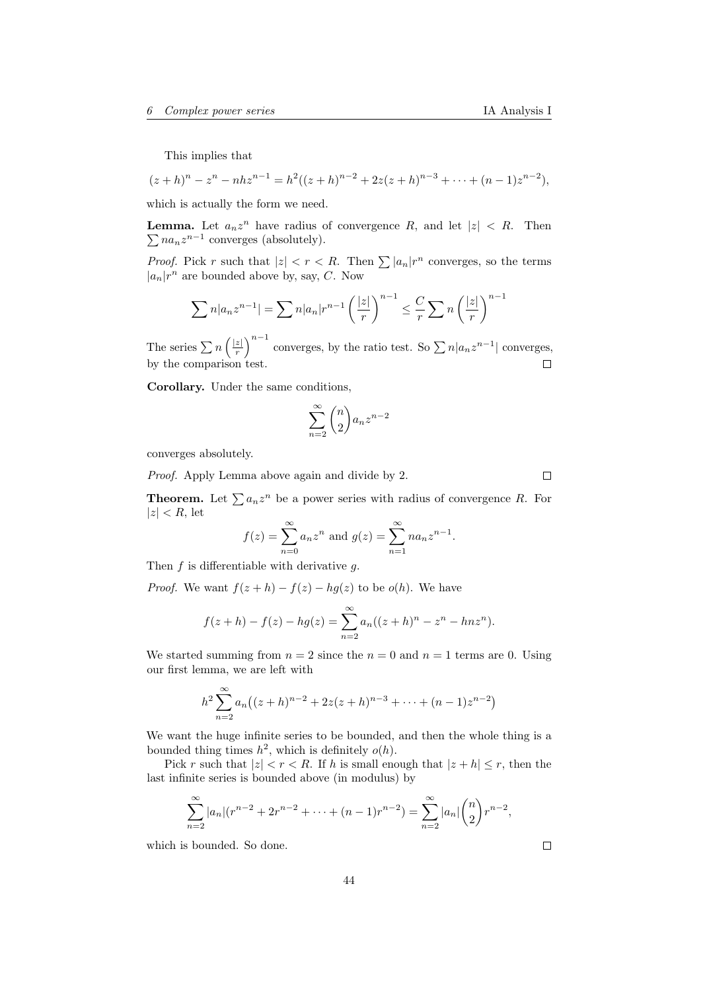This implies that

$$
(z+h)^n - z^n - nhz^{n-1} = h^2((z+h)^{n-2} + 2z(z+h)^{n-3} + \dots + (n-1)z^{n-2}),
$$

which is actually the form we need.

**Lemma.** Let  $a_n z^n$  have radius of convergence R, and let  $|z| < R$ . Then  $\sum na_n z^{n-1}$  converges (absolutely).

*Proof.* Pick r such that  $|z| < r < R$ . Then  $\sum |a_n|r^n$  converges, so the terms  $|a_n|r^n$  are bounded above by, say, C. Now

$$
\sum n|a_n z^{n-1}| = \sum n|a_n|r^{n-1}\left(\frac{|z|}{r}\right)^{n-1} \leq \frac{C}{r}\sum n\left(\frac{|z|}{r}\right)^{n-1}
$$

 $\left(\frac{z}{r}\right)^{n-1}$  converges, by the ratio test. So  $\sum n|a_nz^{n-1}|$  converges, The series  $\sum n\left(\frac{|z|}{r}\right)$ by the comparison test.  $\Box$ 

Corollary. Under the same conditions,

$$
\sum_{n=2}^{\infty} \binom{n}{2} a_n z^{n-2}
$$

converges absolutely.

Proof. Apply Lemma above again and divide by 2.

**Theorem.** Let  $\sum a_n z^n$  be a power series with radius of convergence R. For  $|z| < R$ , let

$$
f(z) = \sum_{n=0}^{\infty} a_n z^n
$$
 and  $g(z) = \sum_{n=1}^{\infty} n a_n z^{n-1}$ .

Then  $f$  is differentiable with derivative  $g$ .

*Proof.* We want  $f(z+h) - f(z) - hg(z)$  to be  $o(h)$ . We have

$$
f(z+h) - f(z) - hg(z) = \sum_{n=2}^{\infty} a_n((z+h)^n - z^n - hnz^n).
$$

We started summing from  $n = 2$  since the  $n = 0$  and  $n = 1$  terms are 0. Using our first lemma, we are left with

$$
h^{2} \sum_{n=2}^{\infty} a_{n} \left( (z+h)^{n-2} + 2z(z+h)^{n-3} + \dots + (n-1)z^{n-2} \right)
$$

We want the huge infinite series to be bounded, and then the whole thing is a bounded thing times  $h^2$ , which is definitely  $o(h)$ .

Pick r such that  $|z| < r < R$ . If h is small enough that  $|z + h| \le r$ , then the last infinite series is bounded above (in modulus) by

$$
\sum_{n=2}^{\infty} |a_n|(r^{n-2} + 2r^{n-2} + \dots + (n-1)r^{n-2}) = \sum_{n=2}^{\infty} |a_n| {n \choose 2} r^{n-2},
$$

which is bounded. So done.

 $\Box$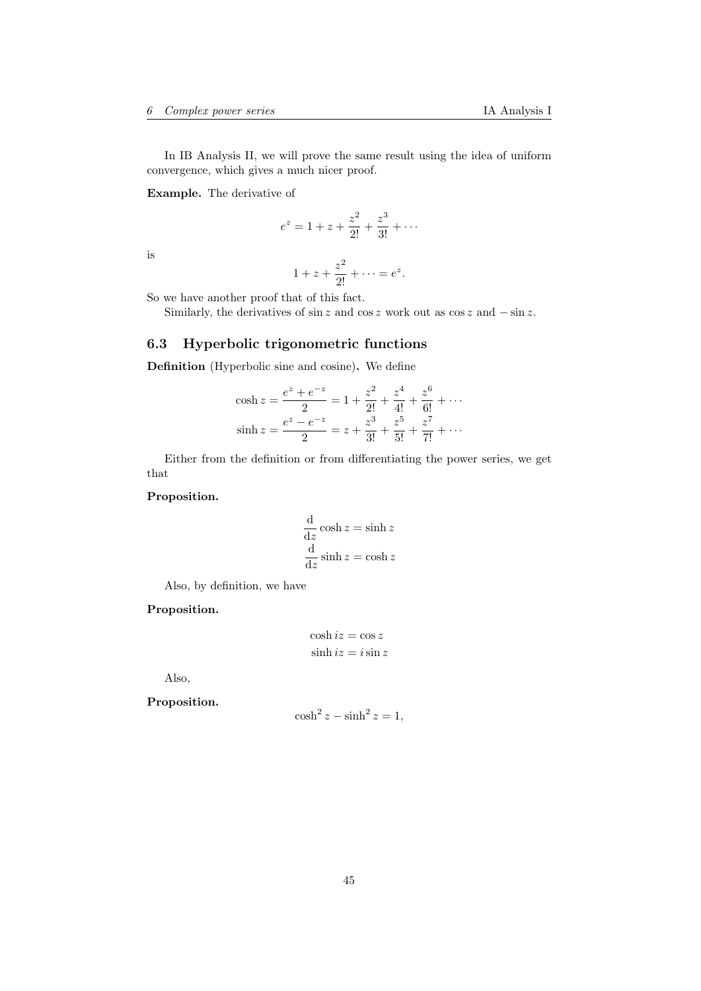In IB Analysis II, we will prove the same result using the idea of uniform convergence, which gives a much nicer proof.

Example. The derivative of

$$
e^z = 1 + z + \frac{z^2}{2!} + \frac{z^3}{3!} + \cdots
$$

is

$$
1+z+\frac{z^2}{2!}+\cdots=e^z.
$$

So we have another proof that of this fact.

Similarly, the derivatives of  $\sin z$  and  $\cos z$  work out as  $\cos z$  and  $-\sin z$ .

# <span id="page-44-0"></span>6.3 Hyperbolic trigonometric functions

Definition (Hyperbolic sine and cosine). We define

$$
\cosh z = \frac{e^z + e^{-z}}{2} = 1 + \frac{z^2}{2!} + \frac{z^4}{4!} + \frac{z^6}{6!} + \cdots
$$

$$
\sinh z = \frac{e^z - e^{-z}}{2} = z + \frac{z^3}{3!} + \frac{z^5}{5!} + \frac{z^7}{7!} + \cdots
$$

Either from the definition or from differentiating the power series, we get that

Proposition.

$$
\frac{d}{dz}\cosh z = \sinh z
$$
  

$$
\frac{d}{dz}\sinh z = \cosh z
$$

Also, by definition, we have

## Proposition.

$$
\cosh iz = \cos z
$$
  

$$
\sinh iz = i \sin z
$$

Also,

# Proposition.

$$
\cosh^2 z - \sinh^2 z = 1,
$$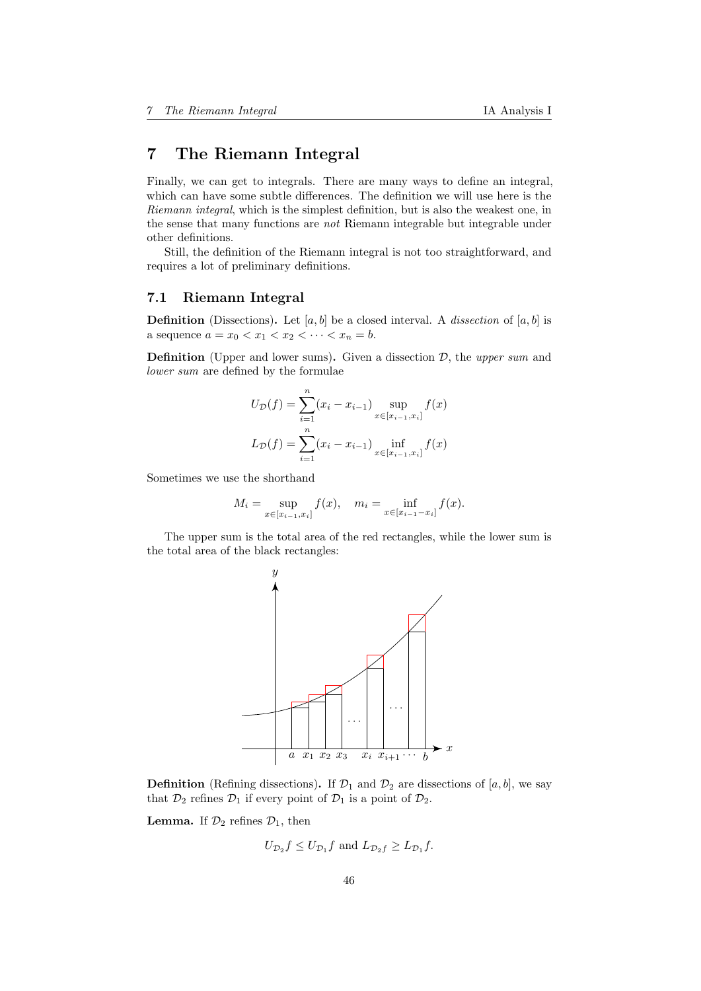# <span id="page-45-0"></span>7 The Riemann Integral

Finally, we can get to integrals. There are many ways to define an integral, which can have some subtle differences. The definition we will use here is the Riemann integral, which is the simplest definition, but is also the weakest one, in the sense that many functions are not Riemann integrable but integrable under other definitions.

Still, the definition of the Riemann integral is not too straightforward, and requires a lot of preliminary definitions.

# <span id="page-45-1"></span>7.1 Riemann Integral

**Definition** (Dissections). Let  $[a, b]$  be a closed interval. A *dissection* of  $[a, b]$  is a sequence  $a = x_0 < x_1 < x_2 < \cdots < x_n = b$ .

**Definition** (Upper and lower sums). Given a dissection  $D$ , the upper sum and lower sum are defined by the formulae

$$
U_{\mathcal{D}}(f) = \sum_{i=1}^{n} (x_i - x_{i-1}) \sup_{x \in [x_{i-1}, x_i]} f(x)
$$

$$
L_{\mathcal{D}}(f) = \sum_{i=1}^{n} (x_i - x_{i-1}) \inf_{x \in [x_{i-1}, x_i]} f(x)
$$

Sometimes we use the shorthand

$$
M_i = \sup_{x \in [x_{i-1}, x_i]} f(x), \quad m_i = \inf_{x \in [x_{i-1} - x_i]} f(x).
$$

The upper sum is the total area of the red rectangles, while the lower sum is the total area of the black rectangles:



**Definition** (Refining dissections). If  $\mathcal{D}_1$  and  $\mathcal{D}_2$  are dissections of [a, b], we say that  $\mathcal{D}_2$  refines  $\mathcal{D}_1$  if every point of  $\mathcal{D}_1$  is a point of  $\mathcal{D}_2$ .

**Lemma.** If  $\mathcal{D}_2$  refines  $\mathcal{D}_1$ , then

$$
U_{\mathcal{D}_2}f \leq U_{\mathcal{D}_1}f
$$
 and  $L_{\mathcal{D}_2}f \geq L_{\mathcal{D}_1}f$ .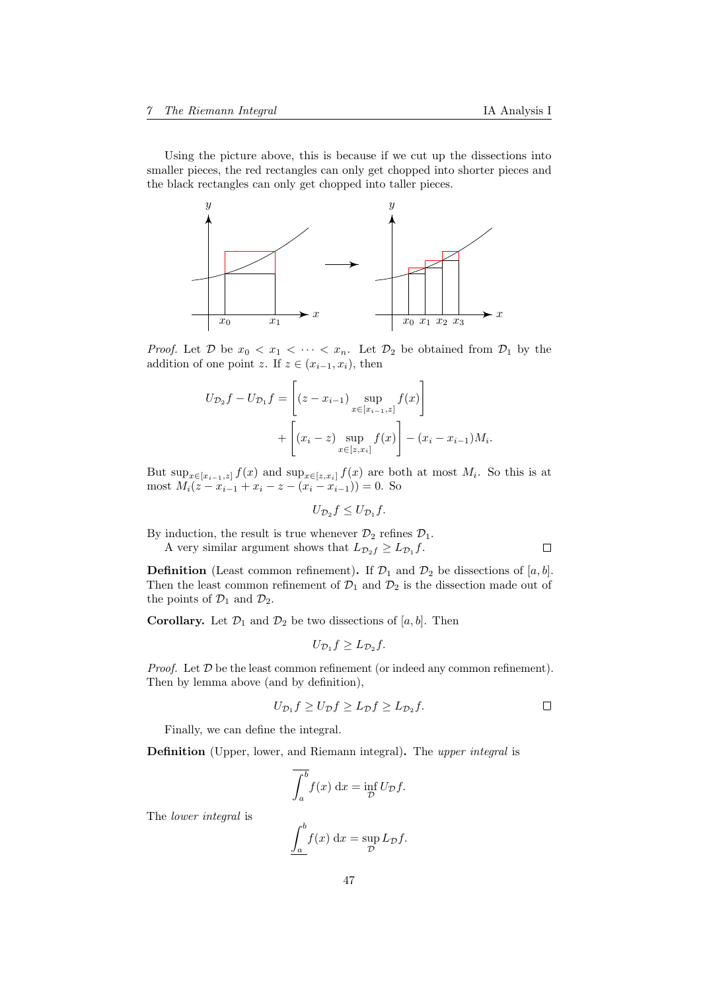$\Box$ 

Using the picture above, this is because if we cut up the dissections into smaller pieces, the red rectangles can only get chopped into shorter pieces and the black rectangles can only get chopped into taller pieces.



*Proof.* Let  $\mathcal{D}$  be  $x_0 < x_1 < \cdots < x_n$ . Let  $\mathcal{D}_2$  be obtained from  $\mathcal{D}_1$  by the addition of one point z. If  $z \in (x_{i-1}, x_i)$ , then

$$
U_{\mathcal{D}_2}f - U_{\mathcal{D}_1}f = \left[ (z - x_{i-1}) \sup_{x \in [x_{i-1}, z]} f(x) \right] + \left[ (x_i - z) \sup_{x \in [z, x_i]} f(x) \right] - (x_i - x_{i-1})M_i.
$$

But  $\sup_{x \in [x_{i-1},z]} f(x)$  and  $\sup_{x \in [z,x_i]} f(x)$  are both at most  $M_i$ . So this is at most  $M_i(z - x_{i-1} + x_i - z - (x_i - x_{i-1})) = 0$ . So

$$
U_{\mathcal{D}_2}f\leq U_{\mathcal{D}_1}f.
$$

By induction, the result is true whenever  $\mathcal{D}_2$  refines  $\mathcal{D}_1$ .

A very similar argument shows that  $L_{\mathcal{D}_2 f} \geq L_{\mathcal{D}_1} f$ .

**Definition** (Least common refinement). If  $\mathcal{D}_1$  and  $\mathcal{D}_2$  be dissections of [a, b]. Then the least common refinement of  $\mathcal{D}_1$  and  $\mathcal{D}_2$  is the dissection made out of the points of  $\mathcal{D}_1$  and  $\mathcal{D}_2$ .

**Corollary.** Let  $\mathcal{D}_1$  and  $\mathcal{D}_2$  be two dissections of [a, b]. Then

$$
U_{\mathcal{D}_1}f \geq L_{\mathcal{D}_2}f.
$$

*Proof.* Let  $D$  be the least common refinement (or indeed any common refinement). Then by lemma above (and by definition),

$$
U_{\mathcal{D}_1} f \ge U_{\mathcal{D}} f \ge L_{\mathcal{D}} f \ge L_{\mathcal{D}_2} f.
$$

Finally, we can define the integral.

Definition (Upper, lower, and Riemann integral). The upper integral is

$$
\overline{\int_a^b} f(x) \, \mathrm{d}x = \inf_{\mathcal{D}} U_{\mathcal{D}} f.
$$

The lower integral is

$$
\underline{\int_a^b} f(x) \, \mathrm{d}x = \sup_{\mathcal{D}} L_{\mathcal{D}} f.
$$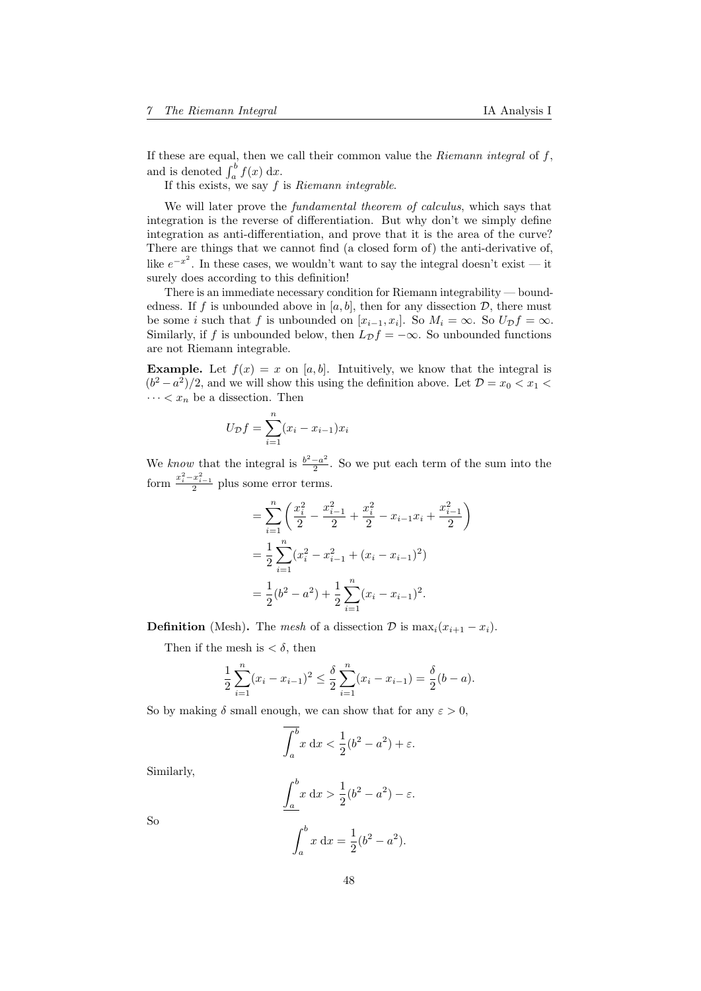If these are equal, then we call their common value the  $Riemann$  integral of  $f$ , and is denoted  $\int_a^b f(x) dx$ .

If this exists, we say  $f$  is  $Riemann$  integrable.

We will later prove the *fundamental theorem of calculus*, which says that integration is the reverse of differentiation. But why don't we simply define integration as anti-differentiation, and prove that it is the area of the curve? There are things that we cannot find (a closed form of) the anti-derivative of, like  $e^{-x^2}$ . In these cases, we wouldn't want to say the integral doesn't exist — it surely does according to this definition!

There is an immediate necessary condition for Riemann integrability — boundedness. If f is unbounded above in  $[a, b]$ , then for any dissection D, there must be some *i* such that f is unbounded on  $[x_{i-1}, x_i]$ . So  $M_i = \infty$ . So  $U_{\mathcal{D}}f = \infty$ . Similarly, if f is unbounded below, then  $L_{\mathcal{D}} f = -\infty$ . So unbounded functions are not Riemann integrable.

**Example.** Let  $f(x) = x$  on [a, b]. Intuitively, we know that the integral is  $(b^2 - a^2)/2$ , and we will show this using the definition above. Let  $\mathcal{D} = x_0 < x_1$  $\cdots < x_n$  be a dissection. Then

$$
U_{\mathcal{D}}f = \sum_{i=1}^{n} (x_i - x_{i-1})x_i
$$

We know that the integral is  $\frac{b^2-a^2}{2}$  $\frac{-a^2}{2}$ . So we put each term of the sum into the form  $\frac{x_i^2 - x_{i-1}^2}{2}$  plus some error terms.

$$
= \sum_{i=1}^{n} \left( \frac{x_i^2}{2} - \frac{x_{i-1}^2}{2} + \frac{x_i^2}{2} - x_{i-1}x_i + \frac{x_{i-1}^2}{2} \right)
$$
  
=  $\frac{1}{2} \sum_{i=1}^{n} (x_i^2 - x_{i-1}^2 + (x_i - x_{i-1})^2)$   
=  $\frac{1}{2} (b^2 - a^2) + \frac{1}{2} \sum_{i=1}^{n} (x_i - x_{i-1})^2.$ 

**Definition** (Mesh). The mesh of a dissection D is  $\max_i(x_{i+1} - x_i)$ .

Then if the mesh is  $\langle \delta, \text{ then} \rangle$ 

$$
\frac{1}{2}\sum_{i=1}^{n}(x_i - x_{i-1})^2 \le \frac{\delta}{2}\sum_{i=1}^{n}(x_i - x_{i-1}) = \frac{\delta}{2}(b-a).
$$

So by making  $\delta$  small enough, we can show that for any  $\varepsilon > 0$ ,

$$
\int_a^b x \, dx < \frac{1}{2}(b^2 - a^2) + \varepsilon.
$$

Similarly,

$$
\int_a^b x \, dx > \frac{1}{2}(b^2 - a^2) - \varepsilon.
$$

So

$$
\int_{a}^{b} x \, dx = \frac{1}{2} (b^2 - a^2).
$$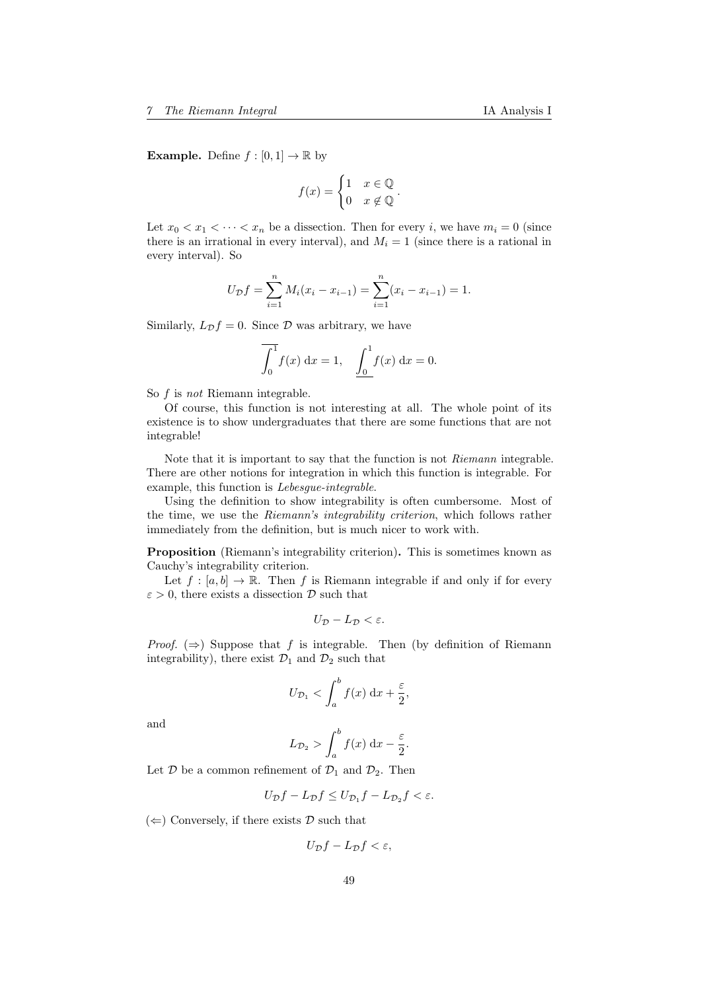**Example.** Define  $f : [0, 1] \to \mathbb{R}$  by

$$
f(x) = \begin{cases} 1 & x \in \mathbb{Q} \\ 0 & x \notin \mathbb{Q} \end{cases}.
$$

Let  $x_0 < x_1 < \cdots < x_n$  be a dissection. Then for every i, we have  $m_i = 0$  (since there is an irrational in every interval), and  $M_i = 1$  (since there is a rational in every interval). So

$$
U_{\mathcal{D}}f = \sum_{i=1}^{n} M_i (x_i - x_{i-1}) = \sum_{i=1}^{n} (x_i - x_{i-1}) = 1.
$$

Similarly,  $L_{\mathcal{D}}f = 0$ . Since  $\mathcal{D}$  was arbitrary, we have

$$
\int_0^1 f(x) \, dx = 1, \quad \int_0^1 f(x) \, dx = 0.
$$

So f is not Riemann integrable.

Of course, this function is not interesting at all. The whole point of its existence is to show undergraduates that there are some functions that are not integrable!

Note that it is important to say that the function is not Riemann integrable. There are other notions for integration in which this function is integrable. For example, this function is Lebesgue-integrable.

Using the definition to show integrability is often cumbersome. Most of the time, we use the Riemann's integrability criterion, which follows rather immediately from the definition, but is much nicer to work with.

Proposition (Riemann's integrability criterion). This is sometimes known as Cauchy's integrability criterion.

Let  $f : [a, b] \to \mathbb{R}$ . Then f is Riemann integrable if and only if for every  $\varepsilon > 0$ , there exists a dissection  $\mathcal{D}$  such that

$$
U_{\mathcal{D}}-L_{\mathcal{D}}<\varepsilon.
$$

*Proof.* ( $\Rightarrow$ ) Suppose that f is integrable. Then (by definition of Riemann integrability), there exist  $\mathcal{D}_1$  and  $\mathcal{D}_2$  such that

$$
U_{\mathcal{D}_1} < \int_a^b f(x) \, \mathrm{d}x + \frac{\varepsilon}{2},
$$

and

$$
L_{\mathcal{D}_2} > \int_a^b f(x) \, \mathrm{d}x - \frac{\varepsilon}{2}.
$$

Let  $\mathcal D$  be a common refinement of  $\mathcal D_1$  and  $\mathcal D_2$ . Then

$$
U_{\mathcal{D}}f - L_{\mathcal{D}}f \le U_{\mathcal{D}_1}f - L_{\mathcal{D}_2}f < \varepsilon.
$$

 $(\Leftarrow)$  Conversely, if there exists  $\mathcal{D}$  such that

$$
U_{\mathcal{D}}f - L_{\mathcal{D}}f < \varepsilon,
$$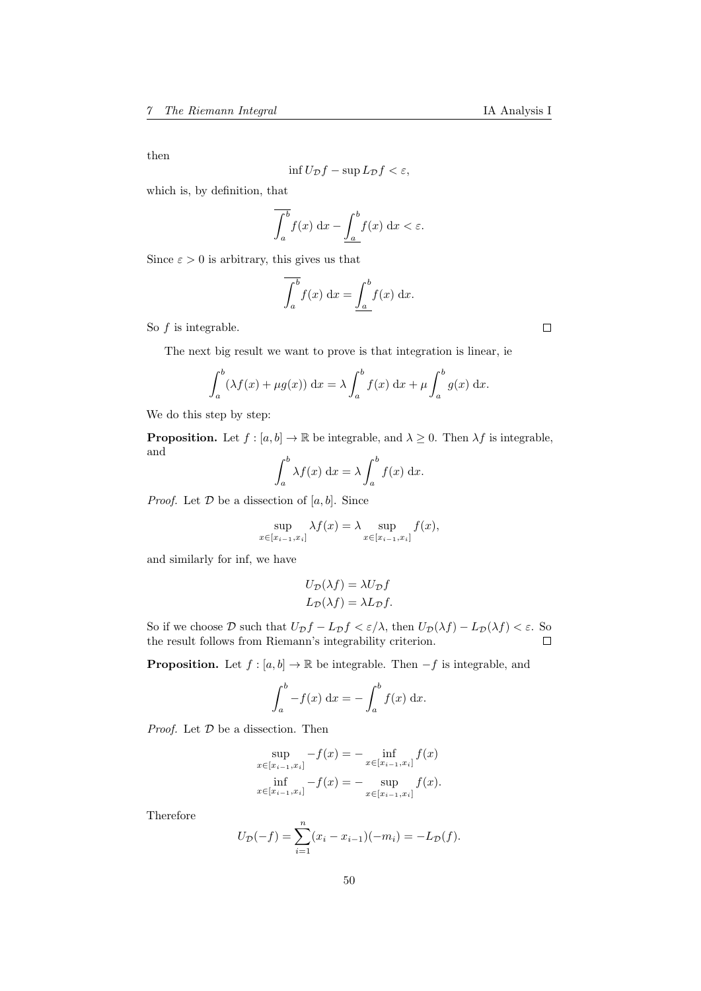then

$$
\inf U_{\mathcal{D}}f - \sup L_{\mathcal{D}}f < \varepsilon,
$$

which is, by definition, that

$$
\int_{a}^{b} f(x) \, \mathrm{d}x - \underline{\int_{a}^{b} f(x) \, \mathrm{d}x} < \varepsilon.
$$

Since  $\varepsilon > 0$  is arbitrary, this gives us that

$$
\int_{a}^{b} f(x) dx = \underline{\int_{a}^{b}} f(x) dx.
$$

So  $f$  is integrable.

The next big result we want to prove is that integration is linear, ie

$$
\int_a^b (\lambda f(x) + \mu g(x)) dx = \lambda \int_a^b f(x) dx + \mu \int_a^b g(x) dx.
$$

We do this step by step:

**Proposition.** Let  $f : [a, b] \to \mathbb{R}$  be integrable, and  $\lambda \geq 0$ . Then  $\lambda f$  is integrable, and

$$
\int_a^b \lambda f(x) \, \mathrm{d}x = \lambda \int_a^b f(x) \, \mathrm{d}x.
$$

*Proof.* Let  $D$  be a dissection of  $[a, b]$ . Since

$$
\sup_{x \in [x_{i-1}, x_i]} \lambda f(x) = \lambda \sup_{x \in [x_{i-1}, x_i]} f(x),
$$

and similarly for inf, we have

$$
U_{\mathcal{D}}(\lambda f) = \lambda U_{\mathcal{D}} f
$$

$$
L_{\mathcal{D}}(\lambda f) = \lambda L_{\mathcal{D}} f.
$$

So if we choose  $\mathcal D$  such that  $U_{\mathcal D}f-L_{\mathcal D}f<\varepsilon/\lambda,$  then  $U_{\mathcal D}(\lambda f)-L_{\mathcal D}(\lambda f)<\varepsilon.$  So the result follows from Riemann's integrability criterion.  $\Box$ 

**Proposition.** Let  $f : [a, b] \to \mathbb{R}$  be integrable. Then  $-f$  is integrable, and

$$
\int_a^b -f(x) \, \mathrm{d}x = -\int_a^b f(x) \, \mathrm{d}x.
$$

*Proof.* Let  $D$  be a dissection. Then

 $\ddot{\phantom{a}}$ 

$$
\sup_{x \in [x_{i-1}, x_i]} -f(x) = - \inf_{x \in [x_{i-1}, x_i]} f(x)
$$

$$
\inf_{x \in [x_{i-1}, x_i]} -f(x) = - \sup_{x \in [x_{i-1}, x_i]} f(x).
$$

Therefore

$$
U_{\mathcal{D}}(-f) = \sum_{i=1}^{n} (x_i - x_{i-1})(-m_i) = -L_{\mathcal{D}}(f).
$$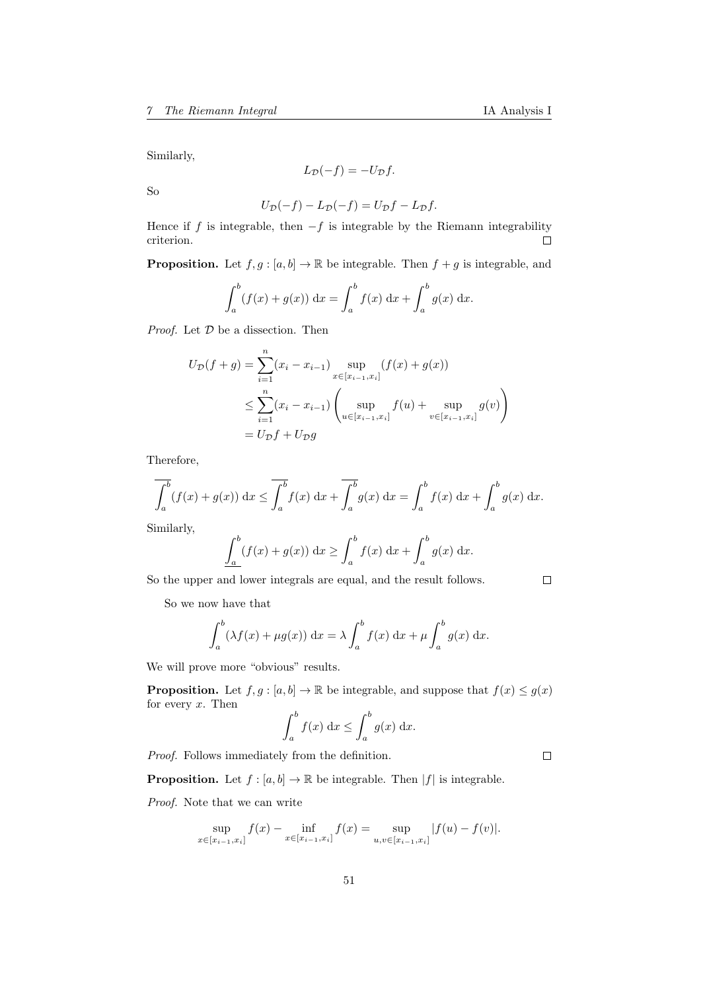Similarly,

$$
L_{\mathcal{D}}(-f) = -U_{\mathcal{D}}f.
$$

So

$$
U_{\mathcal{D}}(-f) - L_{\mathcal{D}}(-f) = U_{\mathcal{D}}f - L_{\mathcal{D}}f.
$$

Hence if f is integrable, then  $-f$  is integrable by the Riemann integrability criterion.  $\Box$ 

**Proposition.** Let  $f, g : [a, b] \to \mathbb{R}$  be integrable. Then  $f + g$  is integrable, and

$$
\int_{a}^{b} (f(x) + g(x)) dx = \int_{a}^{b} f(x) dx + \int_{a}^{b} g(x) dx.
$$

*Proof.* Let  $D$  be a dissection. Then

$$
U_{\mathcal{D}}(f+g) = \sum_{i=1}^{n} (x_i - x_{i-1}) \sup_{x \in [x_{i-1}, x_i]} (f(x) + g(x))
$$
  

$$
\leq \sum_{i=1}^{n} (x_i - x_{i-1}) \left( \sup_{u \in [x_{i-1}, x_i]} f(u) + \sup_{v \in [x_{i-1}, x_i]} g(v) \right)
$$
  

$$
= U_{\mathcal{D}}f + U_{\mathcal{D}}g
$$

Therefore,

$$
\overline{\int_a^b} (f(x) + g(x)) dx \le \overline{\int_a^b} f(x) dx + \overline{\int_a^b} g(x) dx = \int_a^b f(x) dx + \int_a^b g(x) dx.
$$

Similarly,

$$
\int_a^b (f(x) + g(x)) dx \ge \int_a^b f(x) dx + \int_a^b g(x) dx.
$$

So the upper and lower integrals are equal, and the result follows.

 $\Box$ 

So we now have that

$$
\int_a^b (\lambda f(x) + \mu g(x)) dx = \lambda \int_a^b f(x) dx + \mu \int_a^b g(x) dx.
$$

We will prove more "obvious" results.

**Proposition.** Let  $f, g : [a, b] \to \mathbb{R}$  be integrable, and suppose that  $f(x) \leq g(x)$ for every  $x$ . Then

$$
\int_a^b f(x) \, \mathrm{d}x \le \int_a^b g(x) \, \mathrm{d}x.
$$

Proof. Follows immediately from the definition.

 $\Box$ 

**Proposition.** Let  $f : [a, b] \to \mathbb{R}$  be integrable. Then  $|f|$  is integrable.

Proof. Note that we can write

$$
\sup_{x \in [x_{i-1}, x_i]} f(x) - \inf_{x \in [x_{i-1}, x_i]} f(x) = \sup_{u, v \in [x_{i-1}, x_i]} |f(u) - f(v)|.
$$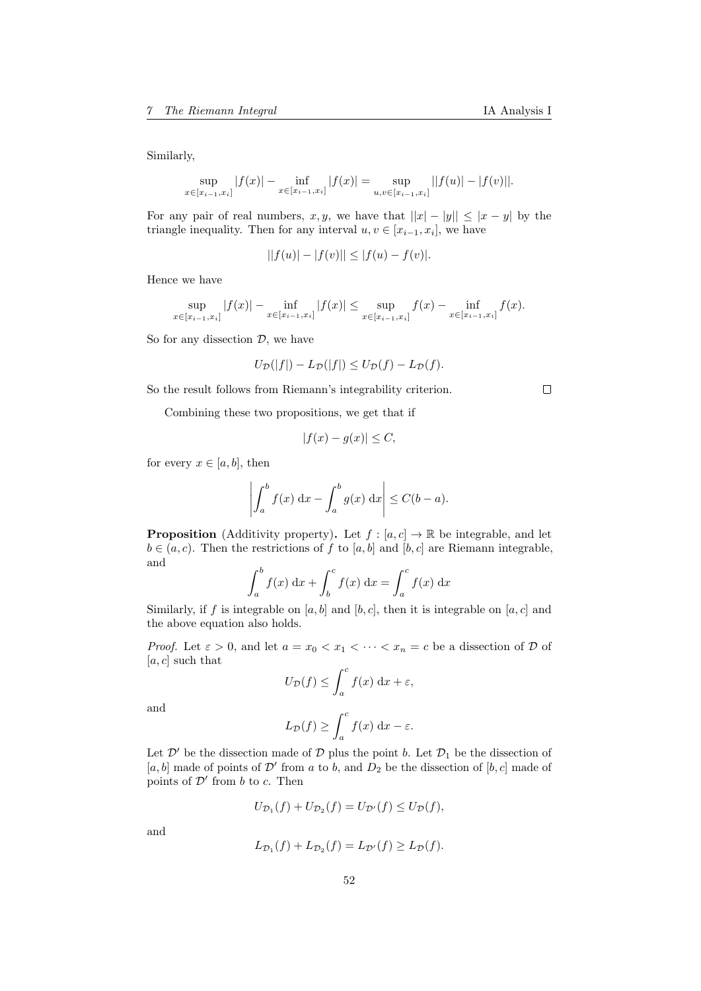Similarly,

$$
\sup_{x \in [x_{i-1}, x_i]} |f(x)| - \inf_{x \in [x_{i-1}, x_i]} |f(x)| = \sup_{u, v \in [x_{i-1}, x_i]} ||f(u)| - |f(v)||.
$$

For any pair of real numbers, x, y, we have that  $||x| - |y|| \le |x - y|$  by the triangle inequality. Then for any interval  $u, v \in [x_{i-1}, x_i]$ , we have

$$
||f(u)| - |f(v)|| \le |f(u) - f(v)|.
$$

Hence we have

$$
\sup_{x \in [x_{i-1}, x_i]} |f(x)| - \inf_{x \in [x_{i-1}, x_i]} |f(x)| \le \sup_{x \in [x_{i-1}, x_i]} f(x) - \inf_{x \in [x_{i-1}, x_i]} f(x).
$$

So for any dissection  $D$ , we have

$$
U_{\mathcal{D}}(|f|) - L_{\mathcal{D}}(|f|) \le U_{\mathcal{D}}(f) - L_{\mathcal{D}}(f).
$$

So the result follows from Riemann's integrability criterion.

Combining these two propositions, we get that if

$$
|f(x) - g(x)| \le C,
$$

for every  $x \in [a, b]$ , then

$$
\left| \int_a^b f(x) \, dx - \int_a^b g(x) \, dx \right| \le C(b-a).
$$

**Proposition** (Additivity property). Let  $f : [a, c] \to \mathbb{R}$  be integrable, and let  $b \in (a, c)$ . Then the restrictions of f to [a, b] and [b, c] are Riemann integrable, and

$$
\int_a^b f(x) dx + \int_b^c f(x) dx = \int_a^c f(x) dx
$$

Similarly, if f is integrable on [a, b] and [b, c], then it is integrable on [a, c] and the above equation also holds.

*Proof.* Let  $\varepsilon > 0$ , and let  $a = x_0 < x_1 < \cdots < x_n = c$  be a dissection of  $D$  of  $[a, c]$  such that

$$
U_{\mathcal{D}}(f) \le \int_a^c f(x) \, \mathrm{d}x + \varepsilon,
$$

and

$$
L_{\mathcal{D}}(f) \ge \int_{a}^{c} f(x) \, \mathrm{d}x - \varepsilon.
$$

Let  $\mathcal{D}'$  be the dissection made of  $\mathcal D$  plus the point b. Let  $\mathcal D_1$  be the dissection of [a, b] made of points of  $\mathcal{D}'$  from a to b, and  $D_2$  be the dissection of [b, c] made of points of  $\mathcal{D}'$  from b to c. Then

$$
U_{\mathcal{D}_1}(f) + U_{\mathcal{D}_2}(f) = U_{\mathcal{D}'}(f) \leq U_{\mathcal{D}}(f),
$$

and

$$
L_{\mathcal{D}_1}(f) + L_{\mathcal{D}_2}(f) = L_{\mathcal{D}'}(f) \ge L_{\mathcal{D}}(f).
$$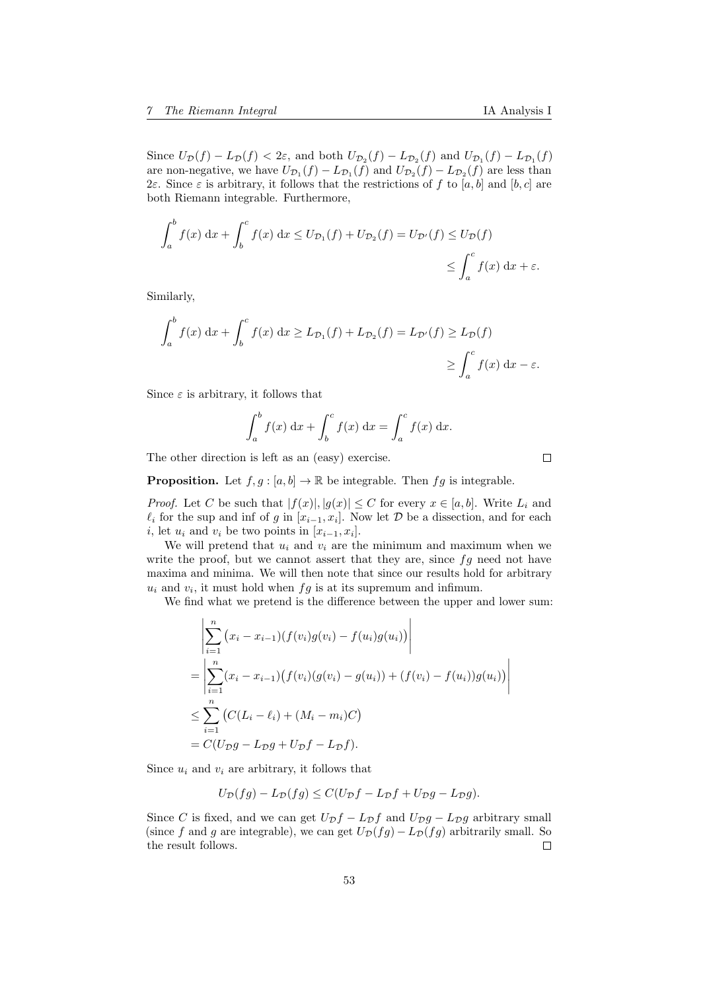are non-negative, we have  $U_{\mathcal{D}_1}(f) - L_{\mathcal{D}_1}(f)$  and  $U_{\mathcal{D}_2}(f) - L_{\mathcal{D}_2}(f)$  are less than 2ε. Since ε is arbitrary, it follows that the restrictions of f to [a, b] and [b, c] are both Riemann integrable. Furthermore,

$$
\int_{a}^{b} f(x) dx + \int_{b}^{c} f(x) dx \le U_{\mathcal{D}_1}(f) + U_{\mathcal{D}_2}(f) = U_{\mathcal{D}'}(f) \le U_{\mathcal{D}}(f)
$$
  

$$
\le \int_{a}^{c} f(x) dx + \varepsilon.
$$

Similarly,

$$
\int_{a}^{b} f(x) dx + \int_{b}^{c} f(x) dx \ge L_{\mathcal{D}_{1}}(f) + L_{\mathcal{D}_{2}}(f) = L_{\mathcal{D}'}(f) \ge L_{\mathcal{D}}(f)
$$
  

$$
\ge \int_{a}^{c} f(x) dx - \varepsilon.
$$

Since  $\varepsilon$  is arbitrary, it follows that

$$
\int_a^b f(x) dx + \int_b^c f(x) dx = \int_a^c f(x) dx.
$$

The other direction is left as an (easy) exercise.

**Proposition.** Let  $f, g : [a, b] \to \mathbb{R}$  be integrable. Then  $fg$  is integrable.

*Proof.* Let C be such that  $|f(x)|, |g(x)| \leq C$  for every  $x \in [a, b]$ . Write  $L_i$  and  $\ell_i$  for the sup and inf of g in  $[x_{i-1}, x_i]$ . Now let D be a dissection, and for each *i*, let  $u_i$  and  $v_i$  be two points in  $[x_{i-1}, x_i]$ .

We will pretend that  $u_i$  and  $v_i$  are the minimum and maximum when we write the proof, but we cannot assert that they are, since  $fg$  need not have maxima and minima. We will then note that since our results hold for arbitrary  $u_i$  and  $v_i$ , it must hold when  $fg$  is at its supremum and infimum.

We find what we pretend is the difference between the upper and lower sum:

$$
\left| \sum_{i=1}^{n} (x_i - x_{i-1})(f(v_i)g(v_i) - f(u_i)g(u_i)) \right|
$$
  
= 
$$
\left| \sum_{i=1}^{n} (x_i - x_{i-1})(f(v_i)(g(v_i) - g(u_i)) + (f(v_i) - f(u_i))g(u_i)) \right|
$$
  

$$
\leq \sum_{i=1}^{n} (C(L_i - \ell_i) + (M_i - m_i)C)
$$
  
= 
$$
C(U_{\mathcal{D}}g - L_{\mathcal{D}}g + U_{\mathcal{D}}f - L_{\mathcal{D}}f).
$$

Since  $u_i$  and  $v_i$  are arbitrary, it follows that

$$
U_{\mathcal{D}}(fg) - L_{\mathcal{D}}(fg) \le C(U_{\mathcal{D}}f - L_{\mathcal{D}}f + U_{\mathcal{D}}g - L_{\mathcal{D}}g).
$$

Since C is fixed, and we can get  $U_{\mathcal{D}}f - L_{\mathcal{D}}f$  and  $U_{\mathcal{D}}g - L_{\mathcal{D}}g$  arbitrary small (since f and g are integrable), we can get  $U_{\mathcal{D}}(fg) - L_{\mathcal{D}}(fg)$  arbitrarily small. So the result follows.  $\Box$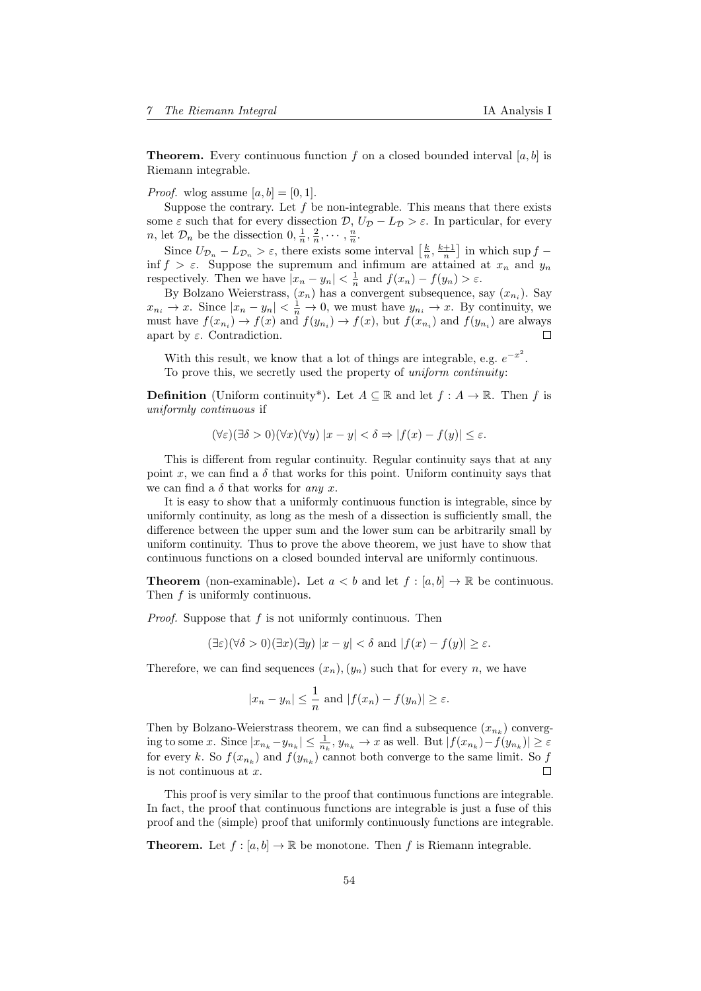**Theorem.** Every continuous function f on a closed bounded interval  $[a, b]$  is Riemann integrable.

*Proof.* wlog assume  $[a, b] = [0, 1]$ .

Suppose the contrary. Let  $f$  be non-integrable. This means that there exists some  $\varepsilon$  such that for every dissection  $\mathcal{D}, U_{\mathcal{D}} - L_{\mathcal{D}} > \varepsilon$ . In particular, for every *n*, let  $\mathcal{D}_n$  be the dissection  $0, \frac{1}{n}, \frac{2}{n}, \cdots, \frac{n}{n}$ .

Since  $U_{\mathcal{D}_n} - L_{\mathcal{D}_n} > \varepsilon$ , there exists some interval  $\left[\frac{k}{n}, \frac{k+1}{n}\right]$  in which sup  $f$  – inf  $f > \varepsilon$ . Suppose the supremum and infimum are attained at  $x_n$  and  $y_n$ respectively. Then we have  $|x_n - y_n| < \frac{1}{n}$  and  $f(x_n) - f(y_n) > \varepsilon$ .

By Bolzano Weierstrass,  $(x_n)$  has a convergent subsequence, say  $(x_{n_i})$ . Say  $x_{n_i} \to x$ . Since  $|x_n - y_n| < \frac{1}{n} \to 0$ , we must have  $y_{n_i} \to x$ . By continuity, we must have  $f(x_{n_i}) \to f(x)$  and  $f(y_{n_i}) \to f(x)$ , but  $f(x_{n_i})$  and  $f(y_{n_i})$  are always apart by  $\varepsilon$ . Contradiction. г

With this result, we know that a lot of things are integrable, e.g.  $e^{-x^2}$ . To prove this, we secretly used the property of uniform continuity:

**Definition** (Uniform continuity\*). Let  $A \subseteq \mathbb{R}$  and let  $f : A \to \mathbb{R}$ . Then f is uniformly continuous if

$$
(\forall \varepsilon)(\exists \delta > 0)(\forall x)(\forall y) \ |x - y| < \delta \Rightarrow |f(x) - f(y)| \le \varepsilon.
$$

This is different from regular continuity. Regular continuity says that at any point x, we can find a  $\delta$  that works for this point. Uniform continuity says that we can find a  $\delta$  that works for any x.

It is easy to show that a uniformly continuous function is integrable, since by uniformly continuity, as long as the mesh of a dissection is sufficiently small, the difference between the upper sum and the lower sum can be arbitrarily small by uniform continuity. Thus to prove the above theorem, we just have to show that continuous functions on a closed bounded interval are uniformly continuous.

**Theorem** (non-examinable). Let  $a < b$  and let  $f : [a, b] \to \mathbb{R}$  be continuous. Then f is uniformly continuous.

*Proof.* Suppose that  $f$  is not uniformly continuous. Then

$$
(\exists \varepsilon)(\forall \delta > 0)(\exists x)(\exists y) |x - y| < \delta \text{ and } |f(x) - f(y)| \ge \varepsilon.
$$

Therefore, we can find sequences  $(x_n), (y_n)$  such that for every n, we have

$$
|x_n - y_n| \leq \frac{1}{n}
$$
 and  $|f(x_n) - f(y_n)| \geq \varepsilon$ .

Then by Bolzano-Weierstrass theorem, we can find a subsequence  $(x_{n_k})$  converging to some x. Since  $|x_{n_k} - y_{n_k}| \leq \frac{1}{n_k}$ ,  $y_{n_k} \to x$  as well. But  $|f(x_{n_k}) - f(y_{n_k})| \geq \varepsilon$ for every k. So  $f(x_{n_k})$  and  $f(y_{n_k})$  cannot both converge to the same limit. So  $f$ is not continuous at  $x$ .  $\Box$ 

This proof is very similar to the proof that continuous functions are integrable. In fact, the proof that continuous functions are integrable is just a fuse of this proof and the (simple) proof that uniformly continuously functions are integrable.

**Theorem.** Let  $f : [a, b] \to \mathbb{R}$  be monotone. Then f is Riemann integrable.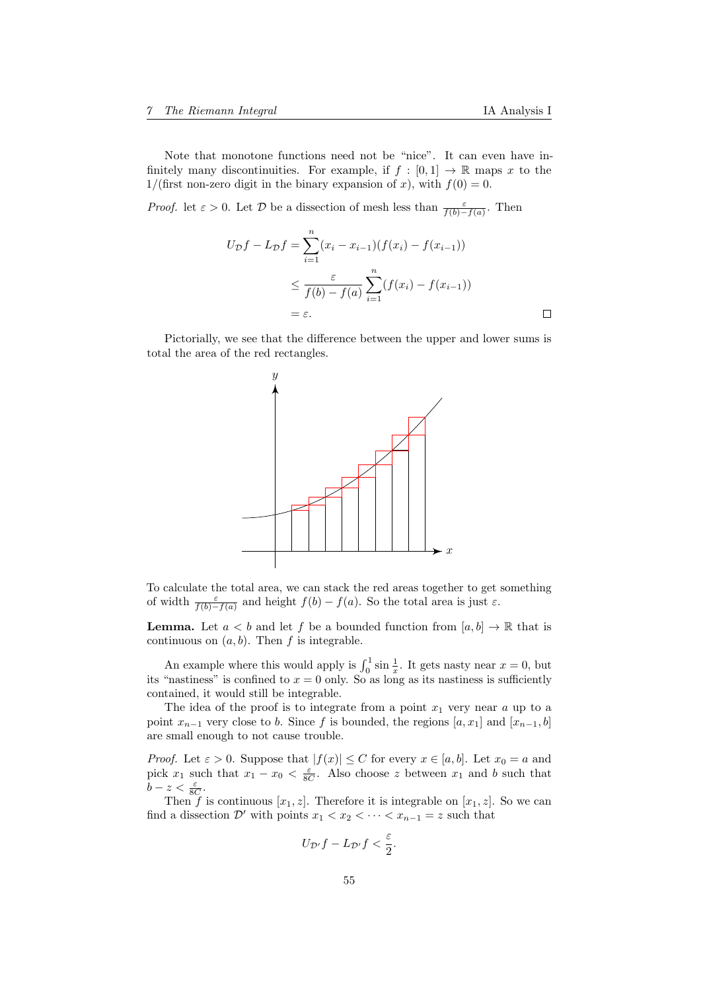Note that monotone functions need not be "nice". It can even have infinitely many discontinuities. For example, if  $f : [0, 1] \to \mathbb{R}$  maps x to the 1/(first non-zero digit in the binary expansion of x), with  $f(0) = 0$ .

*Proof.* let  $\varepsilon > 0$ . Let  $\mathcal{D}$  be a dissection of mesh less than  $\frac{\varepsilon}{f(b)-f(a)}$ . Then

$$
U_{\mathcal{D}}f - L_{\mathcal{D}}f = \sum_{i=1}^{n} (x_i - x_{i-1})(f(x_i) - f(x_{i-1}))
$$
  

$$
\leq \frac{\varepsilon}{f(b) - f(a)} \sum_{i=1}^{n} (f(x_i) - f(x_{i-1}))
$$
  

$$
= \varepsilon.
$$

Pictorially, we see that the difference between the upper and lower sums is total the area of the red rectangles.



To calculate the total area, we can stack the red areas together to get something of width  $\frac{\varepsilon}{f(b)-f(a)}$  and height  $f(b)-f(a)$ . So the total area is just  $\varepsilon$ .

**Lemma.** Let  $a < b$  and let f be a bounded function from  $[a, b] \to \mathbb{R}$  that is continuous on  $(a, b)$ . Then f is integrable.

An example where this would apply is  $\int_0^1 \sin \frac{1}{x}$ . It gets nasty near  $x = 0$ , but its "nastiness" is confined to  $x = 0$  only. So as long as its nastiness is sufficiently contained, it would still be integrable.

The idea of the proof is to integrate from a point  $x_1$  very near  $a$  up to a point  $x_{n-1}$  very close to b. Since f is bounded, the regions  $[a, x_1]$  and  $[x_{n-1}, b]$ are small enough to not cause trouble.

*Proof.* Let  $\varepsilon > 0$ . Suppose that  $|f(x)| \leq C$  for every  $x \in [a, b]$ . Let  $x_0 = a$  and pick  $x_1$  such that  $x_1 - x_0 < \frac{\varepsilon}{8C}$ . Also choose z between  $x_1$  and b such that  $b - z < \frac{\varepsilon}{8C}$ .

Then f is continuous  $[x_1, z]$ . Therefore it is integrable on  $[x_1, z]$ . So we can find a dissection  $\mathcal{D}'$  with points  $x_1 < x_2 < \cdots < x_{n-1} = z$  such that

$$
U_{\mathcal{D}'}f-L_{\mathcal{D}'}f<\frac{\varepsilon}{2}.
$$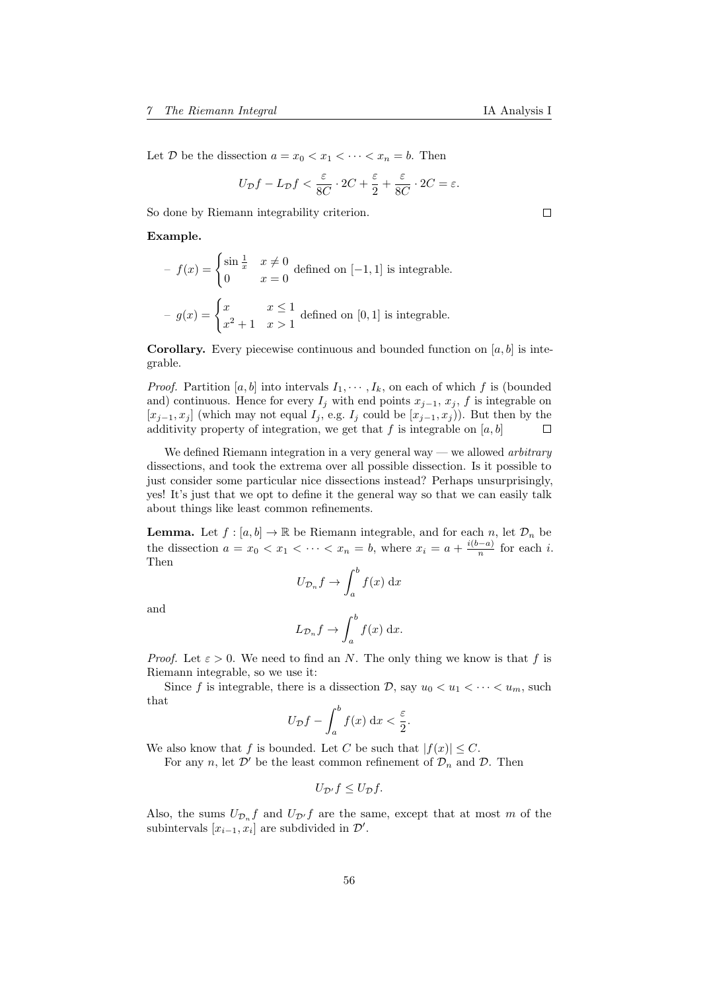Let  $D$  be the dissection  $a = x_0 < x_1 < \cdots < x_n = b$ . Then

$$
U_{\mathcal{D}}f - L_{\mathcal{D}}f < \frac{\varepsilon}{8C} \cdot 2C + \frac{\varepsilon}{2} + \frac{\varepsilon}{8C} \cdot 2C = \varepsilon.
$$

So done by Riemann integrability criterion.

Example.

 $-f(x) = \begin{cases} \sin \frac{1}{x} & x \neq 0 \\ 0 & x = 0 \end{cases}$  $\begin{pmatrix} 0 & x \\ y & z \end{pmatrix}$  defined on [-1, 1] is integrable.  $-g(x) = \begin{cases} x & x \leq 1 \\ 2 & y \leq 1 \end{cases}$  $\frac{x}{x^2+1}$   $\frac{x}{x>1}$  defined on [0, 1] is integrable.

**Corollary.** Every piecewise continuous and bounded function on  $[a, b]$  is integrable.

*Proof.* Partition [a, b] into intervals  $I_1, \dots, I_k$ , on each of which f is (bounded and) continuous. Hence for every  $I_j$  with end points  $x_{j-1}, x_j, f$  is integrable on  $[x_{j-1}, x_j]$  (which may not equal  $I_j$ , e.g.  $I_j$  could be  $[x_{j-1}, x_j]$ ). But then by the additivity property of integration, we get that f is integrable on  $[a, b]$  $\Box$ 

We defined Riemann integration in a very general way — we allowed *arbitrary* dissections, and took the extrema over all possible dissection. Is it possible to just consider some particular nice dissections instead? Perhaps unsurprisingly, yes! It's just that we opt to define it the general way so that we can easily talk about things like least common refinements.

**Lemma.** Let  $f : [a, b] \to \mathbb{R}$  be Riemann integrable, and for each n, let  $\mathcal{D}_n$  be the dissection  $a = x_0 < x_1 < \cdots < x_n = b$ , where  $x_i = a + \frac{i(b-a)}{n}$  $\frac{n}{n}$  for each *i*. Then

$$
U_{\mathcal{D}_n}f \to \int_a^b f(x) \, \mathrm{d}x
$$

and

$$
L_{\mathcal{D}_n}f \to \int_a^b f(x) \, \mathrm{d}x.
$$

*Proof.* Let  $\varepsilon > 0$ . We need to find an N. The only thing we know is that f is Riemann integrable, so we use it:

Since f is integrable, there is a dissection D, say  $u_0 < u_1 < \cdots < u_m$ , such that

$$
U_{\mathcal{D}}f - \int_{a}^{b} f(x) \, \mathrm{d}x < \frac{\varepsilon}{2}.
$$

We also know that f is bounded. Let C be such that  $|f(x)| \leq C$ .

For any n, let  $\mathcal{D}'$  be the least common refinement of  $\mathcal{D}_n$  and  $\mathcal{D}$ . Then

$$
U_{\mathcal{D}'}f \leq U_{\mathcal{D}}f.
$$

Also, the sums  $U_{\mathcal{D}_n}f$  and  $U_{\mathcal{D}'}f$  are the same, except that at most m of the subintervals  $[x_{i-1}, x_i]$  are subdivided in  $\mathcal{D}'$ .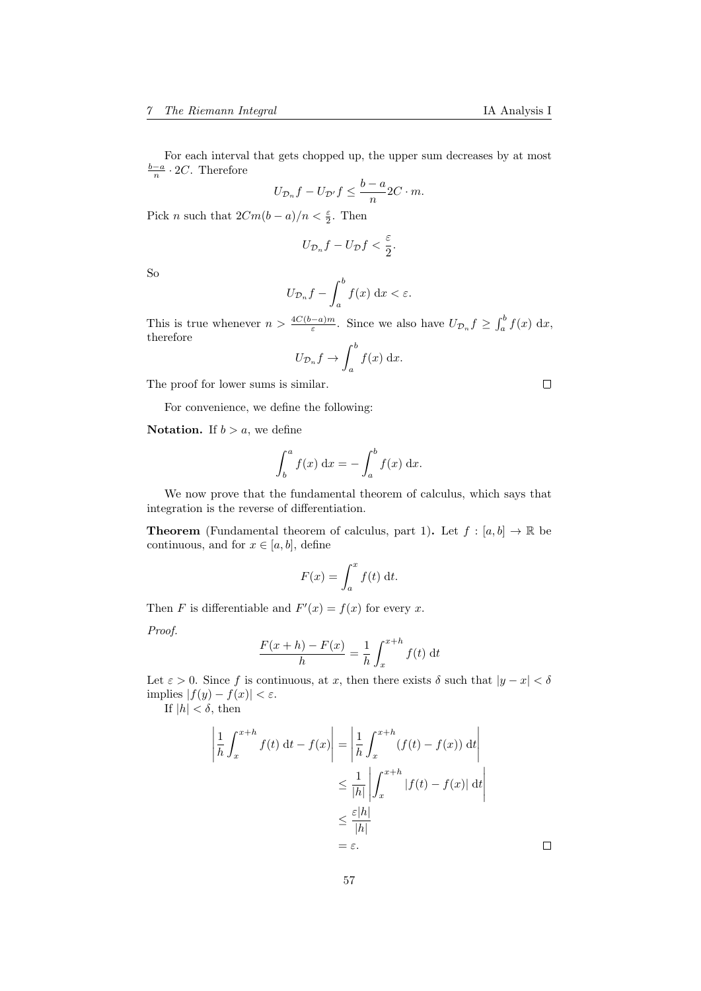For each interval that gets chopped up, the upper sum decreases by at most  $\frac{b-a}{n} \cdot 2C$ . Therefore

$$
U_{\mathcal{D}_n}f - U_{\mathcal{D}'}f \le \frac{b-a}{n}2C \cdot m.
$$

Pick *n* such that  $2Cm(b-a)/n < \frac{\varepsilon}{2}$ . Then

$$
U_{\mathcal{D}_n}f - U_{\mathcal{D}}f < \frac{\varepsilon}{2}.
$$

So

$$
U_{\mathcal{D}_n}f - \int_a^b f(x) \, \mathrm{d}x < \varepsilon.
$$

This is true whenever  $n > \frac{4C(b-a)m}{\varepsilon}$ . Since we also have  $U_{\mathcal{D}_n} f \geq \int_a^b f(x) dx$ , therefore

$$
U_{\mathcal{D}_n}f \to \int_a^b f(x) \, \mathrm{d}x.
$$

The proof for lower sums is similar.

For convenience, we define the following:

 $\overline{a}$ 

**Notation.** If  $b > a$ , we define

$$
\int_b^a f(x) \, \mathrm{d}x = -\int_a^b f(x) \, \mathrm{d}x.
$$

We now prove that the fundamental theorem of calculus, which says that integration is the reverse of differentiation.

**Theorem** (Fundamental theorem of calculus, part 1). Let  $f : [a, b] \to \mathbb{R}$  be continuous, and for  $x \in [a, b]$ , define

$$
F(x) = \int_{a}^{x} f(t) dt.
$$

Then F is differentiable and  $F'(x) = f(x)$  for every x.

Proof.

$$
\frac{F(x+h) - F(x)}{h} = \frac{1}{h} \int_x^{x+h} f(t) dt
$$

Let  $\varepsilon > 0$ . Since f is continuous, at x, then there exists  $\delta$  such that  $|y - x| < \delta$ implies  $|f(y) - f(x)| < \varepsilon$ .

If  $|h| < \delta$ , then

$$
\left| \frac{1}{h} \int_{x}^{x+h} f(t) dt - f(x) \right| = \left| \frac{1}{h} \int_{x}^{x+h} (f(t) - f(x)) dt \right|
$$
  

$$
\leq \frac{1}{|h|} \left| \int_{x}^{x+h} |f(t) - f(x)| dt \right|
$$
  

$$
\leq \frac{\varepsilon |h|}{|h|}
$$
  

$$
= \varepsilon.
$$

 $\Box$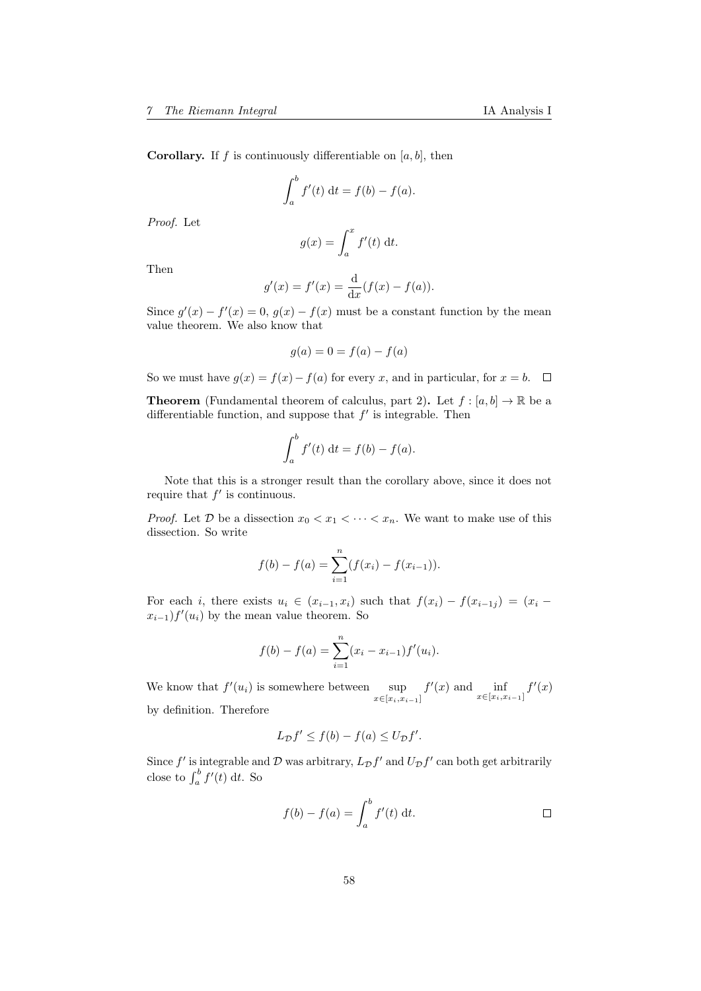**Corollary.** If f is continuously differentiable on  $[a, b]$ , then

$$
\int_a^b f'(t) \, \mathrm{d}t = f(b) - f(a).
$$

Proof. Let

$$
g(x) = \int_a^x f'(t) \, \mathrm{d}t.
$$

Then

$$
g'(x) = f'(x) = \frac{d}{dx}(f(x) - f(a)).
$$

Since  $g'(x) - f'(x) = 0$ ,  $g(x) - f(x)$  must be a constant function by the mean value theorem. We also know that

$$
g(a) = 0 = f(a) - f(a)
$$

So we must have  $g(x) = f(x) - f(a)$  for every x, and in particular, for  $x = b$ .  $\Box$ 

**Theorem** (Fundamental theorem of calculus, part 2). Let  $f : [a, b] \to \mathbb{R}$  be a differentiable function, and suppose that  $f'$  is integrable. Then

$$
\int_a^b f'(t) \, \mathrm{d}t = f(b) - f(a).
$$

Note that this is a stronger result than the corollary above, since it does not require that  $f'$  is continuous.

*Proof.* Let D be a dissection  $x_0 < x_1 < \cdots < x_n$ . We want to make use of this dissection. So write

$$
f(b) - f(a) = \sum_{i=1}^{n} (f(x_i) - f(x_{i-1})).
$$

For each i, there exists  $u_i \in (x_{i-1}, x_i)$  such that  $f(x_i) - f(x_{i-1,j}) = (x_i (x_{i-1})f'(u_i)$  by the mean value theorem. So

$$
f(b) - f(a) = \sum_{i=1}^{n} (x_i - x_{i-1}) f'(u_i).
$$

We know that  $f'(u_i)$  is somewhere between  $\sup_{x \in [x_i, x_{i-1}]}$  $f'(x)$  and  $\inf_{x \in [x_i, x_{i-1}]} f'(x)$ by definition. Therefore

$$
L_{\mathcal{D}}f' \le f(b) - f(a) \le U_{\mathcal{D}}f'.
$$

Since  $f'$  is integrable and  $\mathcal D$  was arbitrary,  $L_{\mathcal{D}} f'$  and  $U_{\mathcal{D}} f'$  can both get arbitrarily close to  $\int_a^b f'(t) dt$ . So

$$
f(b) - f(a) = \int_a^b f'(t) \, \mathrm{d}t. \qquad \qquad \square
$$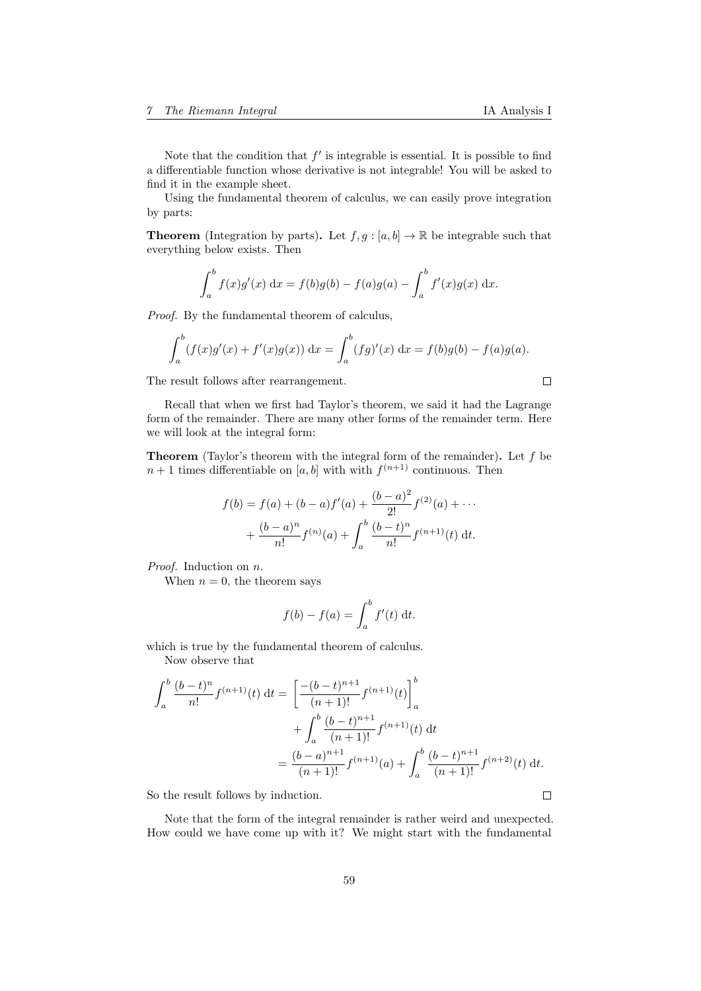$\Box$ 

Note that the condition that  $f'$  is integrable is essential. It is possible to find a differentiable function whose derivative is not integrable! You will be asked to find it in the example sheet.

Using the fundamental theorem of calculus, we can easily prove integration by parts:

**Theorem** (Integration by parts). Let  $f, g : [a, b] \to \mathbb{R}$  be integrable such that everything below exists. Then

$$
\int_{a}^{b} f(x)g'(x) dx = f(b)g(b) - f(a)g(a) - \int_{a}^{b} f'(x)g(x) dx.
$$

Proof. By the fundamental theorem of calculus,

$$
\int_a^b (f(x)g'(x) + f'(x)g(x)) dx = \int_a^b (fg)'(x) dx = f(b)g(b) - f(a)g(a).
$$

The result follows after rearrangement.

Recall that when we first had Taylor's theorem, we said it had the Lagrange form of the remainder. There are many other forms of the remainder term. Here we will look at the integral form:

**Theorem** (Taylor's theorem with the integral form of the remainder). Let  $f$  be  $n+1$  times differentiable on [a, b] with with  $f^{(n+1)}$  continuous. Then

$$
f(b) = f(a) + (b - a)f'(a) + \frac{(b - a)^2}{2!}f^{(2)}(a) + \cdots
$$

$$
+ \frac{(b - a)^n}{n!}f^{(n)}(a) + \int_a^b \frac{(b - t)^n}{n!}f^{(n+1)}(t) dt.
$$

Proof. Induction on n.

When  $n = 0$ , the theorem says

$$
f(b) - f(a) = \int_a^b f'(t) \, \mathrm{d}t.
$$

which is true by the fundamental theorem of calculus.

Now observe that

$$
\int_{a}^{b} \frac{(b-t)^{n}}{n!} f^{(n+1)}(t) dt = \left[ \frac{-(b-t)^{n+1}}{(n+1)!} f^{(n+1)}(t) \right]_{a}^{b}
$$

$$
+ \int_{a}^{b} \frac{(b-t)^{n+1}}{(n+1)!} f^{(n+1)}(t) dt
$$

$$
= \frac{(b-a)^{n+1}}{(n+1)!} f^{(n+1)}(a) + \int_{a}^{b} \frac{(b-t)^{n+1}}{(n+1)!} f^{(n+2)}(t) dt.
$$

So the result follows by induction.

Note that the form of the integral remainder is rather weird and unexpected. How could we have come up with it? We might start with the fundamental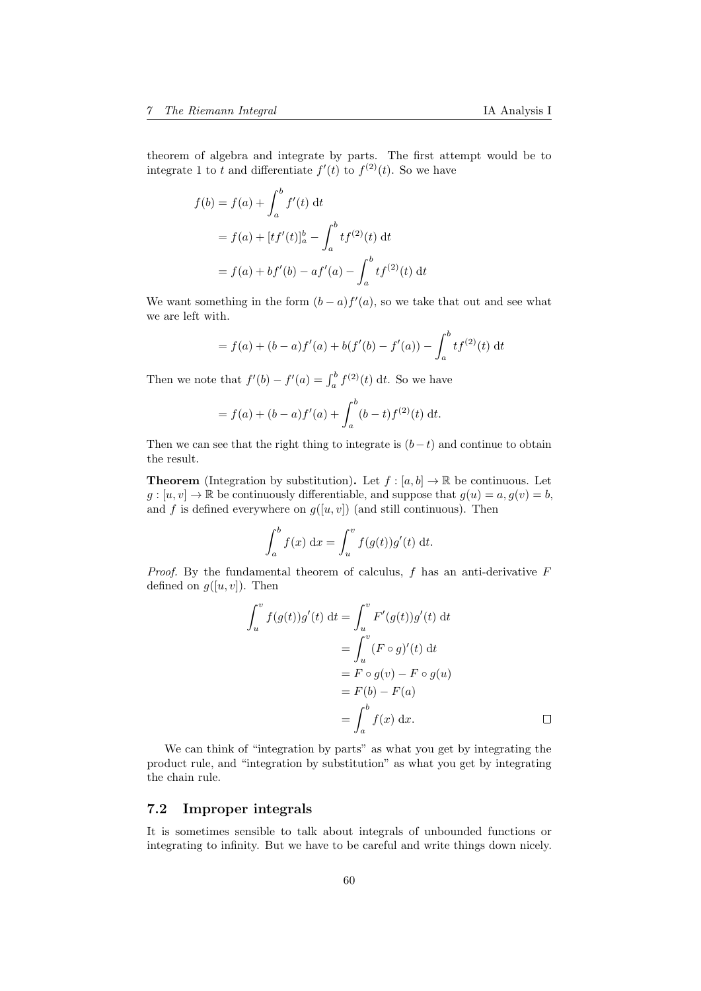theorem of algebra and integrate by parts. The first attempt would be to integrate 1 to t and differentiate  $f'(t)$  to  $f^{(2)}(t)$ . So we have

$$
f(b) = f(a) + \int_{a}^{b} f'(t) dt
$$
  
=  $f(a) + [tf'(t)]_{a}^{b} - \int_{a}^{b} tf^{(2)}(t) dt$   
=  $f(a) + bf'(b) - af'(a) - \int_{a}^{b} tf^{(2)}(t) dt$ 

We want something in the form  $(b-a)f'(a)$ , so we take that out and see what we are left with.

$$
= f(a) + (b - a)f'(a) + b(f'(b) - f'(a)) - \int_a^b t f^{(2)}(t) dt
$$

Then we note that  $f'(b) - f'(a) = \int_a^b f^{(2)}(t) dt$ . So we have

$$
= f(a) + (b - a)f'(a) + \int_a^b (b - t)f^{(2)}(t) dt.
$$

Then we can see that the right thing to integrate is  $(b-t)$  and continue to obtain the result.

**Theorem** (Integration by substitution). Let  $f : [a, b] \to \mathbb{R}$  be continuous. Let  $g: [u, v] \to \mathbb{R}$  be continuously differentiable, and suppose that  $g(u) = a, g(v) = b$ , and f is defined everywhere on  $g([u, v])$  (and still continuous). Then

$$
\int_a^b f(x) dx = \int_u^v f(g(t))g'(t) dt.
$$

*Proof.* By the fundamental theorem of calculus,  $f$  has an anti-derivative  $F$ defined on  $g([u, v])$ . Then

$$
\int_{u}^{v} f(g(t))g'(t) dt = \int_{u}^{v} F'(g(t))g'(t) dt
$$

$$
= \int_{u}^{v} (F \circ g)'(t) dt
$$

$$
= F \circ g(v) - F \circ g(u)
$$

$$
= F(b) - F(a)
$$

$$
= \int_{a}^{b} f(x) dx.
$$

We can think of "integration by parts" as what you get by integrating the product rule, and "integration by substitution" as what you get by integrating the chain rule.

# <span id="page-59-0"></span>7.2 Improper integrals

It is sometimes sensible to talk about integrals of unbounded functions or integrating to infinity. But we have to be careful and write things down nicely.